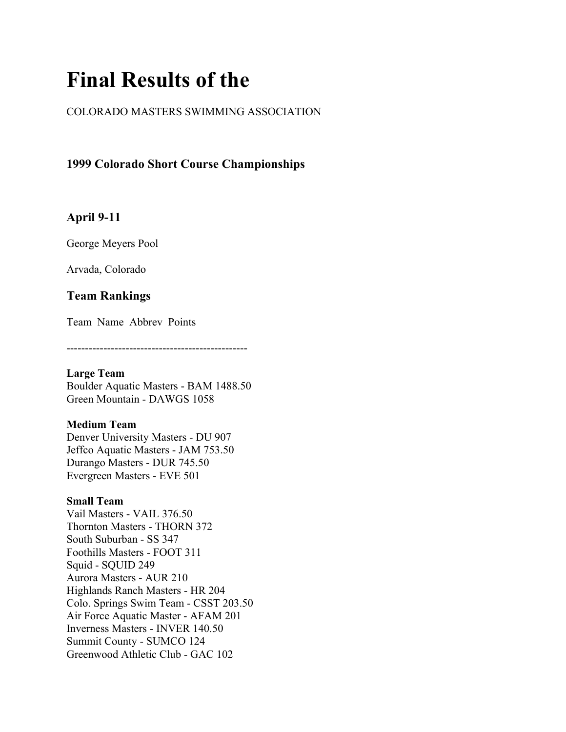# **Final Results of the**

## COLORADO MASTERS SWIMMING ASSOCIATION

**1999 Colorado Short Course Championships**

## **April 9-11**

George Meyers Pool

Arvada, Colorado

## **Team Rankings**

Team Name Abbrev Points

-------------------------------------------------

## **Large Team**

Boulder Aquatic Masters - BAM 1488.50 Green Mountain - DAWGS 1058

## **Medium Team**

Denver University Masters - DU 907 Jeffco Aquatic Masters - JAM 753.50 Durango Masters - DUR 745.50 Evergreen Masters - EVE 501

## **Small Team**

Vail Masters - VAIL 376.50 Thornton Masters - THORN 372 South Suburban - SS 347 Foothills Masters - FOOT 311 Squid - SQUID 249 Aurora Masters - AUR 210 Highlands Ranch Masters - HR 204 Colo. Springs Swim Team - CSST 203.50 Air Force Aquatic Master - AFAM 201 Inverness Masters - INVER 140.50 Summit County - SUMCO 124 Greenwood Athletic Club - GAC 102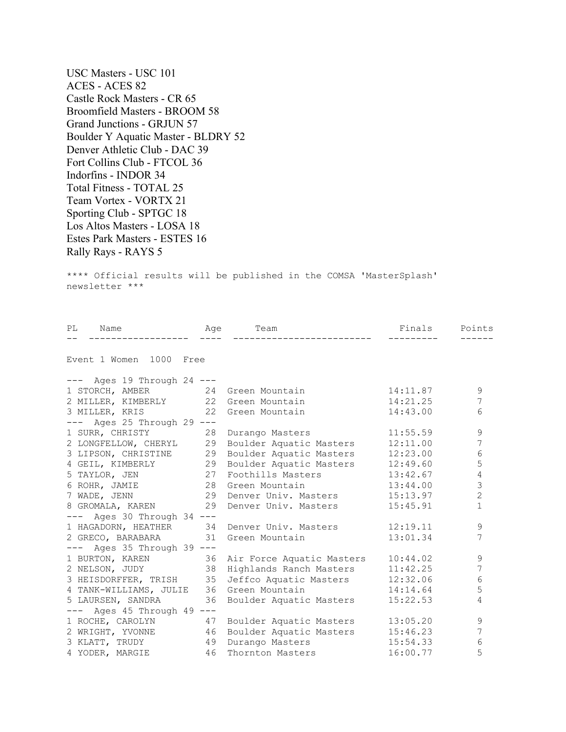USC Masters - USC 101 ACES - ACES 82 Castle Rock Masters - CR 65 Broomfield Masters - BROOM 58 Grand Junctions - GRJUN 57 Boulder Y Aquatic Master - BLDRY 52 Denver Athletic Club - DAC 39 Fort Collins Club - FTCOL 36 Indorfins - INDOR 34 Total Fitness - TOTAL 25 Team Vortex - VORTX 21 Sporting Club - SPTGC 18 Los Altos Masters - LOSA 18 Estes Park Masters - ESTES 16 Rally Rays - RAYS 5

\*\*\*\* Official results will be published in the COMSA 'MasterSplash' newsletter \*\*\*

| PL Name Age Team                     | $\qquad \qquad - - - -$ |                                                                                                     | Finals<br>--------- | Points         |
|--------------------------------------|-------------------------|-----------------------------------------------------------------------------------------------------|---------------------|----------------|
| Event 1 Women 1000 Free              |                         |                                                                                                     |                     |                |
|                                      |                         |                                                                                                     |                     |                |
| $---$ Ages 19 Through 24 $---$       |                         |                                                                                                     |                     |                |
| 1 STORCH, AMBER 24 Green Mountain    |                         |                                                                                                     | 14:11.87            | 9              |
| 2 MILLER, KIMBERLY 22 Green Mountain |                         |                                                                                                     | 14:21.25            | 7              |
| 3 MILLER, KRIS 22 Green Mountain     |                         |                                                                                                     | 14:43.00            | 6              |
| --- Ages 25 Through 29 ---           |                         |                                                                                                     |                     |                |
| 1 SURR, CHRISTY 28                   |                         | Durango Masters                                                                                     | 11:55.59            | $\mathcal{G}$  |
|                                      |                         | 2 LONGFELLOW, CHERYL 29 Boulder Aquatic Masters                                                     | 12:11.00            | 7              |
| 3 LIPSON, CHRISTINE 29               |                         | Boulder Aquatic Masters                                                                             | 12:23.00            | 6              |
|                                      |                         |                                                                                                     |                     | 5              |
|                                      |                         | 4 GEIL, KIMBERLY 29 Boulder Aquatic Masters 12:49.60<br>5 TAYLOR, JEN 27 Foothills Masters 13:42.67 |                     | $\overline{4}$ |
| 6 ROHR, JAMIE 28                     |                         | Green Mountain 13:44.00                                                                             |                     | 3              |
| 7 WADE, JENN 29                      |                         | Denver Univ. Masters 15:13.97                                                                       |                     | $\overline{2}$ |
|                                      |                         | 8 GROMALA, KAREN 29 Denver Univ. Masters                                                            | 15:45.91            | $\mathbf{1}$   |
| $---$ Ages 30 Through 34 $---$       |                         |                                                                                                     |                     |                |
|                                      |                         | 1 HAGADORN, HEATHER 34 Denver Univ. Masters                                                         | 12:19.11            | 9              |
| 2 GRECO, BARABARA 31 Green Mountain  |                         |                                                                                                     | 13:01.34            | 7              |
| $---$ Ages 35 Through 39 $---$       |                         |                                                                                                     |                     |                |
|                                      |                         | 1 BURTON, KAREN 36 Air Force Aquatic Masters<br>2 NELSON, JUDY 38 Highlands Ranch Masters           | 10:44.02            | $\mathcal{G}$  |
|                                      |                         |                                                                                                     | 11:42.25            | 7              |
| 3 HEISDORFFER, TRISH 35              |                         | Jeffco Aquatic Masters 12:32.06                                                                     |                     | 6              |
|                                      |                         | 4 TANK-WILLIAMS, JULIE 36 Green Mountain                                                            | 14:14.64            | 5              |
| 5 LAURSEN, SANDRA 36                 |                         | Boulder Aquatic Masters                                                                             | 15:22.53            | 4              |
| $---$ Ages 45 Through 49 $---$       |                         |                                                                                                     |                     |                |
|                                      |                         | 1 ROCHE, CAROLYN 47 Boulder Aquatic Masters                                                         | 13:05.20            | 9              |
|                                      |                         | 2 WRIGHT, YVONNE 46 Boulder Aquatic Masters 15:46.23                                                |                     | 7              |
| 3 KLATT, TRUDY 49                    |                         | Durango Masters 15:54.33                                                                            |                     | $\epsilon$     |
| 4 YODER, MARGIE 46                   |                         | Thornton Masters                                                                                    | 16:00.77            | 5              |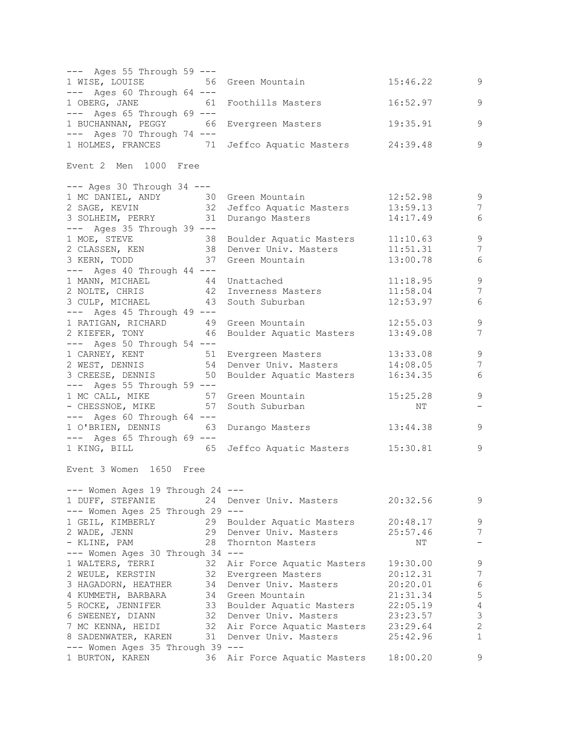--- Ages 55 Through 59 --- 1 WISE, LOUISE 56 Green Mountain 15:46.22 9 --- Ages 60 Through 64 --- 1 OBERG, JANE 61 Foothills Masters 16:52.97 9 --- Ages 65 Through 69 --- 1 BUCHANNAN, PEGGY 66 Evergreen Masters 19:35.91 9 --- Ages 70 Through 74 --- 1 HOLMES, FRANCES 71 Jeffco Aquatic Masters 24:39.48 9 Event 2 Men 1000 Free --- Ages 30 Through 34 --- 1 MC DANIEL, ANDY 30 Green Mountain 12:52.98 9 2 SAGE, KEVIN 32 Jeffco Aquatic Masters 13:59.13 7 3 SOLHEIM, PERRY 31 Durango Masters 14:17.49 6 --- Ages 35 Through 39 --- 1 MOE, STEVE 38 Boulder Aquatic Masters 11:10.63 9 2 CLASSEN, KEN 38 Denver Univ. Masters 11:51.31 7 3 KERN, TODD 37 Green Mountain 13:00.78 6 --- Ages 40 Through 44 --- 1 MANN, MICHAEL 44 Unattached 11:18.95 9 2 NOLTE, CHRIS 42 Inverness Masters 11:58.04 7 3 CULP, MICHAEL 43 South Suburban 12:53.97 6 --- Ages 45 Through 49 --- 1 RATIGAN, RICHARD 49 Green Mountain 12:55.03 9 2 KIEFER, TONY 46 Boulder Aquatic Masters 13:49.08 7 --- Ages 50 Through 54 ---1 CARNEY, KENT 51 Evergreen Masters 13:33.08 9 2 WEST, DENNIS 54 Denver Univ. Masters 14:08.05 7 3 CREESE, DENNIS 50 Boulder Aquatic Masters 16:34.35 6 --- Ages 55 Through 59 --- 1 MC CALL, MIKE 57 Green Mountain 15:25.28 9 - CHESSNOE, MIKE 57 South Suburban NT - --- Ages 60 Through 64 ---1 O'BRIEN, DENNIS 63 Durango Masters 13:44.38 9 --- Ages 65 Through 69 --- 1 KING, BILL 65 Jeffco Aquatic Masters 15:30.81 9 Event 3 Women 1650 Free --- Women Ages 19 Through 24 --- 1 DUFF, STEFANIE 24 Denver Univ. Masters 20:32.56 9 --- Women Ages 25 Through 29 --- 1 GEIL, KIMBERLY 29 Boulder Aquatic Masters 20:48.17 9 2 WADE, JENN 29 Denver Univ. Masters 25:57.46 7 - KLINE, PAM 28 Thornton Masters NT - --- Women Ages 30 Through 34 --- 1 WALTERS, TERRI 32 Air Force Aquatic Masters 19:30.00 9 2 WEULE, KERSTIN 32 Evergreen Masters 20:12.31 7 3 HAGADORN, HEATHER 34 Denver Univ. Masters 20:20.01 6 4 KUMMETH, BARBARA 34 Green Mountain 21:31.34 5 5 ROCKE, JENNIFER 33 Boulder Aquatic Masters 22:05.19 4 6 SWEENEY, DIANN 32 Denver Univ. Masters 23:23.57 3 7 MC KENNA, HEIDI 32 Air Force Aquatic Masters 23:29.64 2 8 SADENWATER, KAREN 31 Denver Univ. Masters 25:42.96 1 --- Women Ages 35 Through 39 --- 1 BURTON, KAREN 36 Air Force Aquatic Masters 18:00.20 9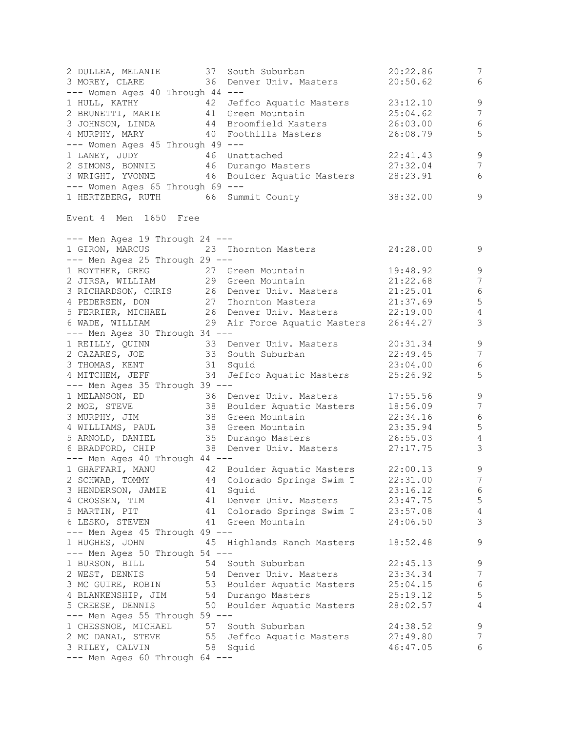2 DULLEA, MELANIE 37 South Suburban 20:22.86 7 3 MOREY, CLARE 36 Denver Univ. Masters 20:50.62 6 --- Women Ages 40 Through 44 --- 1 HULL, KATHY 42 Jeffco Aquatic Masters 23:12.10 9 2 BRUNETTI, MARIE 41 Green Mountain 25:04.62 7 3 JOHNSON, LINDA 44 Broomfield Masters 26:03.00 6 4 MURPHY, MARY 40 Foothills Masters 26:08.79 5 --- Women Ages 45 Through 49 --- 1 LANEY, JUDY 46 Unattached 22:41.43 9 2 SIMONS, BONNIE 46 Durango Masters 27:32.04 7 3 WRIGHT, YVONNE 46 Boulder Aquatic Masters 28:23.91 6 --- Women Ages 65 Through 69 --- 1 HERTZBERG, RUTH 66 Summit County 38:32.00 9 Event 4 Men 1650 Free --- Men Ages 19 Through 24 ---1 GIRON, MARCUS 23 Thornton Masters 24:28.00 9<br>--- Men Ages 25 Through 29 ------ Men Ages 25 Through 29 --- 1 ROYTHER, GREG 27 Green Mountain 19:48.92 9 2 JIRSA, WILLIAM 29 Green Mountain 21:22.68 7 3 RICHARDSON, CHRIS 26 Denver Univ. Masters 21:25.01 6 4 PEDERSEN, DON 27 Thornton Masters 21:37.69 5 5 FERRIER, MICHAEL 26 Denver Univ. Masters 22:19.00 4 6 WADE, WILLIAM 29 Air Force Aquatic Masters 26:44.27 3 --- Men Ages 30 Through 34 --- 1 REILLY, QUINN 33 Denver Univ. Masters 20:31.34 9 2 CAZARES, JOE 33 South Suburban 22:49.45 7 3 THOMAS, KENT 31 Squid 23:04.00 6 4 MITCHEM, JEFF 34 Jeffco Aquatic Masters 25:26.92 5 --- Men Ages 35 Through 39 --- 1 MELANSON, ED 36 Denver Univ. Masters 17:55.56 9 2 MOE, STEVE 38 Boulder Aquatic Masters 18:56.09 7 3 MURPHY, JIM 38 Green Mountain 22:34.16 6 4 WILLIAMS, PAUL 38 Green Mountain 23:35.94 5 5 ARNOLD, DANIEL 35 Durango Masters 26:55.03 4 6 BRADFORD, CHIP 38 Denver Univ. Masters 27:17.75 3 --- Men Ages 40 Through 44 --- 1 GHAFFARI, MANU 42 Boulder Aquatic Masters 22:00.13 9 2 SCHWAB, TOMMY 44 Colorado Springs Swim T 22:31.00 7 3 HENDERSON, JAMIE 41 Squid 23:16.12 6 4 CROSSEN, TIM 41 Denver Univ. Masters 23:47.75 5 5 MARTIN, PIT 41 Colorado Springs Swim T 23:57.08 4 6 LESKO, STEVEN 41 Green Mountain 24:06.50 3 --- Men Ages 45 Through 49 --- 1 HUGHES, JOHN 45 Highlands Ranch Masters 18:52.48 9 --- Men Ages 50 Through 54 --- 1 BURSON, BILL 54 South Suburban 22:45.13 9 2 WEST, DENNIS 54 Denver Univ. Masters 23:34.34 7 3 MC GUIRE, ROBIN 53 Boulder Aquatic Masters 25:04.15 6 4 BLANKENSHIP, JIM 54 Durango Masters 25:19.12 5 5 CREESE, DENNIS 50 Boulder Aquatic Masters 28:02.57 4 --- Men Ages 55 Through 59 --- 1 CHESSNOE, MICHAEL 57 South Suburban 24:38.52 9 2 MC DANAL, STEVE 55 Jeffco Aquatic Masters 27:49.80 7 3 RILEY, CALVIN 58 Squid 46:47.05 6 --- Men Ages 60 Through 64 ---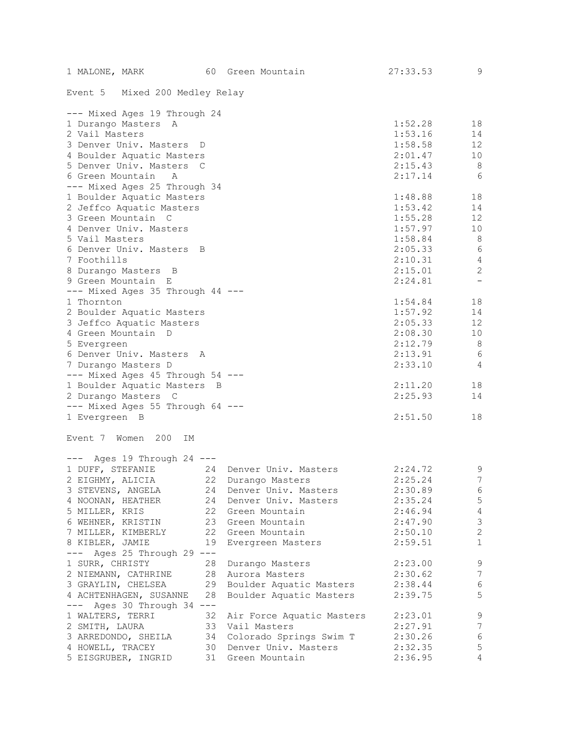| 1 MALONE, MARK<br>60                          | Green Mountain               | 27:33.53 | 9                        |
|-----------------------------------------------|------------------------------|----------|--------------------------|
| Event 5 Mixed 200 Medley Relay                |                              |          |                          |
| --- Mixed Ages 19 Through 24                  |                              |          |                          |
| 1 Durango Masters<br>A                        |                              | 1:52.28  | 18                       |
| 2 Vail Masters                                |                              | 1:53.16  | 14                       |
| 3 Denver Univ. Masters<br>D                   |                              | 1:58.58  | 12 <sup>°</sup>          |
| 4 Boulder Aquatic Masters                     |                              | 2:01.47  | 10                       |
| 5 Denver Univ. Masters C                      |                              | 2:15.43  | 8                        |
| 6 Green Mountain<br>A                         |                              | 2:17.14  | 6                        |
| --- Mixed Ages 25 Through 34                  |                              |          |                          |
| 1 Boulder Aquatic Masters                     |                              | 1:48.88  | 18                       |
| 2 Jeffco Aquatic Masters                      |                              | 1:53.42  | 14                       |
| 3 Green Mountain C                            |                              | 1:55.28  | 12                       |
| 4 Denver Univ. Masters                        |                              | 1:57.97  | 10                       |
| 5 Vail Masters                                |                              | 1:58.84  | 8                        |
| 6 Denver Univ. Masters B                      |                              | 2:05.33  | 6                        |
| 7 Foothills                                   |                              | 2:10.31  | $\overline{4}$           |
| 8 Durango Masters B                           |                              | 2:15.01  | $\mathbf{2}$             |
| 9 Green Mountain E                            |                              | 2:24.81  | $\overline{\phantom{a}}$ |
| --- Mixed Ages 35 Through 44 ---              |                              |          |                          |
| 1 Thornton                                    |                              | 1:54.84  | 18                       |
| 2 Boulder Aquatic Masters                     |                              | 1:57.92  | 14                       |
| 3 Jeffco Aquatic Masters                      |                              | 2:05.33  | $12 \overline{ }$        |
| 4 Green Mountain D                            |                              | 2:08.30  | 10                       |
| 5 Evergreen                                   |                              | 2:12.79  | 8                        |
| 6 Denver Univ. Masters A                      |                              | 2:13.91  | $\sqrt{6}$               |
| 7 Durango Masters D                           |                              | 2:33.10  | 4                        |
| --- Mixed Ages 45 Through 54 ---              |                              |          |                          |
| 1 Boulder Aquatic Masters B                   |                              | 2:11.20  | 18                       |
| 2 Durango Masters C                           |                              | 2:25.93  | 14                       |
| --- Mixed Ages 55 Through 64 ---              |                              |          |                          |
| 1 Evergreen B                                 |                              | 2:51.50  | 18                       |
| Event 7 Women 200<br>IΜ                       |                              |          |                          |
| $---$ Ages 19 Through 24 $---$                |                              |          |                          |
| 1 DUFF, STEFANIE                              | 24 Denver Univ. Masters      | 2:24.72  | 9                        |
| 2 EIGHMY, ALICIA 22 Durango Masters           |                              | 2:25.24  | $7\overline{ }$          |
| 3 STEVENS, ANGELA                             | 24 Denver Univ. Masters      | 2:30.89  | 6                        |
| 4 NOONAN, HEATHER                             | 24 Denver Univ. Masters      | 2:35.24  | 5 <sub>5</sub>           |
| 5 MILLER, KRIS                                | 22 Green Mountain            | 2:46.94  | $\overline{4}$           |
| 6 WEHNER, KRISTIN                             | 23 Green Mountain            | 2:47.90  | $\mathfrak{Z}$           |
| 7 MILLER, KIMBERLY                            | 22 Green Mountain            | 2:50.10  | $\sqrt{2}$               |
| 8 KIBLER, JAMIE                               | 19 Evergreen Masters         | 2:59.51  | $\mathbf{1}$             |
| --- Ages 25 Through 29 ---                    |                              |          |                          |
| 1 SURR, CHRISTY                               | 28 Durango Masters           | 2:23.00  | 9                        |
| 2 NIEMANN, CATHRINE                           | 28 Aurora Masters            | 2:30.62  | 7                        |
| 3 GRAYLIN, CHELSEA 29 Boulder Aquatic Masters |                              | 2:38.44  | $\sqrt{6}$               |
| 28<br>4 ACHTENHAGEN, SUSANNE                  | Boulder Aquatic Masters      | 2:39.75  | 5                        |
| --- Ages 30 Through 34 ---                    |                              |          |                          |
| 1 WALTERS, TERRI                              | 32 Air Force Aquatic Masters | 2:23.01  | $\overline{9}$           |
| 2 SMITH, LAURA                                | 33 Vail Masters              | 2:27.91  | $\overline{7}$           |
| 3 ARREDONDO, SHEILA                           | 34 Colorado Springs Swim T   | 2:30.26  | 6                        |
| 4 HOWELL, TRACEY                              | 30 Denver Univ. Masters      | 2:32.35  | $\mathsf S$              |
| 5 EISGRUBER, INGRID 31 Green Mountain         |                              | 2:36.95  | 4                        |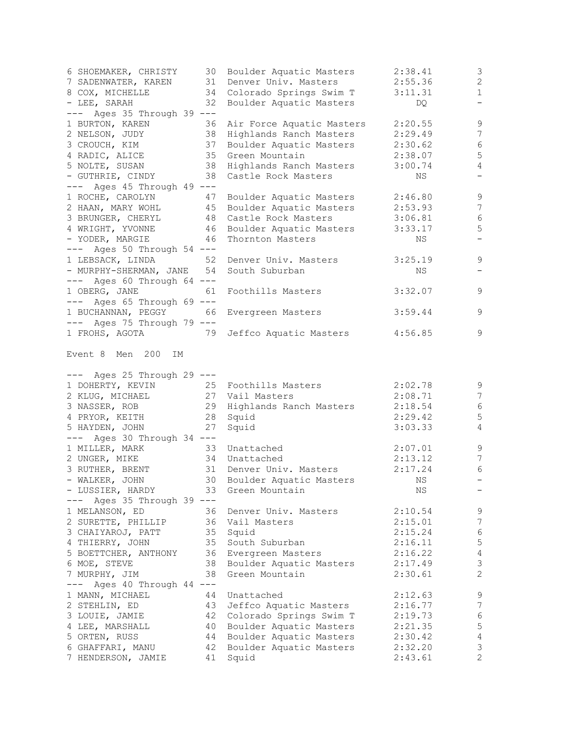| 6 SHOEMAKER, CHRISTY                        |          | 30 Boulder Aquatic Masters          | 2:38.41            | 3                                |
|---------------------------------------------|----------|-------------------------------------|--------------------|----------------------------------|
| 7 SADENWATER, KAREN 31 Denver Univ. Masters |          |                                     | 2:55.36            | $\mathbf{2}$                     |
| 8 COX, MICHELLE                             | 34       | Colorado Springs Swim T             | 3:11.31            | $\mathbf{1}$                     |
| - LEE, SARAH                                | 32       | Boulder Aquatic Masters             | DQ                 | $\overline{\phantom{0}}$         |
| Ages 35 Through 39 ---                      |          |                                     |                    |                                  |
| 1 BURTON, KAREN                             | 36       | Air Force Aquatic Masters           | 2:20.55            | $\mathsf 9$                      |
| 2 NELSON, JUDY                              | 38       | Highlands Ranch Masters             | 2:29.49            | $\overline{7}$                   |
| 3 CROUCH, KIM                               | 37       | Boulder Aquatic Masters             | 2:30.62            | $6\,$                            |
| 4 RADIC, ALICE                              |          | 35 Green Mountain                   | 2:38.07            | 5                                |
| 5 NOLTE, SUSAN                              |          | 38 Highlands Ranch Masters          | 3:00.74            | $\overline{4}$                   |
| - GUTHRIE, CINDY                            | 38       | Castle Rock Masters                 | ΝS                 |                                  |
| $---$ Ages 45 Through 49 $---$              |          |                                     |                    |                                  |
| 1 ROCHE, CAROLYN                            | 47       | Boulder Aquatic Masters             | 2:46.80            | $\mathsf 9$                      |
| 2 HAAN, MARY WOHL                           |          | 45 Boulder Aquatic Masters          | 2:53.93            | $\overline{7}$                   |
| 3 BRUNGER, CHERYL                           |          | 48 Castle Rock Masters              | 3:06.81            | $\sqrt{6}$                       |
| 4 WRIGHT, YVONNE                            |          | 46 Boulder Aquatic Masters          | 3:33.17            | $\mathsf S$                      |
| - YODER, MARGIE                             | 46       | Thornton Masters                    | ΝS                 | $\overline{\phantom{0}}$         |
| $---$ Ages 50 Through 54 $---$              |          |                                     |                    |                                  |
| 1 LEBSACK, LINDA                            | 52       | Denver Univ. Masters                | 3:25.19            | 9                                |
| - MURPHY-SHERMAN, JANE 54                   |          | South Suburban                      | ΝS                 |                                  |
| $---$ Ages 60 Through 64 $---$              |          |                                     |                    |                                  |
| 1 OBERG, JANE                               | 61       | Foothills Masters                   | 3:32.07            | 9                                |
| $---$ Ages 65 Through 69 $---$              |          |                                     |                    |                                  |
| 1 BUCHANNAN, PEGGY                          | 66       | Evergreen Masters                   | 3:59.44            | 9                                |
| $---$ Ages 75 Through 79 $---$              |          |                                     |                    |                                  |
| 1 FROHS, AGOTA                              | 79       | Jeffco Aquatic Masters              | 4:56.85            | 9                                |
| Event 8 Men<br>200<br>IΜ                    |          |                                     |                    |                                  |
|                                             |          |                                     |                    |                                  |
| --- Ages 25 Through 29 ---                  |          | 25 Foothills Masters                |                    |                                  |
| 1 DOHERTY, KEVIN                            |          |                                     | 2:02.78<br>2:08.71 | 9<br>$\overline{7}$              |
| 2 KLUG, MICHAEL                             |          | 27 Vail Masters                     | 2:18.54            | $\sqrt{6}$                       |
| 3 NASSER, ROB<br>4 PRYOR, KEITH             | 28       | 29 Highlands Ranch Masters<br>Squid | 2:29.42            | 5                                |
| 5 HAYDEN, JOHN                              | 27       | Squid                               | 3:03.33            | 4                                |
| $---$ Ages 30 Through 34 $---$              |          |                                     |                    |                                  |
| 1 MILLER, MARK                              | 33       | Unattached                          | 2:07.01            | 9                                |
| 2 UNGER, MIKE                               |          | 34 Unattached                       | 2:13.12            | 7                                |
| 3 RUTHER, BRENT                             | 31       | Denver Univ. Masters                | 2:17.24            | 6                                |
| - WALKER, JOHN                              | 30       | Boulder Aquatic Masters             | ΝS                 | $-$                              |
| - LUSSIER, HARDY                            | 33       | Green Mountain                      | ΝS                 |                                  |
| Ages 35 Through 39 ---<br>$---$             |          |                                     |                    |                                  |
| 1 MELANSON, ED                              | 36       | Denver Univ. Masters                | 2:10.54            | 9                                |
| 2 SURETTE, PHILLIP                          |          | 36 Vail Masters                     | 2:15.01            | $\overline{7}$                   |
| 3 CHAIYAROJ, PATT                           |          | 35 Squid                            | 2:15.24            | $6\,$                            |
| 4 THIERRY, JOHN                             |          | 35 South Suburban                   | 2:16.11            | $\mathsf S$                      |
| 5 BOETTCHER, ANTHONY                        |          | 36 Evergreen Masters                | 2:16.22            | $\sqrt{4}$                       |
| 6 MOE, STEVE                                |          | 38 Boulder Aquatic Masters          | 2:17.49            | $\mathfrak{Z}$                   |
| 7 MURPHY, JIM                               | 38       | Green Mountain                      | 2:30.61            | $\overline{c}$                   |
| Ages 40 Through 44 ---                      |          |                                     |                    |                                  |
| 1 MANN, MICHAEL                             | 44       | Unattached                          | 2:12.63            | 9                                |
| 2 STEHLIN, ED                               | 43       | Jeffco Aquatic Masters              | 2:16.77            | $\boldsymbol{7}$                 |
| 3 LOUIE, JAMIE                              | 42       | Colorado Springs Swim T             | 2:19.73            | $\sqrt{6}$                       |
| 4 LEE, MARSHALL                             | 40       | Boulder Aquatic Masters             | 2:21.35            | $\mathsf S$                      |
| 5 ORTEN, RUSS                               |          | 44 Boulder Aquatic Masters          | 2:30.42            | $\overline{4}$                   |
| 6 GHAFFARI, MANU<br>7 HENDERSON, JAMIE      | 42<br>41 | Boulder Aquatic Masters<br>Squid    | 2:32.20<br>2:43.61 | $\mathfrak{Z}$<br>$\overline{2}$ |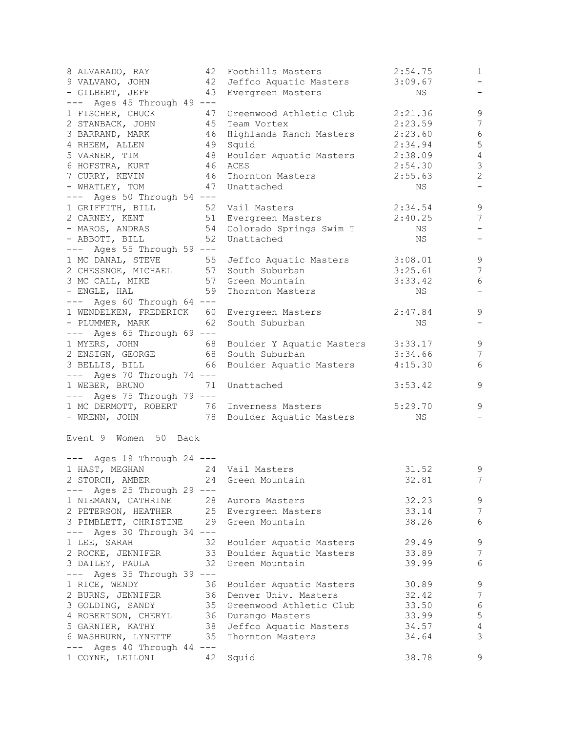| 8 ALVARADO, RAY<br>9 VALVANO, JOHN                       | 42 | Foothills Masters<br>42 Jeffco Aquatic Masters | 2:54.75<br>3:09.67 | $\mathbf{1}$<br>$-$      |
|----------------------------------------------------------|----|------------------------------------------------|--------------------|--------------------------|
| - GILBERT, JEFF                                          | 43 | Evergreen Masters                              | ΝS                 |                          |
| $---$ Ages 45 Through 49 $---$<br>1 FISCHER, CHUCK<br>47 |    | Greenwood Athletic Club                        | 2:21.36            | $\mathsf 9$              |
| 2 STANBACK, JOHN 45 Team Vortex                          |    |                                                | 2:23.59            | 7                        |
| 3 BARRAND, MARK                                          |    | 46 Highlands Ranch Masters                     | 2:23.60            | $\epsilon$               |
| 4 RHEEM, ALLEN                                           |    | 49 Squid                                       | 2:34.94            | 5                        |
| 5 VARNER, TIM                                            |    | 48 Boulder Aquatic Masters                     | 2:38.09            | $\sqrt{4}$               |
| 6 HOFSTRA, KURT                                          |    | 46 ACES                                        | 2:54.30            | $\mathfrak{Z}$           |
| 7 CURRY, KEVIN                                           |    | 46 Thornton Masters                            | 2:55.63            | $\overline{c}$           |
| - WHATLEY, TOM                                           |    | 47 Unattached                                  | NS                 |                          |
| $---$ Ages 50 Through 54 $---$                           |    |                                                |                    |                          |
| 1 GRIFFITH, BILL                                         |    | 52 Vail Masters                                | 2:34.54            | $\mathsf 9$              |
| 2 CARNEY, KENT 51 Evergreen Masters                      |    |                                                | 2:40.25            | 7                        |
|                                                          |    | - MAROS, ANDRAS 54 Colorado Springs Swim T     | NS                 | $\overline{\phantom{m}}$ |
| - ABBOTT, BILL                                           | 52 | Unattached                                     | NS                 |                          |
| $---$ Ages 55 Through 59 $---$                           |    |                                                |                    |                          |
| 1 MC DANAL, STEVE                                        |    | 55 Jeffco Aquatic Masters                      | 3:08.01            | $\mathsf 9$              |
| 2 CHESSNOE, MICHAEL                                      |    | 57 South Suburban                              | 3:25.61            | $7\phantom{.0}$          |
| 3 MC CALL, MIKE                                          |    | 57 Green Mountain                              | 3:33.42            | $\sqrt{6}$               |
| - ENGLE, HAL                                             | 59 | Thornton Masters                               | NS                 | $\overline{\phantom{0}}$ |
| --- Ages 60 Through 64 ---                               |    |                                                |                    |                          |
| 1 WENDELKEN, FREDERICK 60 Evergreen Masters              |    |                                                | 2:47.84            | 9                        |
| - PLUMMER, MARK 62 South Suburban                        |    |                                                | NS                 | $\qquad \qquad -$        |
| $---$ Ages 65 Through 69 $---$                           |    |                                                |                    |                          |
| 1 MYERS, JOHN                                            |    | 68 Boulder Y Aquatic Masters                   | 3:33.17            | $\mathsf 9$              |
| 2 ENSIGN, GEORGE                                         |    | 68 South Suburban                              | 3:34.66            | $\overline{7}$           |
| 3 BELLIS, BILL<br>66                                     |    | Boulder Aquatic Masters                        | 4:15.30            | 6                        |
| $---$ Ages 70 Through 74 $---$                           |    |                                                |                    |                          |
| 1 WEBER, BRUNO                                           | 71 | Unattached                                     | 3:53.42            | 9                        |
| --- Ages 75 Through 79 ---                               |    |                                                |                    |                          |
| 1 MC DERMOTT, ROBERT 76 Inverness Masters                |    |                                                | 5:29.70            | 9                        |
| - WRENN, JOHN 78 Boulder Aquatic Masters                 |    |                                                | NS                 |                          |
| Event 9 Women 50 Back                                    |    |                                                |                    |                          |
| $---$ Ages 19 Through 24 $---$                           |    |                                                |                    |                          |
| 1 HAST, MEGHAN 24 Vail Masters                           |    |                                                | 31.52              | 9                        |
| 2 STORCH, AMBER 24 Green Mountain                        |    |                                                | 32.81              | $7\overline{ }$          |
| --- Ages 25 Through 29 ---                               |    |                                                |                    |                          |
| 1 NIEMANN, CATHRINE                                      |    | 28 Aurora Masters                              | 32.23              | 9                        |
| 2 PETERSON, HEATHER 25 Evergreen Masters                 |    |                                                | 33.14              | 7                        |
| 3 PIMBLETT, CHRISTINE 29 Green Mountain                  |    |                                                | 38.26              | 6                        |
| $---$ Ages 30 Through 34 $---$                           |    |                                                |                    |                          |
| 1 LEE, SARAH                                             | 32 | Boulder Aquatic Masters                        | 29.49              | $\mathsf 9$              |
| 2 ROCKE, JENNIFER                                        |    | 33 Boulder Aquatic Masters                     | 33.89              | $\overline{7}$           |
| 3 DAILEY, PAULA                                          | 32 | Green Mountain                                 | 39.99              | $6\,$                    |
| --- Ages 35 Through 39 ---                               |    |                                                |                    |                          |
| 1 RICE, WENDY                                            | 36 | Boulder Aquatic Masters                        | 30.89              | $\mathsf 9$              |
| 2 BURNS, JENNIFER                                        |    | 36 Denver Univ. Masters                        | 32.42              | 7                        |
| 3 GOLDING, SANDY                                         |    | 35 Greenwood Athletic Club                     | 33.50              | $\sqrt{6}$               |
| 4 ROBERTSON, CHERYL 36 Durango Masters                   |    |                                                | 33.99              | $\mathsf S$              |
| 5 GARNIER, KATHY                                         |    | 38 Jeffco Aquatic Masters                      | 34.57              | $\sqrt{4}$               |
| 6 WASHBURN, LYNETTE 35                                   |    | Thornton Masters                               | 34.64              | $\mathcal{S}$            |
| $---$ Ages 40 Through 44 $---$                           |    |                                                |                    |                          |
| 1 COYNE, LEILONI                                         |    | 42 Squid                                       | 38.78              | 9                        |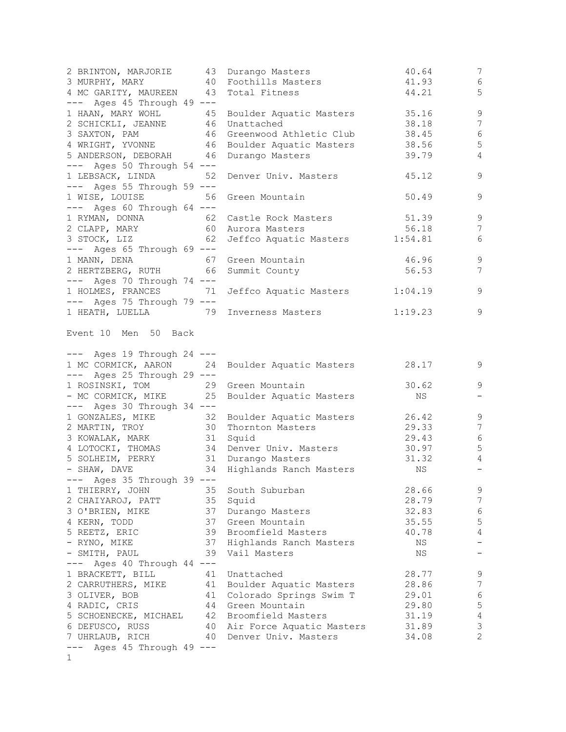| 2 BRINTON, MARJORIE 43 Durango Masters<br>3 MURPHY, MARY<br>4 MC GARITY, MAUREEN 43 Total Fitness                                                                                                         | 40 Foothills Masters                          | 40.64<br>41.93<br>44.21 | 7<br>$\sqrt{6}$<br>5             |
|-----------------------------------------------------------------------------------------------------------------------------------------------------------------------------------------------------------|-----------------------------------------------|-------------------------|----------------------------------|
| --- Ages 45 Through 49 ---<br>1 HAAN, MARY WOHL 45 Boulder Aquatic Masters<br>2 SCHICKLI, JEANNE 46 Unattached<br>3 SAXTON, PAM 46 Greenwood Athletic Club<br>4 WRIGHT, YVONNE 46 Boulder Aquatic Masters | 46 Unattached                                 | 35.16<br>38.18          | $\overline{9}$<br>$\overline{7}$ |
|                                                                                                                                                                                                           |                                               | 38.45                   | $\sqrt{6}$                       |
|                                                                                                                                                                                                           |                                               | 38.56                   | 5                                |
| 5 ANDERSON, DEBORAH 46 Durango Masters                                                                                                                                                                    |                                               | 39.79                   | $\overline{4}$                   |
| $---$ Ages 50 Through 54 $---$                                                                                                                                                                            |                                               |                         |                                  |
| 1 LEBSACK, LINDA 52                                                                                                                                                                                       | Denver Univ. Masters                          | 45.12                   | 9                                |
| $---$ Ages 55 Through 59 $---$                                                                                                                                                                            |                                               |                         |                                  |
| 1 WISE, LOUISE                                                                                                                                                                                            | 56 Green Mountain                             | 50.49                   | $\mathsf 9$                      |
| $---$ Ages 60 Through 64 $---$                                                                                                                                                                            |                                               |                         |                                  |
|                                                                                                                                                                                                           |                                               |                         | $\mathsf 9$                      |
|                                                                                                                                                                                                           |                                               | 51.39                   |                                  |
| 1 RYMAN, DONNA<br>2 CLAPP, MARY                   60 Aurora Masters<br>3 STOCK, LIZ                62 Jeffco Aquatic Masters                                                                              |                                               | 56.18                   | $\overline{7}$                   |
|                                                                                                                                                                                                           | Jeffco Aquatic Masters 1:54.81                |                         | 6                                |
| $---$ Ages 65 Through 69 $---$                                                                                                                                                                            |                                               |                         |                                  |
| 1 MANN, DENA 67 Green Mountain                                                                                                                                                                            |                                               | $46.96$<br>56.53        | 9                                |
| 2 HERTZBERG, RUTH 66 Summit County                                                                                                                                                                        |                                               |                         | 7                                |
| --- Ages 70 Through 74 ---                                                                                                                                                                                |                                               |                         |                                  |
|                                                                                                                                                                                                           | 1 HOLMES, FRANCES 71 Jeffco Aquatic Masters   | 1:04.19                 | $\mathsf 9$                      |
| --- Ages 75 Through 79 ---                                                                                                                                                                                |                                               |                         |                                  |
| 1 HEATH, LUELLA 79 Inverness Masters                                                                                                                                                                      |                                               | 1:19.23                 | 9                                |
| Event 10 Men 50 Back<br>--- Ages 19 Through 24 ---                                                                                                                                                        |                                               |                         |                                  |
| 1 MC CORMICK, AARON 24 Boulder Aquatic Masters                                                                                                                                                            |                                               | 28.17                   | 9                                |
| $---$ Ages 25 Through 29 $---$                                                                                                                                                                            |                                               |                         |                                  |
| 1 ROSINSKI, TOM                                                                                                                                                                                           | 29 Green Mountain                             | 30.62                   | 9                                |
|                                                                                                                                                                                                           | - MC CORMICK, MIKE 25 Boulder Aquatic Masters | NS                      | $\overline{\phantom{m}}$         |
| $---$ Ages 30 Through 34 $---$                                                                                                                                                                            |                                               |                         |                                  |
|                                                                                                                                                                                                           |                                               | 26.42                   | $\mathcal{G}$                    |
| 1 GONZALES, MIKE 32 Boulder Aquatic Masters<br>2 MARTIN, TROY 30 Thornton Masters                                                                                                                         |                                               | 29.33                   | $\boldsymbol{7}$                 |
| 3 KOWALAK, MARK 31 Squid                                                                                                                                                                                  |                                               | 29.43                   | $\epsilon$                       |
| 4 LOTOCKI, THOMAS 34 Denver Univ. Masters                                                                                                                                                                 |                                               | 30.97                   | 5                                |
| 5 SOLHEIM, PERRY 31 Durango Masters                                                                                                                                                                       |                                               | 31.32                   | $\overline{4}$                   |
| - SHAW, DAVE 34 Highlands Ranch Masters NS                                                                                                                                                                |                                               |                         | $\qquad \qquad -$                |
| --- Ages 35 Through 39 ---                                                                                                                                                                                |                                               |                         |                                  |
| 1 THIERRY, JOHN                                                                                                                                                                                           | 35 South Suburban                             | 28.66                   | 9                                |
|                                                                                                                                                                                                           | 35 Squid                                      | 28.79                   | $\boldsymbol{7}$                 |
| 2 CHAIYAROJ, PATT                                                                                                                                                                                         |                                               |                         |                                  |
| 3 O'BRIEN, MIKE                                                                                                                                                                                           | 37 Durango Masters                            | 32.83                   | $\sqrt{6}$                       |
| 4 KERN, TODD                                                                                                                                                                                              | 37 Green Mountain                             | 35.55                   | $\mathbf 5$                      |
| 5 REETZ, ERIC                                                                                                                                                                                             | 39 Broomfield Masters                         | 40.78                   | $\overline{4}$                   |
| - RYNO, MIKE                                                                                                                                                                                              | 37 Highlands Ranch Masters                    | NS                      |                                  |
| - SMITH, PAUL                                                                                                                                                                                             | 39 Vail Masters                               | NS                      |                                  |
| $---$ Ages 40 Through 44 $---$                                                                                                                                                                            |                                               |                         |                                  |
| 1 BRACKETT, BILL<br>41                                                                                                                                                                                    | Unattached                                    | 28.77                   | 9                                |
| 2 CARRUTHERS, MIKE<br>41                                                                                                                                                                                  | Boulder Aquatic Masters                       | 28.86                   | $\boldsymbol{7}$                 |
| 3 OLIVER, BOB                                                                                                                                                                                             | 41 Colorado Springs Swim T                    | 29.01                   | $\sqrt{6}$                       |
| 4 RADIC, CRIS                                                                                                                                                                                             | 44 Green Mountain                             | 29.80                   | $\mathbb S$                      |
| 5 SCHOENECKE, MICHAEL                                                                                                                                                                                     | 42 Broomfield Masters                         | 31.19                   | $\sqrt{4}$                       |
| 6 DEFUSCO, RUSS                                                                                                                                                                                           | 40 Air Force Aquatic Masters                  | 31.89                   | $\mathfrak{Z}$                   |
| 7 UHRLAUB, RICH                                                                                                                                                                                           | 40 Denver Univ. Masters                       | 34.08                   | $\overline{2}$                   |
| $---$ Ages 45 Through 49 $---$                                                                                                                                                                            |                                               |                         |                                  |
| 1                                                                                                                                                                                                         |                                               |                         |                                  |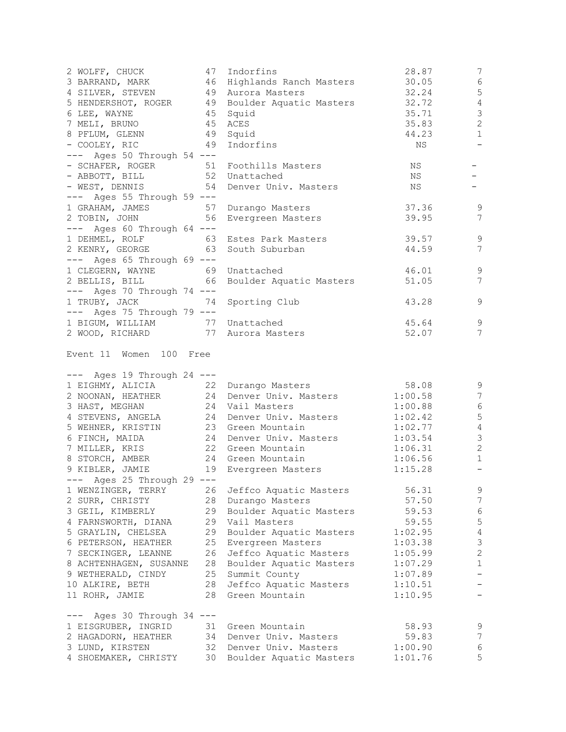| 2 WOLFF, CHUCK 47 Indorfins<br>3 BARRAND, MARK 46 Highlands Ranch Masters<br>4 SILVER, STEVEN 49 Aurora Masters<br>5 HENDERSHOT, ROGER 49 Boulder Aquatic Masters<br>6 LEE, WAYNE<br>7 MELI, BRUNO<br>8 PFLUM, GLENN<br>- COOLEY, RIC<br>--- Ages 50 Through 54 ---<br>- SCHAFER, ROGER 51 Foothills Masters | 45 Squid<br>45 ACES<br>49 Squid<br>49 Indorfins | 28.87<br>30.05<br>32.24<br>32.72<br>35.71<br>35.83<br>44.23<br>ΝS<br>NS | 7<br>$\sqrt{6}$<br>$\mathsf S$<br>$\sqrt{4}$<br>3<br>$\mathbf{2}$<br>$\mathbf 1$<br>$\overline{\phantom{m}}$<br>Ξ. |
|--------------------------------------------------------------------------------------------------------------------------------------------------------------------------------------------------------------------------------------------------------------------------------------------------------------|-------------------------------------------------|-------------------------------------------------------------------------|--------------------------------------------------------------------------------------------------------------------|
| - ABBOTT, BILL 52 Unattached<br>- WEST, DENNIS 54 Denver Univ. Masters<br>$---$ Ages 55 Through 59 $---$                                                                                                                                                                                                     |                                                 | NS<br>NS                                                                | $-$                                                                                                                |
| 1 GRAHAM, JAMES 57 Durango Masters<br>2 TOBIN, JOHN<br>56<br>$---$ Ages 60 Through 64 $---$                                                                                                                                                                                                                  | Evergreen Masters                               | 37.36<br>39.95                                                          | 9<br>7                                                                                                             |
| 1 DEHMEL, ROLF<br>2 KENRY, GEORGE 63 South Suburban<br>$---$ Ages 65 Through 69 $---$<br>1 CLEGERN, WAYNE 69 Unattached                                                                                                                                                                                      | 63 Estes Park Masters                           | 39.57<br>44.59<br>46.01                                                 | $\mathsf 9$<br>7<br>9                                                                                              |
| 2 BELLIS, BILL 66 Boulder Aquatic Masters<br>$---$ Ages 70 Through 74 $---$                                                                                                                                                                                                                                  |                                                 | 51.05                                                                   | 7                                                                                                                  |
| 1 TRUBY, JACK<br>74<br>$---$ Ages 75 Through 79 $---$<br>1 BIGUM, WILLIAM 77 Unattached<br>2 WOOD, RICHARD 77 Aurora Masters                                                                                                                                                                                 | Sporting Club                                   | 43.28<br>45.64                                                          | 9<br>9                                                                                                             |
| Event 11 Women 100 Free<br>$---$ Ages 19 Through 24 $---$                                                                                                                                                                                                                                                    |                                                 | 52.07                                                                   | 7                                                                                                                  |
| 1 EIGHMY, ALICIA 22 Durango Masters                                                                                                                                                                                                                                                                          |                                                 | 58.08                                                                   | 9                                                                                                                  |
| 2 NOONAN, HEATHER                                                                                                                                                                                                                                                                                            | 24 Denver Univ. Masters                         | 1:00.58                                                                 | $7\phantom{.0}$                                                                                                    |
| 3 HAST, MEGHAN                                                                                                                                                                                                                                                                                               |                                                 | 1:00.88                                                                 | $\sqrt{6}$                                                                                                         |
| 4 STEVENS, ANGELA                                                                                                                                                                                                                                                                                            | 24 Vail Masters<br>24 Denver Univ. Masters      | 1:02.42                                                                 | 5                                                                                                                  |
| 5 WEHNER, KRISTIN 23 Green Mountain<br>6 FINCH, MAIDA 24 Denver Univ. Masters                                                                                                                                                                                                                                |                                                 | 1:02.77                                                                 | $\sqrt{4}$                                                                                                         |
|                                                                                                                                                                                                                                                                                                              |                                                 | 1:03.54                                                                 | $\mathfrak{Z}$                                                                                                     |
| 7 MILLER, KRIS 22 Green Mountain                                                                                                                                                                                                                                                                             |                                                 | 1:06.31                                                                 | $\mathbf{2}$                                                                                                       |
| 8 STORCH, AMBER 24 Green Mountain                                                                                                                                                                                                                                                                            |                                                 | 1:06.56                                                                 | $\mathbf{1}$                                                                                                       |
| 9 KIBLER, JAMIE<br>Ages 25 Through 29 ---<br>1 WENZINGER, TERRY                                                                                                                                                                                                                                              | 19 Evergreen Masters                            | 1:15.28                                                                 | $\overline{\phantom{a}}$                                                                                           |
| 26<br>28<br>2 SURR, CHRISTY                                                                                                                                                                                                                                                                                  | Jeffco Aquatic Masters<br>Durango Masters       | 56.31<br>57.50                                                          | $\mathsf 9$<br>$\boldsymbol{7}$                                                                                    |
| 29<br>3 GEIL, KIMBERLY                                                                                                                                                                                                                                                                                       | Boulder Aquatic Masters                         | 59.53                                                                   | $\epsilon$                                                                                                         |
| 29<br>4 FARNSWORTH, DIANA                                                                                                                                                                                                                                                                                    | Vail Masters                                    | 59.55                                                                   | $\mathbf 5$                                                                                                        |
| 5 GRAYLIN, CHELSEA<br>29                                                                                                                                                                                                                                                                                     | Boulder Aquatic Masters                         | 1:02.95                                                                 | $\sqrt{4}$                                                                                                         |
| 6 PETERSON, HEATHER<br>25                                                                                                                                                                                                                                                                                    | Evergreen Masters                               | 1:03.38                                                                 | $\mathfrak{Z}$                                                                                                     |
| 26<br>7 SECKINGER, LEANNE                                                                                                                                                                                                                                                                                    | Jeffco Aquatic Masters                          | 1:05.99                                                                 | $\mathbf{2}$                                                                                                       |
| 8 ACHTENHAGEN, SUSANNE<br>28                                                                                                                                                                                                                                                                                 | Boulder Aquatic Masters                         | 1:07.29                                                                 | $\mathbf{1}$                                                                                                       |
| 9 WETHERALD, CINDY<br>25                                                                                                                                                                                                                                                                                     | Summit County                                   | 1:07.89                                                                 | $\qquad \qquad -$                                                                                                  |
| 10 ALKIRE, BETH<br>28                                                                                                                                                                                                                                                                                        | Jeffco Aquatic Masters                          | 1:10.51                                                                 | $\overline{\phantom{0}}$                                                                                           |
| 11 ROHR, JAMIE<br>28                                                                                                                                                                                                                                                                                         | Green Mountain                                  | 1:10.95                                                                 |                                                                                                                    |
| --- Ages 30 Through 34 ---                                                                                                                                                                                                                                                                                   |                                                 |                                                                         |                                                                                                                    |
| 1 EISGRUBER, INGRID<br>31                                                                                                                                                                                                                                                                                    | Green Mountain                                  | 58.93                                                                   | $\mathsf 9$                                                                                                        |
| 2 HAGADORN, HEATHER<br>34                                                                                                                                                                                                                                                                                    | Denver Univ. Masters                            | 59.83                                                                   | 7                                                                                                                  |
| 3 LUND, KIRSTEN<br>32<br>4 SHOEMAKER, CHRISTY<br>30                                                                                                                                                                                                                                                          | Denver Univ. Masters<br>Boulder Aquatic Masters | 1:00.90<br>1:01.76                                                      | 6<br>5                                                                                                             |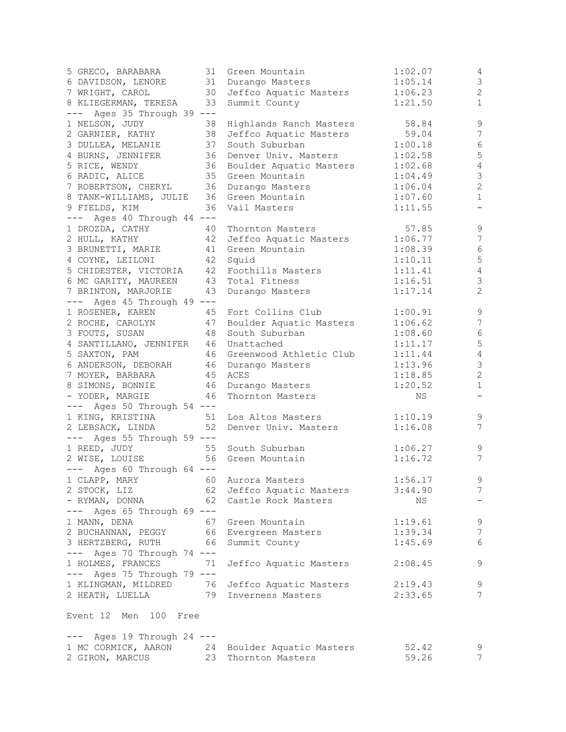| 5 GRECO, BARABARA                     | 31 | Green Mountain                                 | 1:02.07 | 4                         |
|---------------------------------------|----|------------------------------------------------|---------|---------------------------|
| 6 DAVIDSON, LENORE                    |    | 31 Durango Masters                             | 1:05.14 | $\mathsf 3$               |
| 7 WRIGHT, CAROL                       |    | 30 Jeffco Aquatic Masters                      | 1:06.23 | $\sqrt{2}$                |
| 8 KLIEGERMAN, TERESA                  |    | 33 Summit County                               | 1:21.50 | $\mathbf{1}$              |
| --- Ages 35 Through 39 ---            |    |                                                |         |                           |
| 1 NELSON, JUDY                        | 38 | Highlands Ranch Masters                        | 58.84   | 9                         |
| 2 GARNIER, KATHY                      | 38 | Jeffco Aquatic Masters                         | 59.04   | 7                         |
|                                       | 37 | South Suburban                                 |         | $\sqrt{6}$                |
| 3 DULLEA, MELANIE                     |    |                                                | 1:00.18 |                           |
| 4 BURNS, JENNIFER                     | 36 | Denver Univ. Masters                           | 1:02.58 | $\mathsf S$               |
| 5 RICE, WENDY                         |    | 36 Boulder Aquatic Masters                     | 1:02.68 | $\sqrt{4}$                |
| 6 RADIC, ALICE                        |    | 35 Green Mountain                              | 1:04.49 | $\ensuremath{\mathsf{3}}$ |
| 7 ROBERTSON, CHERYL                   |    | 36 Durango Masters                             | 1:06.04 | $\sqrt{2}$                |
| 8 TANK-WILLIAMS, JULIE                |    | 36 Green Mountain                              | 1:07.60 | $1\,$                     |
| 9 FIELDS, KIM                         |    | 36 Vail Masters                                | 1:11.55 | $\qquad \qquad -$         |
| --- Ages 40 Through 44 ---            |    |                                                |         |                           |
| 1 DROZDA, CATHY                       | 40 | Thornton Masters                               | 57.85   | $\mathsf 9$               |
| 2 HULL, KATHY                         |    | 42 Jeffco Aquatic Masters                      | 1:06.77 | $\overline{7}$            |
| 3 BRUNETTI, MARIE                     |    | 41 Green Mountain                              | 1:08.39 | $\sqrt{6}$                |
| 4 COYNE, LEILONI                      |    | 42 Squid                                       | 1:10.11 | $\mathsf S$               |
| 5 CHIDESTER, VICTORIA                 |    | 42 Foothills Masters                           | 1:11.41 | $\sqrt{4}$                |
| 6 MC GARITY, MAUREEN                  |    | 43 Total Fitness                               | 1:16.51 | $\mathfrak{Z}$            |
| 7 BRINTON, MARJORIE                   | 43 | Durango Masters                                | 1:17.14 | $\mathbf{2}$              |
| $---$ Ages 45 Through 49 $---$        |    |                                                |         |                           |
| 1 ROSENER, KAREN                      | 45 | Fort Collins Club                              |         | 9                         |
|                                       |    |                                                | 1:00.91 |                           |
| 2 ROCHE, CAROLYN                      |    | 47 Boulder Aquatic Masters                     | 1:06.62 | 7                         |
| 3 FOUTS, SUSAN                        | 48 | South Suburban                                 | 1:08.60 | $\sqrt{6}$                |
| 4 SANTILLANO, JENNIFER 46 Unattached  |    |                                                | 1:11.17 | $\mathsf S$               |
| 5 SAXTON, PAM                         |    | 46 Greenwood Athletic Club                     | 1:11.44 | $\sqrt{4}$                |
| 6 ANDERSON, DEBORAH                   |    | 46 Durango Masters                             | 1:13.96 | $\ensuremath{\mathsf{3}}$ |
| 7 MOYER, BARBARA                      |    | 45 ACES                                        | 1:18.85 | $\sqrt{2}$                |
| 8 SIMONS, BONNIE                      |    | 46 Durango Masters                             | 1:20.52 | $1\,$                     |
| - YODER, MARGIE                       | 46 | Thornton Masters                               | NS      | $\overline{\phantom{a}}$  |
| $---$ Ages 50 Through 54 $---$        |    |                                                |         |                           |
| 1 KING, KRISTINA                      | 51 | Los Altos Masters                              | 1:10.19 | 9                         |
| 2 LEBSACK, LINDA                      | 52 | Denver Univ. Masters                           | 1:16.08 | 7                         |
| $---$ Ages 55 Through 59 $---$        |    |                                                |         |                           |
| 1 REED, JUDY                          |    | 55 South Suburban                              | 1:06.27 | $\mathsf 9$               |
| 2 WISE, LOUISE                        |    | 56 Green Mountain                              | 1:16.72 | 7                         |
| $---$ Ages 60 Through 64 $---$        |    |                                                |         |                           |
| 1 CLAPP, MARY 60 Aurora Masters       |    |                                                | 1:56.17 | 9                         |
|                                       |    |                                                | 3:44.90 | $7\phantom{.0}$           |
| 2 STOCK, LIZ                          |    | 62 Jeffco Aquatic Masters                      |         |                           |
| - RYMAN, DONNA 62 Castle Rock Masters |    |                                                | NS      |                           |
| --- Ages 65 Through 69 ---            |    |                                                |         |                           |
| 1 MANN, DENA                          |    | 67 Green Mountain                              | 1:19.61 | 9                         |
| 2 BUCHANNAN, PEGGY                    |    | 66 Evergreen Masters                           | 1:39.34 | $7\phantom{.0}$           |
| 3 HERTZBERG, RUTH                     |    | 66 Summit County                               | 1:45.69 | 6                         |
| --- Ages 70 Through 74 ---            |    |                                                |         |                           |
| 1 HOLMES, FRANCES                     | 71 | Jeffco Aquatic Masters                         | 2:08.45 | $\mathsf 9$               |
| --- Ages 75 Through 79 ---            |    |                                                |         |                           |
|                                       |    | 1 KLINGMAN, MILDRED 76 Jeffco Aquatic Masters  | 2:19.43 | 9                         |
|                                       |    | 2 HEATH, LUELLA 79 Inverness Masters           | 2:33.65 | 7                         |
|                                       |    |                                                |         |                           |
| Event 12 Men 100 Free                 |    |                                                |         |                           |
|                                       |    |                                                |         |                           |
| $---$ Ages 19 Through 24 $---$        |    |                                                |         |                           |
|                                       |    | 1 MC CORMICK, AARON 24 Boulder Aquatic Masters | 52.42   | 9                         |
| 2 GIRON, MARCUS                       |    | 23 Thornton Masters                            | 59.26   | 7                         |
|                                       |    |                                                |         |                           |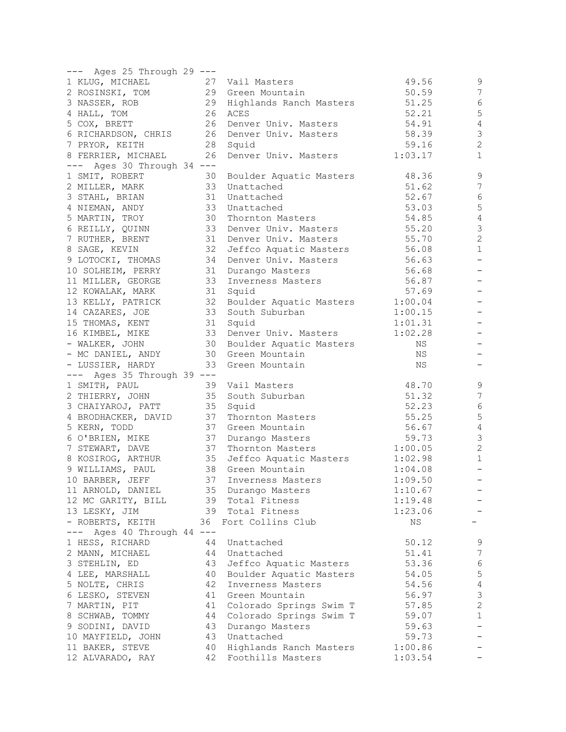| --- Ages 25 Through 29 ---      |    |                            |             |                   |
|---------------------------------|----|----------------------------|-------------|-------------------|
| 1 KLUG, MICHAEL                 |    | 27 Vail Masters            | 49.56       | 9                 |
| 2 ROSINSKI, TOM                 |    | 29 Green Mountain          | 50.59       | 7                 |
| 3 NASSER, ROB                   |    | 29 Highlands Ranch Masters | 51.25       | $\epsilon$        |
| 4 HALL, TOM                     |    | 26 ACES                    | 52.21       | 5                 |
|                                 |    | 26 Denver Univ. Masters    | 54.91       | $\sqrt{4}$        |
| 5 COX, BRETT                    |    |                            |             | $\mathcal{S}$     |
| 6 RICHARDSON, CHRIS             |    | 26 Denver Univ. Masters    | 58.39       | $\overline{c}$    |
| 7 PRYOR, KEITH                  |    | 28 Squid                   | 59.16       |                   |
| 8 FERRIER, MICHAEL              | 26 | Denver Univ. Masters       | 1:03.17     | $\mathbf{1}$      |
| --- Ages 30 Through 34 ---      |    |                            |             |                   |
| 1 SMIT, ROBERT                  | 30 | Boulder Aquatic Masters    | 48.36       | 9                 |
| 2 MILLER, MARK                  |    | 33 Unattached              | 51.62       | 7                 |
| 3 STAHL, BRIAN                  |    | 31 Unattached              | 52.67       | $\epsilon$        |
| 4 NIEMAN, ANDY                  |    | 33 Unattached              | 53.03       | 5                 |
| 5 MARTIN, TROY                  |    | 30 Thornton Masters        | 54.85       | $\sqrt{4}$        |
| 6 REILLY, QUINN                 |    | 33 Denver Univ. Masters    | 55.20       | 3                 |
| 7 RUTHER, BRENT                 |    | 31 Denver Univ. Masters    | 55.70       | $\mathbf{2}$      |
| 8 SAGE, KEVIN                   |    | 32 Jeffco Aquatic Masters  | 56.08       | $\mathbf{1}$      |
| 9 LOTOCKI, THOMAS               | 34 | Denver Univ. Masters       | 56.63       | $\qquad \qquad -$ |
| 10 SOLHEIM, PERRY               |    | 31 Durango Masters         | 56.68       |                   |
| 11 MILLER, GEORGE               |    | 33 Inverness Masters       | 56.87       |                   |
| 12 KOWALAK, MARK                |    | 31 Squid                   | 57.69       |                   |
| 13 KELLY, PATRICK               |    | 32 Boulder Aquatic Masters | 1:00.04     |                   |
| 14 CAZARES, JOE                 |    | 33 South Suburban          | 1:00.15     |                   |
| 15 THOMAS, KENT                 |    | 31 Squid                   | 1:01.31     |                   |
| 16 KIMBEL, MIKE                 |    | 33 Denver Univ. Masters    | 1:02.28     |                   |
| - WALKER, JOHN                  |    | 30 Boulder Aquatic Masters | ΝS          |                   |
| - MC DANIEL, ANDY               |    | 30 Green Mountain          | ΝS          |                   |
| - LUSSIER, HARDY                | 33 | Green Mountain             | ΝS          |                   |
| Ages 35 Through 39 ---<br>$---$ |    |                            |             |                   |
| 1 SMITH, PAUL                   |    | 39 Vail Masters            | 48.70       | 9                 |
| 2 THIERRY, JOHN                 |    | 35 South Suburban          | 51.32       | $\sqrt{}$         |
| 3 CHAIYAROJ, PATT               |    | 35 Squid                   | 52.23       | $\sqrt{6}$        |
| 4 BRODHACKER, DAVID             |    | 37 Thornton Masters        | 55.25       | 5                 |
| 5 KERN, TODD                    | 37 | Green Mountain             | 56.67       | $\sqrt{4}$        |
|                                 |    | 37 Durango Masters         | 59.73       | $\mathsf 3$       |
| 6 O'BRIEN, MIKE                 |    | 37 Thornton Masters        |             | $\mathbf{2}$      |
| 7 STEWART, DAVE                 |    |                            | 1:00.05     | $1\,$             |
| 8 KOSIROG, ARTHUR               |    | 35 Jeffco Aquatic Masters  | 1:02.98     |                   |
| 9 WILLIAMS, PAUL                | 38 | Green Mountain             | 1:04.08     |                   |
| 10 BARBER, JEFF                 | 37 | Inverness Masters          | 1:09.50     |                   |
| 11 ARNOLD, DANIEL               |    | 35 Durango Masters         | 1:10.67     |                   |
| 12 MC GARITY, BILL              |    | 39 Total Fitness           | 1:19.48     |                   |
| 13 LESKY, JIM                   |    | 39 Total Fitness           | 1:23.06     |                   |
| - ROBERTS, KEITH                | 36 | Fort Collins Club          | $_{\rm NS}$ |                   |
| Ages 40 Through 44 ---<br>$---$ |    |                            |             |                   |
| 1 HESS, RICHARD                 | 44 | Unattached                 | 50.12       | 9                 |
| 2 MANN, MICHAEL                 | 44 | Unattached                 | 51.41       | 7                 |
| 3 STEHLIN, ED                   | 43 | Jeffco Aquatic Masters     | 53.36       | $\sqrt{6}$        |
| 4 LEE, MARSHALL                 | 40 | Boulder Aquatic Masters    | 54.05       | $\mathsf S$       |
| 5 NOLTE, CHRIS                  | 42 | Inverness Masters          | 54.56       | $\sqrt{4}$        |
| 6 LESKO, STEVEN                 | 41 | Green Mountain             | 56.97       | $\mathfrak{Z}$    |
| 7 MARTIN, PIT                   | 41 | Colorado Springs Swim T    | 57.85       | $\sqrt{2}$        |
| 8 SCHWAB, TOMMY                 | 44 | Colorado Springs Swim T    | 59.07       | $\mathbf{1}$      |
| 9 SODINI, DAVID                 | 43 | Durango Masters            | 59.63       |                   |
| 10 MAYFIELD, JOHN               |    | 43 Unattached              | 59.73       | -                 |
| 11 BAKER, STEVE                 | 40 | Highlands Ranch Masters    | 1:00.86     |                   |
| 12 ALVARADO, RAY                | 42 | Foothills Masters          | 1:03.54     |                   |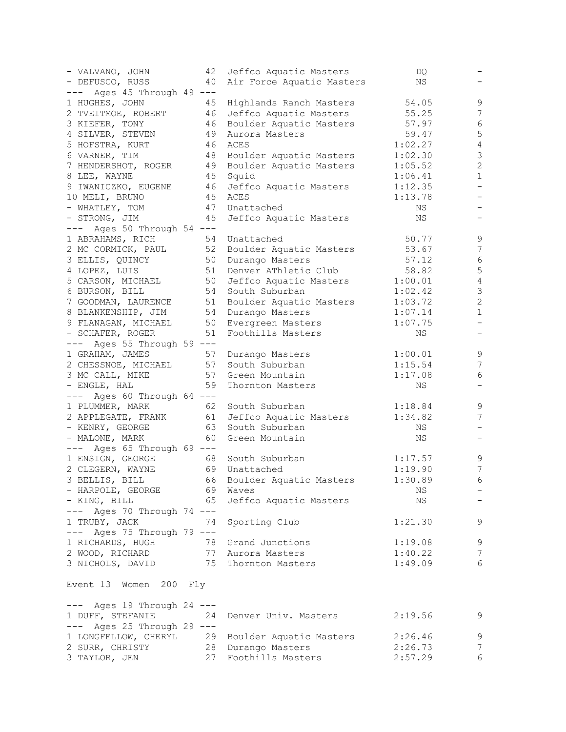| - VALVANO, JOHN                                 | 42 | Jeffco Aquatic Masters                          | DQ      |                       |
|-------------------------------------------------|----|-------------------------------------------------|---------|-----------------------|
| - DEFUSCO, RUSS                                 | 40 | Air Force Aquatic Masters                       | ΝS      |                       |
| Ages 45 Through 49 ---<br>———                   |    |                                                 |         |                       |
| 1 HUGHES, JOHN                                  | 45 | Highlands Ranch Masters                         | 54.05   | 9                     |
| 2 TVEITMOE, ROBERT                              |    | 46 Jeffco Aquatic Masters                       | 55.25   | $\overline{7}$        |
| 3 KIEFER, TONY                                  | 46 | Boulder Aquatic Masters                         | 57.97   | $\epsilon$            |
| 4 SILVER, STEVEN                                | 49 | Aurora Masters                                  | 59.47   | 5                     |
| 5 HOFSTRA, KURT                                 | 46 | ACES                                            | 1:02.27 | $\sqrt{4}$            |
| 6 VARNER, TIM                                   |    | 48 Boulder Aquatic Masters                      | 1:02.30 | $\mathfrak{Z}$        |
| 7 HENDERSHOT, ROGER                             |    | 49 Boulder Aquatic Masters                      | 1:05.52 | $\sqrt{2}$            |
| 8 LEE, WAYNE                                    | 45 | Squid                                           | 1:06.41 | $1\,$                 |
| 9 IWANICZKO, EUGENE                             | 46 | Jeffco Aquatic Masters                          | 1:12.35 | $\qquad \qquad -$     |
| 10 MELI, BRUNO                                  | 45 | ACES                                            | 1:13.78 | -                     |
| - WHATLEY, TOM                                  |    | 47 Unattached                                   | NS      |                       |
| - STRONG, JIM                                   | 45 | Jeffco Aquatic Masters                          | ΝS      |                       |
| Ages 50 Through 54 ---                          |    |                                                 |         |                       |
| $---$                                           |    |                                                 |         |                       |
| 1 ABRAHAMS, RICH                                |    | 54 Unattached                                   | 50.77   | 9<br>$\boldsymbol{7}$ |
| 2 MC CORMICK, PAUL                              |    | 52 Boulder Aquatic Masters                      | 53.67   |                       |
| 3 ELLIS, QUINCY                                 | 50 | Durango Masters                                 | 57.12   | 6                     |
| 4 LOPEZ, LUIS                                   | 51 | Denver AThletic Club                            | 58.82   | 5                     |
| 5 CARSON, MICHAEL                               |    | 50 Jeffco Aquatic Masters                       | 1:00.01 | $\sqrt{4}$            |
| 6 BURSON, BILL                                  | 54 | South Suburban                                  | 1:02.42 | $\mathfrak{Z}$        |
| 7 GOODMAN, LAURENCE                             |    | 51 Boulder Aquatic Masters                      | 1:03.72 | $\overline{c}$        |
| 8 BLANKENSHIP, JIM                              |    | 54 Durango Masters                              | 1:07.14 | $\mathbf{1}$          |
| 9 FLANAGAN, MICHAEL                             | 50 | Evergreen Masters                               | 1:07.75 | $\qquad \qquad -$     |
| - SCHAFER, ROGER                                | 51 | Foothills Masters                               | NS      |                       |
| Ages 55 Through 59 ---<br>$---$                 |    |                                                 |         |                       |
| 1 GRAHAM, JAMES                                 |    | 57 Durango Masters                              | 1:00.01 | 9                     |
| 2 CHESSNOE, MICHAEL                             |    | 57 South Suburban                               | 1:15.54 | 7                     |
| 3 MC CALL, MIKE                                 |    | 57 Green Mountain                               | 1:17.08 | 6                     |
| - ENGLE, HAL                                    | 59 | Thornton Masters                                | ΝS      |                       |
| Ages 60 Through 64 ---<br>$\qquad \qquad - - -$ |    |                                                 |         |                       |
| 1 PLUMMER, MARK                                 | 62 | South Suburban                                  | 1:18.84 | 9                     |
| 2 APPLEGATE, FRANK                              |    | 61 Jeffco Aquatic Masters                       | 1:34.82 | $\overline{7}$        |
| - KENRY, GEORGE                                 | 63 | South Suburban                                  | NS      |                       |
| - MALONE, MARK                                  | 60 | Green Mountain                                  | ΝS      |                       |
| --- Ages 65 Through 69 ---                      |    |                                                 |         |                       |
| 1 ENSIGN, GEORGE                                |    | 68 South Suburban                               | 1:17.57 | $\mathsf 9$           |
| 2 CLEGERN, WAYNE                                |    | 69 Unattached                                   | 1:19.90 | 7                     |
| 3 BELLIS, BILL                                  |    | 66 Boulder Aquatic Masters                      | 1:30.89 | $6\,$                 |
| - HARPOLE, GEORGE 69                            |    | Waves                                           | ΝS      |                       |
| - KING, BILL                                    | 65 | Jeffco Aquatic Masters                          | NS      |                       |
| $---$ Ages 70 Through 74 $---$                  |    |                                                 |         |                       |
| 1 TRUBY, JACK 74                                |    | Sporting Club                                   | 1:21.30 | 9                     |
| $---$ Ages 75 Through 79 $---$                  |    |                                                 |         |                       |
| 1 RICHARDS, HUGH 78 Grand Junctions             |    |                                                 | 1:19.08 | 9                     |
| 2 WOOD, RICHARD                                 |    | 77 Aurora Masters                               | 1:40.22 | $\overline{7}$        |
| 3 NICHOLS, DAVID 75 Thornton Masters            |    |                                                 |         | 6                     |
|                                                 |    |                                                 | 1:49.09 |                       |
| Event 13 Women 200 Fly                          |    |                                                 |         |                       |
|                                                 |    |                                                 |         |                       |
| --- Ages 19 Through 24 ---                      |    |                                                 |         |                       |
| 1 DUFF, STEFANIE                                | 24 | Denver Univ. Masters                            | 2:19.56 | 9                     |
| $---$ Ages 25 Through 29 $---$                  |    |                                                 |         |                       |
|                                                 |    | 1 LONGFELLOW, CHERYL 29 Boulder Aquatic Masters | 2:26.46 | 9                     |
| 2 SURR, CHRISTY 28 Durango Masters              |    |                                                 | 2:26.73 | 7                     |
| 3 TAYLOR, JEN                                   |    | 27 Foothills Masters                            | 2:57.29 | 6                     |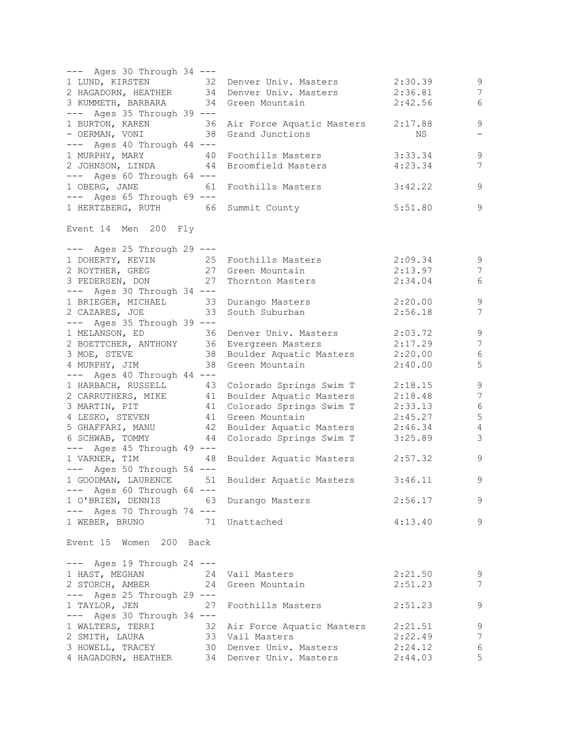| $---$ Ages 30 Through 34 $---$                                                                       |                                                                                                                                                     |         |                          |
|------------------------------------------------------------------------------------------------------|-----------------------------------------------------------------------------------------------------------------------------------------------------|---------|--------------------------|
| 1 LUND, KIRSTEN 32 Denver Univ. Masters                                                              |                                                                                                                                                     | 2:30.39 | 9                        |
|                                                                                                      | 2 HAGADORN, HEATHER 34 Denver Univ. Masters                                                                                                         | 2:36.81 | $\overline{7}$           |
| 3 KUMMETH, BARBARA 34 Green Mountain                                                                 |                                                                                                                                                     | 2:42.56 | 6                        |
| $---$ Ages 35 Through 39 $---$                                                                       |                                                                                                                                                     |         |                          |
|                                                                                                      | 1 BURTON, KAREN 36 Air Force Aquatic Masters 2:17.88                                                                                                |         | $\mathsf 9$              |
| - OERMAN, VONI 38 Grand Junctions                                                                    |                                                                                                                                                     | NS      | $\overline{\phantom{0}}$ |
| $---$ Ages 40 Through 44 $---$                                                                       |                                                                                                                                                     |         |                          |
|                                                                                                      |                                                                                                                                                     | 3:33.34 | $\mathsf 9$              |
| 1 MURPHY, MARY 40 Foothills Masters<br>2 JOHNSON, LINDA 44 Broomfield Masters                        |                                                                                                                                                     | 4:23.34 | $7\phantom{.0}$          |
|                                                                                                      |                                                                                                                                                     |         |                          |
| --- Ages 60 Through 64 ---                                                                           |                                                                                                                                                     |         |                          |
| 1 OBERG, JANE 61                                                                                     | Foothills Masters                                                                                                                                   | 3:42.22 | $\mathsf 9$              |
| --- Ages 65 Through 69 ---                                                                           |                                                                                                                                                     |         |                          |
| 1 HERTZBERG, RUTH 66 Summit County                                                                   |                                                                                                                                                     | 5:51.80 | 9                        |
| Event 14 Men 200 Fly                                                                                 |                                                                                                                                                     |         |                          |
| $---$ Ages 25 Through 29 $---$                                                                       |                                                                                                                                                     |         |                          |
| 1 DOHERTY, KEVIN<br>25 Foothills Masters<br>27 Green Mountain<br>3 PEDERSEN, DON 27 Thornton Masters |                                                                                                                                                     | 2:09.34 | 9                        |
|                                                                                                      |                                                                                                                                                     | 2:13.97 | $7\phantom{.0}$          |
|                                                                                                      |                                                                                                                                                     | 2:34.04 | 6                        |
| --- Ages 30 Through 34 ---                                                                           |                                                                                                                                                     |         |                          |
| 1 BRIEGER, MICHAEL 33 Durango Masters                                                                |                                                                                                                                                     | 2:20.00 | $\overline{9}$           |
| 2 CAZARES, JOE 33                                                                                    | South Suburban                                                                                                                                      | 2:56.18 | 7                        |
| $---$ Ages 35 Through 39 $---$                                                                       |                                                                                                                                                     |         |                          |
|                                                                                                      |                                                                                                                                                     | 2:03.72 | $\mathsf 9$              |
| 1 MELANSON, ED 36 Denver Univ. Masters                                                               |                                                                                                                                                     | 2:17.29 | $7\phantom{.0}$          |
| 2 BOETTCHER, ANTHONY 36 Evergreen Masters                                                            |                                                                                                                                                     |         |                          |
|                                                                                                      | 3 MOE, STEVE 38 Boulder Aquatic Masters 2:20.00<br>4 MURPHY, JIM 38 Green Mountain 2:40.00                                                          |         | $\sqrt{6}$               |
|                                                                                                      |                                                                                                                                                     |         | $\mathsf S$              |
| --- Ages 40 Through 44 ---                                                                           |                                                                                                                                                     |         |                          |
|                                                                                                      | 1 HARBACH, RUSSELL 43 Colorado Springs Swim T 2:18.15                                                                                               |         | $\mathsf 9$              |
|                                                                                                      | 2 CARRUTHERS, MIKE 41 Boulder Aquatic Masters 2:18.48                                                                                               |         | $\sqrt{ }$               |
|                                                                                                      | 3 MARTIN, PIT 41 Colorado Springs Swim T                                                                                                            | 2:33.13 | $\epsilon$               |
| 4 LESKO, STEVEN 41 Green Mountain                                                                    |                                                                                                                                                     | 2:45.27 | 5                        |
|                                                                                                      | 5 GHAFFARI, MANU 42 Boulder Aquatic Masters 2:46.34                                                                                                 |         | $\overline{4}$           |
| 6 SCHWAB, TOMMY                                                                                      | 44 Colorado Springs Swim T                                                                                                                          | 3:25.89 | $\mathcal{S}$            |
| --- Ages 45 Through 49 ---                                                                           |                                                                                                                                                     |         |                          |
|                                                                                                      | 1 VARNER, TIM 48 Boulder Aquatic Masters                                                                                                            | 2:57.32 | 9                        |
|                                                                                                      |                                                                                                                                                     |         |                          |
| --- Ages 50 Through 54 ---                                                                           |                                                                                                                                                     |         |                          |
|                                                                                                      | 1 GOODMAN, LAURENCE 51 Boulder Aquatic Masters                                                                                                      | 3:46.11 | 9                        |
| $---$ Ages 60 Through 64 $---$                                                                       |                                                                                                                                                     |         |                          |
| 1 O'BRIEN, DENNIS                                                                                    | 63 Durango Masters                                                                                                                                  | 2:56.17 | 9                        |
| --- Ages 70 Through 74 ---                                                                           |                                                                                                                                                     |         |                          |
| 1 WEBER, BRUNO 71 Unattached                                                                         |                                                                                                                                                     | 4:13.40 | 9                        |
| Event 15 Women 200 Back                                                                              |                                                                                                                                                     |         |                          |
| $---$ Ages 19 Through 24 $---$                                                                       |                                                                                                                                                     |         |                          |
| 1 HAST, MEGHAN 24 Vail Masters                                                                       |                                                                                                                                                     | 2:21.50 | 9                        |
| 2 STORCH, AMBER 24 Green Mountain                                                                    |                                                                                                                                                     | 2:51.23 | 7                        |
| $---$ Ages 25 Through 29 $---$                                                                       |                                                                                                                                                     |         |                          |
| 1 TAYLOR, JEN                                                                                        | 27 Foothills Masters                                                                                                                                | 2:51.23 | 9                        |
| --- Ages 30 Through 34 ---                                                                           |                                                                                                                                                     |         |                          |
|                                                                                                      |                                                                                                                                                     |         |                          |
|                                                                                                      | 1 WALTERS, TERRI 32 Air Force Aquatic Masters 2:21.51<br>2 SMITH, LAURA 33 Vail Masters 2:22.49<br>3 HOWELL, TRACEY 30 Denver Univ. Masters 2:24.12 |         | 9                        |
|                                                                                                      |                                                                                                                                                     |         | $7\phantom{.0}$          |
|                                                                                                      |                                                                                                                                                     |         | $\sqrt{6}$               |
|                                                                                                      | 4 HAGADORN, HEATHER 34 Denver Univ. Masters 2:44.03                                                                                                 |         | 5                        |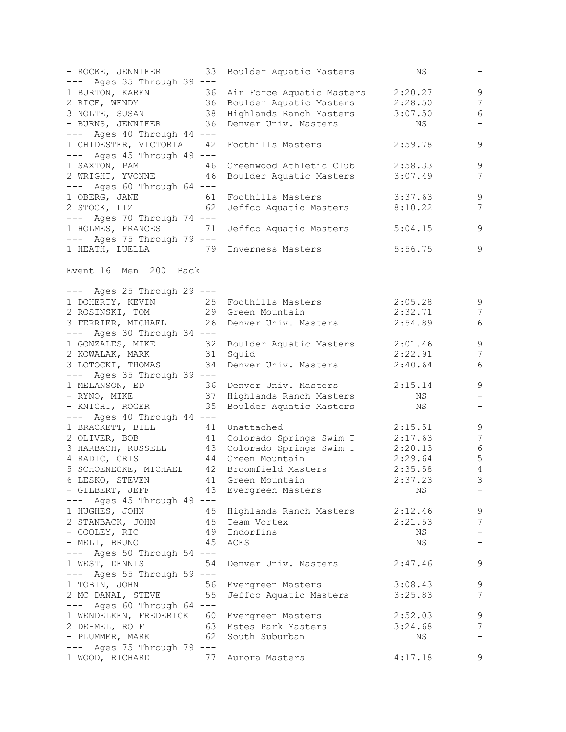| $---$ Ages 35 Through 39 $---$                                              | - ROCKE, JENNIFER 33 Boulder Aquatic Masters                                                                                                                  | NS        | $-$                        |
|-----------------------------------------------------------------------------|---------------------------------------------------------------------------------------------------------------------------------------------------------------|-----------|----------------------------|
|                                                                             |                                                                                                                                                               |           |                            |
|                                                                             |                                                                                                                                                               |           | 9                          |
|                                                                             | 1 BURTON, KAREN 36 Air Force Aquatic Masters 2:20.27<br>2 RICE, WENDY 36 Boulder Aquatic Masters 2:28.50<br>3 NOLTE, SUSAN 38 Highlands Ranch Masters 3:07.50 |           | $7\phantom{.0}$            |
|                                                                             |                                                                                                                                                               | 3:07.50   | 6                          |
| - BURNS, JENNIFER 36 Denver Univ. Masters<br>$---$ Ages 40 Through 44 $---$ |                                                                                                                                                               | NS        | $\overline{\phantom{a}}$   |
| 1 CHIDESTER, VICTORIA 42                                                    | Foothills Masters                                                                                                                                             | 2:59.78   | 9                          |
| $---$ Ages 45 Through 49 $---$                                              |                                                                                                                                                               |           |                            |
|                                                                             | Greenwood Athletic Club 2:58.33                                                                                                                               |           | $\mathsf 9$                |
| 1 SAXTON, PAM 46                                                            |                                                                                                                                                               |           | 7                          |
| 2 WRIGHT, YVONNE 46                                                         | Boulder Aquatic Masters                                                                                                                                       | 3:07.49   |                            |
| $---$ Ages 60 Through 64 $---$                                              |                                                                                                                                                               |           |                            |
| 1 OBERG, JANE 61<br>2 STOCK, LIZ 62                                         | Foothills Masters                                                                                                                                             | 3:37.63   | $\mathsf 9$                |
|                                                                             | Jeffco Aquatic Masters 8:10.22                                                                                                                                |           | 7                          |
| $---$ Ages 70 Through 74 $---$                                              |                                                                                                                                                               |           |                            |
|                                                                             | 1 HOLMES, FRANCES 71 Jeffco Aquatic Masters                                                                                                                   | 5:04.15   | 9                          |
| $---$ Ages 75 Through 79 $---$                                              |                                                                                                                                                               |           |                            |
|                                                                             | 1 HEATH, LUELLA 79 Inverness Masters                                                                                                                          | 5:56.75   | 9                          |
| Event 16 Men 200 Back                                                       |                                                                                                                                                               |           |                            |
| $---$ Ages 25 Through 29 $---$                                              |                                                                                                                                                               |           |                            |
|                                                                             |                                                                                                                                                               | 2:05.28   | 9                          |
|                                                                             | 1 DOHERTY, KEVIN 25 Foothills Masters<br>2 ROSINSKI, TOM 29 Green Mountain                                                                                    | 2:32.71   | 7                          |
|                                                                             | 3 FERRIER, MICHAEL 26 Denver Univ. Masters                                                                                                                    | 2:54.89   | 6                          |
| $---$ Ages 30 Through 34 $---$                                              |                                                                                                                                                               |           |                            |
|                                                                             | 1 GONZALES, MIKE 32 Boulder Aquatic Masters 2:01.46                                                                                                           |           | 9                          |
| 2 KOWALAK, MARK 31 Squid                                                    |                                                                                                                                                               | 2:22.91   | $7\phantom{.0}$            |
|                                                                             | 3 LOTOCKI, THOMAS 34 Denver Univ. Masters                                                                                                                     | 2:40.64   | 6                          |
|                                                                             |                                                                                                                                                               |           |                            |
| $---$ Ages 35 Through 39 $---$                                              |                                                                                                                                                               |           |                            |
|                                                                             | 1 MELANSON, ED 36 Denver Univ. Masters<br>- RYNO, MIKE 37 Highlands Ranch Masters                                                                             | 2:15.14   | 9                          |
|                                                                             |                                                                                                                                                               | NS        | $\overline{\phantom{a}}$   |
| - KNIGHT, ROGER 35                                                          | Boulder Aquatic Masters                                                                                                                                       | <b>NS</b> | $\qquad \qquad -$          |
| $---$ Ages 40 Through 44 $---$                                              |                                                                                                                                                               |           |                            |
| 1 BRACKETT, BILL 41                                                         | Unattached                                                                                                                                                    | 2:15.51   | 9                          |
|                                                                             | 2 OLIVER, BOB 41 Colorado Springs Swim T 2:17.63                                                                                                              |           | $\overline{7}$             |
|                                                                             | 3 HARBACH, RUSSELL 43 Colorado Springs Swim T 2:20.13                                                                                                         |           | $\sqrt{6}$                 |
| 4 RADIC, CRIS                                                               |                                                                                                                                                               | 2:29.64   | $\mathsf S$                |
|                                                                             | 4 RADIC, CRIS 44 Green Mountain<br>5 SCHOENECKE, MICHAEL 42 Broomfield Masters                                                                                | 2:35.58   | $\overline{4}$             |
|                                                                             | 6 LESKO, STEVEN 41 Green Mountain                                                                                                                             | 2:37.23   | $\overline{\phantom{a}}$ 3 |
| - GILBERT, JEFF                                                             | 43 Evergreen Masters                                                                                                                                          | NS.       | $-$                        |
| $---$ Ages 45 Through 49 $---$                                              |                                                                                                                                                               |           |                            |
| 1 HUGHES, JOHN                                                              |                                                                                                                                                               | 2:12.46   | 9                          |
|                                                                             | 45 Highlands Ranch Masters                                                                                                                                    |           |                            |
| 2 STANBACK, JOHN 45 Team Vortex                                             |                                                                                                                                                               | 2:21.53   | 7                          |
| - COOLEY, RIC                                                               | 49 Indorfins                                                                                                                                                  | NS        | $\overline{\phantom{a}}$   |
| 45<br>- MELI, BRUNO                                                         | ACES                                                                                                                                                          | NS        | $\qquad \qquad -$          |
| $---$ Ages 50 Through 54 $---$                                              |                                                                                                                                                               |           |                            |
| 1 WEST, DENNIS<br>54                                                        | Denver Univ. Masters                                                                                                                                          | 2:47.46   | 9                          |
| --- Ages 55 Through 59 ---                                                  |                                                                                                                                                               |           |                            |
| 1 TOBIN, JOHN                                                               | 56 Evergreen Masters                                                                                                                                          | 3:08.43   | 9                          |
| 2 MC DANAL, STEVE<br>55                                                     | Jeffco Aquatic Masters                                                                                                                                        | 3:25.83   | 7                          |
| $---$ Ages 60 Through 64 $---$                                              |                                                                                                                                                               |           |                            |
| 1 WENDELKEN, FREDERICK 60 Evergreen Masters                                 |                                                                                                                                                               | 2:52.03   | 9                          |
|                                                                             | 2 DEHMEL, ROLF 63 Estes Park Masters                                                                                                                          | 3:24.68   | 7                          |
| 62<br>- PLUMMER, MARK                                                       | South Suburban                                                                                                                                                | NS        | $\overline{\phantom{m}}$   |
| $---$ Ages 75 Through 79 $---$                                              |                                                                                                                                                               |           |                            |
| 1 WOOD, RICHARD                                                             | 77 Aurora Masters                                                                                                                                             | 4:17.18   | 9                          |
|                                                                             |                                                                                                                                                               |           |                            |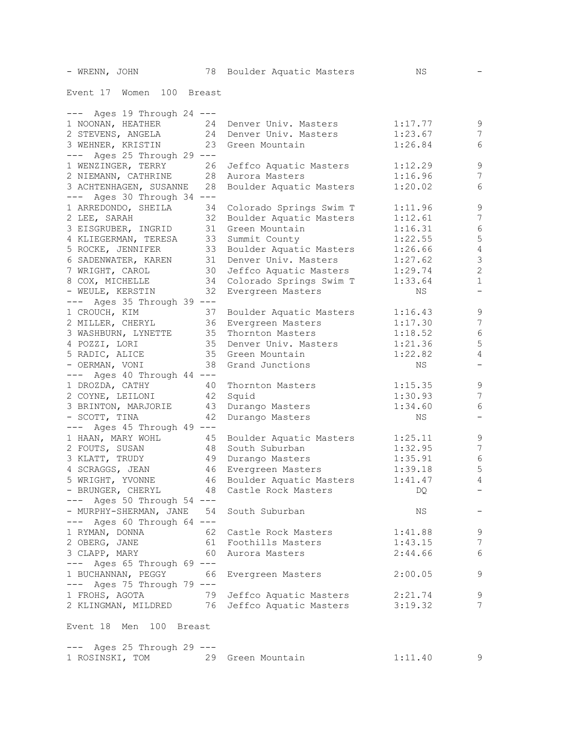Event 17 Women 100 Breast

| $---$ Ages 19 Through 24 $---$                    |                                             |         |                          |
|---------------------------------------------------|---------------------------------------------|---------|--------------------------|
| 1 NOONAN, HEATHER 24 Denver Univ. Masters         |                                             | 1:17.77 | 9                        |
| 2 STEVENS, ANGELA 24 Denver Univ. Masters         |                                             | 1:23.67 | $\overline{7}$           |
| 3 WEHNER, KRISTIN<br>23                           | Green Mountain                              | 1:26.84 | 6                        |
| --- Ages 25 Through 29 ---                        |                                             |         |                          |
| 1 WENZINGER, TERRY<br>26                          | Jeffco Aquatic Masters                      | 1:12.29 | $\mathsf 9$              |
| 2 NIEMANN, CATHRINE 28 Aurora Masters             |                                             | 1:16.96 | $\overline{7}$           |
| 3 ACHTENHAGEN, SUSANNE<br>28                      | Boulder Aquatic Masters                     | 1:20.02 | $\sqrt{6}$               |
| $---$ Ages 30 Through 34 $---$                    |                                             |         |                          |
| 1 ARREDONDO, SHEILA<br>34                         | Colorado Springs Swim T                     | 1:11.96 | $\mathsf 9$              |
| 32<br>2 LEE, SARAH                                | Boulder Aquatic Masters                     | 1:12.61 | $\boldsymbol{7}$         |
| 3 EISGRUBER, INGRID 31 Green Mountain             |                                             | 1:16.31 | $\epsilon$               |
| 4 KLIEGERMAN, TERESA 33 Summit County             |                                             | 1:22.55 | $\mathbf 5$              |
| 5 ROCKE, JENNIFER                                 | 33 Boulder Aquatic Masters                  | 1:26.66 | $\sqrt{4}$               |
| 6 SADENWATER, KAREN 31 Denver Univ. Masters       |                                             | 1:27.62 | $\mathfrak{Z}$           |
| 7 WRIGHT, CAROL                                   | 30 Jeffco Aquatic Masters                   | 1:29.74 | $\mathbf{2}$             |
| 8 COX, MICHELLE                                   | 34 Colorado Springs Swim T                  |         | $1\,$                    |
| 32                                                |                                             | 1:33.64 | $\overline{\phantom{a}}$ |
| - WEULE, KERSTIN                                  | Evergreen Masters                           | ΝS      |                          |
| $---$ Ages 35 Through 39 $---$                    |                                             |         |                          |
| 1 CROUCH, KIM<br>37                               | Boulder Aquatic Masters                     | 1:16.43 | $\mathsf 9$              |
| 2 MILLER, CHERYL 36 Evergreen Masters             |                                             | 1:17.30 | 7                        |
| 3 WASHBURN, LYNETTE 35 Thornton Masters           |                                             | 1:18.52 | $6\,$                    |
| 4 POZZI, LORI                                     | 35 Denver Univ. Masters                     | 1:21.36 | 5                        |
| 5 RADIC, ALICE                                    | 35 Green Mountain                           | 1:22.82 | $\overline{4}$           |
| - OERMAN, VONI                                    | 38 Grand Junctions                          | NS      | $\qquad \qquad -$        |
| $---$ Ages 40 Through 44 $---$                    |                                             |         |                          |
| 1 DROZDA, CATHY                                   | 40 Thornton Masters                         | 1:15.35 | $\mathsf 9$              |
| 2 COYNE, LEILONI                                  | 42 Squid                                    | 1:30.93 | 7                        |
| 3 BRINTON, MARJORIE 43                            | Durango Masters                             | 1:34.60 | 6                        |
| - SCOTT, TINA<br>42                               | Durango Masters                             | NS      |                          |
| $---$ Ages 45 Through 49 $---$                    |                                             |         |                          |
| 1 HAAN, MARY WOHL 45                              | Boulder Aquatic Masters                     | 1:25.11 | $\mathsf 9$              |
| 2 FOUTS, SUSAN<br>48                              | South Suburban                              | 1:32.95 | $7\phantom{.0}$          |
| 3 KLATT, TRUDY                                    | 49 Durango Masters                          | 1:35.91 | $\sqrt{6}$               |
| 4 SCRAGGS, JEAN                                   | 46 Evergreen Masters                        | 1:39.18 | $\mathsf S$              |
|                                                   | 5 WRIGHT, YVONNE 46 Boulder Aquatic Masters | 1:41.47 | $\overline{4}$           |
| - BRUNGER, CHERYL 48 Castle Rock Masters          |                                             | DQ      |                          |
| $---$ Ages 50 Through 54 $---$                    |                                             |         |                          |
| - MURPHY-SHERMAN, JANE 54 South Suburban          |                                             | ΝS      |                          |
| $---$ Ages 60 Through 64 $---$                    |                                             |         |                          |
| 1 RYMAN, DONNA                                    | 62 Castle Rock Masters                      | 1:41.88 | 9                        |
| 2 OBERG, JANE                                     | 61 Foothills Masters                        | 1:43.15 | $\overline{7}$           |
| 3 CLAPP, MARY                                     | 60 Aurora Masters                           | 2:44.66 | 6                        |
| --- Ages 65 Through 69 ---                        |                                             |         |                          |
| 1 BUCHANNAN, PEGGY 66 Evergreen Masters           |                                             | 2:00.05 | 9                        |
| $---$ Ages 75 Through 79 $---$                    |                                             |         |                          |
| 1 FROHS, AGOTA                                    | 79 Jeffco Aquatic Masters                   | 2:21.74 | 9                        |
| 2 KLINGMAN, MILDRED 76 Jeffco Aquatic Masters     |                                             | 3:19.32 | 7                        |
|                                                   |                                             |         |                          |
| Event 18 Men 100 Breast                           |                                             |         |                          |
| $---$ Ages 25 Through 29 $---$<br>1 ROSINSKI, TOM | 29 Green Mountain                           | 1:11.40 | 9                        |
|                                                   |                                             |         |                          |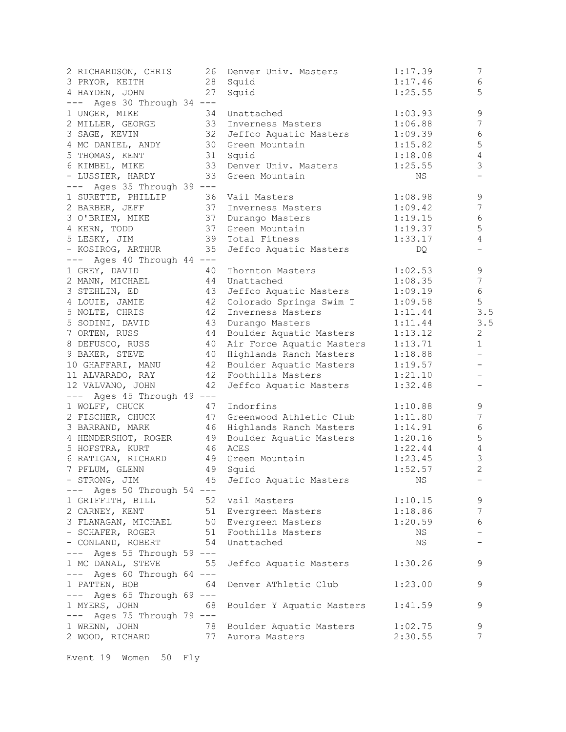| 2 RICHARDSON, CHRIS                      | 26 | Denver Univ. Masters                | 1:17.39 | 7                        |
|------------------------------------------|----|-------------------------------------|---------|--------------------------|
| 3 PRYOR, KEITH                           | 28 | Squid                               | 1:17.46 | 6                        |
| 4 HAYDEN, JOHN                           | 27 | Squid                               | 1:25.55 | 5                        |
| Ages 30 Through 34 ---<br>———            |    |                                     |         |                          |
| 1 UNGER, MIKE                            | 34 | Unattached                          | 1:03.93 | 9                        |
| 2 MILLER, GEORGE                         | 33 | Inverness Masters                   | 1:06.88 | 7                        |
| 3 SAGE, KEVIN                            | 32 | Jeffco Aquatic Masters              | 1:09.39 | 6                        |
| 4 MC DANIEL, ANDY                        | 30 | Green Mountain                      | 1:15.82 | 5                        |
| 5 THOMAS, KENT                           | 31 | Squid                               | 1:18.08 | $\overline{4}$           |
| 6 KIMBEL, MIKE                           | 33 | Denver Univ. Masters                | 1:25.55 | 3                        |
| - LUSSIER, HARDY                         | 33 | Green Mountain                      | NS      |                          |
| --- Ages 35 Through 39 ---               |    |                                     |         |                          |
| 1 SURETTE, PHILLIP                       | 36 | Vail Masters                        | 1:08.98 | 9                        |
| 2 BARBER, JEFF                           | 37 | Inverness Masters                   | 1:09.42 | 7                        |
| 3 O'BRIEN, MIKE                          | 37 | Durango Masters                     | 1:19.15 | 6                        |
| 4 KERN, TODD                             | 37 | Green Mountain                      | 1:19.37 | 5                        |
| 5 LESKY, JIM                             | 39 | Total Fitness                       | 1:33.17 | 4                        |
| - KOSIROG, ARTHUR                        | 35 | Jeffco Aquatic Masters              | DQ      |                          |
| Ages 40 Through 44 ---<br>———            |    |                                     |         |                          |
| 1 GREY, DAVID                            | 40 | Thornton Masters                    | 1:02.53 | 9                        |
| 2 MANN, MICHAEL                          | 44 | Unattached                          | 1:08.35 | 7                        |
| 3 STEHLIN, ED                            | 43 | Jeffco Aquatic Masters              | 1:09.19 | 6                        |
| 4 LOUIE, JAMIE                           | 42 | Colorado Springs Swim T             | 1:09.58 | 5                        |
| 5 NOLTE, CHRIS                           | 42 | Inverness Masters                   | 1:11.44 | 3.5                      |
|                                          |    |                                     |         | 3.5                      |
| 5 SODINI, DAVID                          | 43 | Durango Masters                     | 1:11.44 | $\overline{2}$           |
| 7 ORTEN, RUSS                            | 44 | Boulder Aquatic Masters             | 1:13.12 | $\mathbf{1}$             |
| 8 DEFUSCO, RUSS                          | 40 | Air Force Aquatic Masters           | 1:13.71 |                          |
| 9 BAKER, STEVE                           | 40 | Highlands Ranch Masters             | 1:18.88 |                          |
| 10 GHAFFARI, MANU                        | 42 | Boulder Aquatic Masters             | 1:19.57 | $\overline{\phantom{0}}$ |
| 11 ALVARADO, RAY                         | 42 | Foothills Masters                   | 1:21.10 | -                        |
| 12 VALVANO, JOHN                         | 42 | Jeffco Aquatic Masters              | 1:32.48 | $\overline{\phantom{m}}$ |
| $---$ Ages 45 Through 49 $---$           |    |                                     |         |                          |
| 1 WOLFF, CHUCK                           | 47 | Indorfins                           | 1:10.88 | 9                        |
| 2 FISCHER, CHUCK                         | 47 | Greenwood Athletic Club             | 1:11.80 | 7                        |
| 3 BARRAND, MARK                          | 46 | Highlands Ranch Masters             | 1:14.91 | 6                        |
| 4 HENDERSHOT, ROGER                      | 49 | Boulder Aquatic Masters             | 1:20.16 | 5                        |
| 5 HOFSTRA, KURT                          | 46 | ACES                                | 1:22.44 | 4                        |
| 6 RATIGAN, RICHARD                       | 49 | Green Mountain                      | 1:23.45 | 3                        |
| 7 PFLUM, GLENN                           | 49 | Squid                               | 1:52.57 | $\overline{c}$           |
| - STRONG, JIM                            |    | 45 Jeffco Aquatic Masters           | NS NS   | $\qquad \qquad -$        |
| $---$ Ages 50 Through 54 $---$           |    |                                     |         |                          |
| 1 GRIFFITH, BILL 52                      |    | Vail Masters                        | 1:10.15 | 9                        |
|                                          |    | 2 CARNEY, KENT 51 Evergreen Masters | 1:18.86 | $\overline{7}$           |
| 3 FLANAGAN, MICHAEL 50 Evergreen Masters |    |                                     | 1:20.59 | $\sqrt{6}$               |
| - SCHAFER, ROGER                         |    | 51 Foothills Masters                | NS      |                          |
| - CONLAND, ROBERT                        | 54 | Unattached                          | NS      |                          |
| --- Ages 55 Through 59 ---               |    |                                     |         |                          |
| 1 MC DANAL, STEVE                        | 55 | Jeffco Aquatic Masters              | 1:30.26 | 9                        |
| $---$ Ages 60 Through 64 $---$           |    |                                     |         |                          |
| 1 PATTEN, BOB                            | 64 | Denver AThletic Club                | 1:23.00 | 9                        |
| $---$ Ages 65 Through 69 $---$           |    |                                     |         |                          |
| 1 MYERS, JOHN                            | 68 | Boulder Y Aquatic Masters           | 1:41.59 | 9                        |
| --- Ages 75 Through 79 ---               |    |                                     |         |                          |
| 1 WRENN, JOHN                            | 78 | Boulder Aquatic Masters             | 1:02.75 | $\mathsf 9$              |
| 2 WOOD, RICHARD                          | 77 | Aurora Masters                      | 2:30.55 | 7                        |
|                                          |    |                                     |         |                          |

Event 19 Women 50 Fly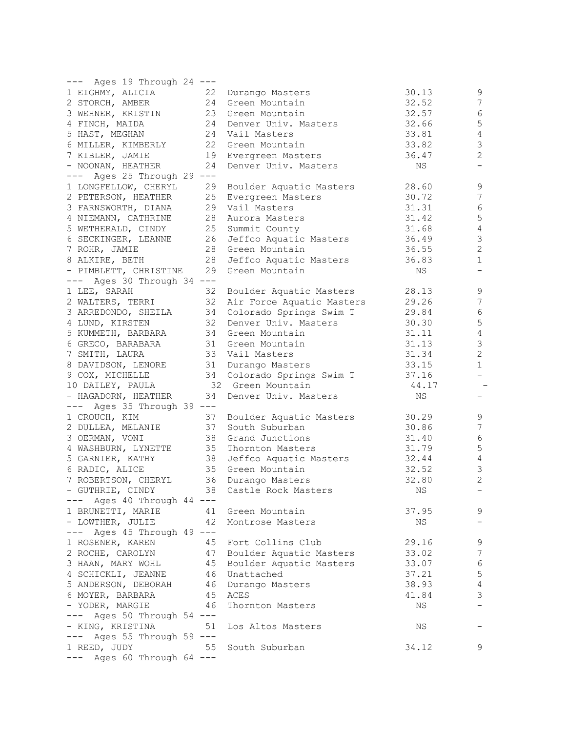| --- Ages 19 Through 24 ---<br>1 EIGHMY, ALICIA | 22 | Durango Masters            | 30.13 | $\mathsf 9$      |
|------------------------------------------------|----|----------------------------|-------|------------------|
| 2 STORCH, AMBER                                | 24 | Green Mountain             | 32.52 | $\boldsymbol{7}$ |
|                                                | 23 | Green Mountain             | 32.57 | 6                |
| 3 WEHNER, KRISTIN                              |    |                            |       |                  |
| 4 FINCH, MAIDA                                 | 24 | Denver Univ. Masters       | 32.66 | 5                |
| 5 HAST, MEGHAN                                 | 24 | Vail Masters               | 33.81 | 4                |
| 6 MILLER, KIMBERLY                             | 22 | Green Mountain             | 33.82 | 3                |
| 7 KIBLER, JAMIE                                | 19 | Evergreen Masters          | 36.47 | 2                |
| - NOONAN, HEATHER                              | 24 | Denver Univ. Masters       | ΝS    | -                |
| --- Ages 25 Through 29 ---                     |    |                            |       |                  |
| 1 LONGFELLOW, CHERYL                           | 29 | Boulder Aquatic Masters    | 28.60 | 9                |
| 2 PETERSON, HEATHER                            | 25 | Evergreen Masters          | 30.72 | $\boldsymbol{7}$ |
| 3 FARNSWORTH, DIANA                            | 29 | Vail Masters               | 31.31 | 6                |
| 4 NIEMANN, CATHRINE                            | 28 | Aurora Masters             | 31.42 | 5                |
| 5 WETHERALD, CINDY                             | 25 | Summit County              | 31.68 | 4                |
| 6 SECKINGER, LEANNE                            | 26 | Jeffco Aquatic Masters     | 36.49 | $\mathsf 3$      |
| 7 ROHR, JAMIE                                  | 28 | Green Mountain             | 36.55 | $\overline{2}$   |
|                                                | 28 | Jeffco Aquatic Masters     | 36.83 | $\mathbf{1}$     |
| 8 ALKIRE, BETH                                 | 29 |                            |       |                  |
| - PIMBLETT, CHRISTINE                          |    | Green Mountain             | ΝS    |                  |
| $---$ Ages 30 Through 34 $---$                 |    |                            |       |                  |
| 1 LEE, SARAH                                   | 32 | Boulder Aquatic Masters    | 28.13 | 9                |
| 2 WALTERS, TERRI                               | 32 | Air Force Aquatic Masters  | 29.26 | 7                |
| 3 ARREDONDO, SHEILA                            | 34 | Colorado Springs Swim T    | 29.84 | 6                |
| 4 LUND, KIRSTEN                                | 32 | Denver Univ. Masters       | 30.30 | 5                |
| 5 KUMMETH, BARBARA                             | 34 | Green Mountain             | 31.11 | 4                |
| 6 GRECO, BARABARA                              | 31 | Green Mountain             | 31.13 | $\mathsf 3$      |
| 7 SMITH, LAURA                                 | 33 | Vail Masters               | 31.34 | $\overline{c}$   |
| 8 DAVIDSON, LENORE                             | 31 | Durango Masters            | 33.15 | $\mathbf{1}$     |
| 9 COX, MICHELLE                                |    | 34 Colorado Springs Swim T | 37.16 |                  |
| 10 DAILEY, PAULA                               |    | 32 Green Mountain          | 44.17 |                  |
| - HAGADORN, HEATHER                            | 34 | Denver Univ. Masters       | ΝS    |                  |
| --- Ages 35 Through 39 ---                     |    |                            |       |                  |
|                                                | 37 |                            | 30.29 | 9                |
| 1 CROUCH, KIM                                  | 37 | Boulder Aquatic Masters    |       | 7                |
| 2 DULLEA, MELANIE                              |    | South Suburban             | 30.86 |                  |
| 3 OERMAN, VONI                                 | 38 | Grand Junctions            | 31.40 | 6                |
| 4 WASHBURN, LYNETTE                            | 35 | Thornton Masters           | 31.79 | 5                |
| 5 GARNIER, KATHY                               | 38 | Jeffco Aquatic Masters     | 32.44 | $\overline{4}$   |
| 6 RADIC, ALICE                                 | 35 | Green Mountain             | 32.52 | $\mathsf 3$      |
| 7 ROBERTSON, CHERYL                            | 36 | Durango Masters            | 32.80 | $\overline{2}$   |
| - GUTHRIE, CINDY                               | 38 | Castle Rock Masters        | ΝS    |                  |
| Ages 40 Through 44 ---                         |    |                            |       |                  |
| 1 BRUNETTI, MARIE                              | 41 | Green Mountain             | 37.95 | 9                |
| - LOWTHER, JULIE                               | 42 | Montrose Masters           | NS    |                  |
| Ages 45 Through 49 ---<br>$---$                |    |                            |       |                  |
| 1 ROSENER, KAREN                               | 45 | Fort Collins Club          | 29.16 | 9                |
| 2 ROCHE, CAROLYN                               | 47 | Boulder Aquatic Masters    | 33.02 | 7                |
| 3 HAAN, MARY WOHL                              | 45 | Boulder Aquatic Masters    | 33.07 | $\sqrt{6}$       |
| 4 SCHICKLI, JEANNE                             | 46 | Unattached                 | 37.21 | $\mathsf S$      |
|                                                |    |                            |       |                  |
| 5 ANDERSON, DEBORAH                            | 46 | Durango Masters            | 38.93 | $\overline{4}$   |
| 6 MOYER, BARBARA                               | 45 | ACES                       | 41.84 | 3                |
| - YODER, MARGIE                                | 46 | Thornton Masters           | NS    |                  |
| Ages 50 Through 54 ---<br>$---$                |    |                            |       |                  |
| - KING, KRISTINA                               | 51 | Los Altos Masters          | NS    |                  |
| Ages 55 Through 59 ---                         |    |                            |       |                  |
| 1 REED, JUDY                                   | 55 | South Suburban             | 34.12 | 9                |
| --- Ages 60 Through 64 ---                     |    |                            |       |                  |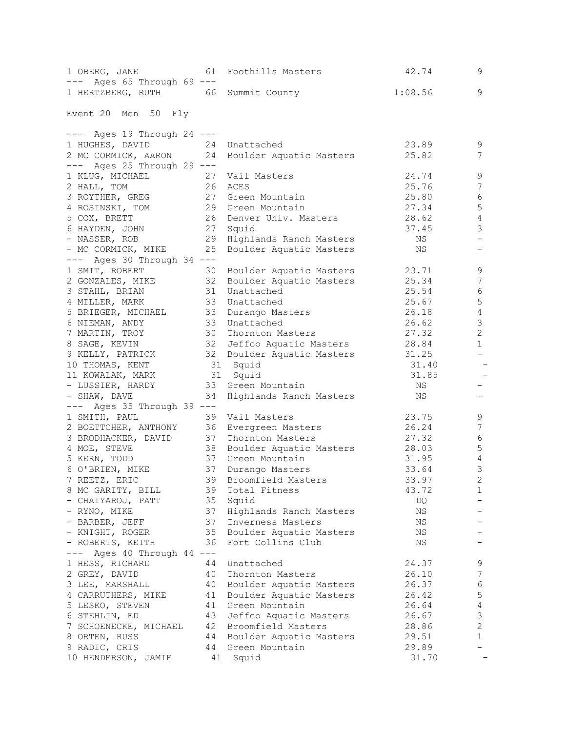| 1 HERTZBERG, RUTH 66 Summit County<br>1:08.56<br>9<br>--- Ages 19 Through 24 ---<br>1 HUGHES, DAVID<br>23.89<br>24 Unattached<br>9<br>2 MC CORMICK, AARON<br>7<br>24<br>25.82<br>Boulder Aquatic Masters<br>--- Ages 25 Through 29 ---<br>24.74<br>9<br>27<br>Vail Masters<br>$\boldsymbol{7}$<br>2 HALL, TOM<br>26<br>25.76<br>ACES<br>6<br>27<br>3 ROYTHER, GREG<br>25.80<br>Green Mountain<br>5<br>29 Green Mountain<br>27.34<br>4 ROSINSKI, TOM<br>4<br>5 COX, BRETT<br>26<br>28.62<br>Denver Univ. Masters<br>3<br>27<br>6 HAYDEN, JOHN<br>Squid<br>37.45<br>29<br>- NASSER, ROB<br>Highlands Ranch Masters<br>NS<br>25<br>- MC CORMICK, MIKE<br>Boulder Aquatic Masters<br>NS<br>$---$ Ages 30 Through 34 $---$<br>9<br>1 SMIT, ROBERT<br>23.71<br>Boulder Aquatic Masters<br>30<br>$\sqrt{ }$<br>2 GONZALES, MIKE<br>32<br>25.34<br>Boulder Aquatic Masters<br>$\epsilon$<br>3 STAHL, BRIAN<br>31<br>Unattached<br>25.54<br>5<br>33<br>25.67<br>4 MILLER, MARK<br>Unattached<br>4<br>33<br>5 BRIEGER, MICHAEL<br>26.18<br>Durango Masters<br>3<br>6 NIEMAN, ANDY<br>33<br>Unattached<br>26.62<br>$\overline{c}$<br>7 MARTIN, TROY<br>27.32<br>30<br>Thornton Masters<br>$\mathbf{1}$<br>32<br>8 SAGE, KEVIN<br>Jeffco Aquatic Masters 28.84<br>32<br>9 KELLY, PATRICK<br>Boulder Aquatic Masters 31.25<br>31 Squid<br>10 THOMAS, KENT<br>31.40<br>31 Squid<br>31.85<br>11 KOWALAK, MARK<br>- LUSSIER, HARDY<br>33 Green Mountain<br>NS<br>34<br>Highlands Ranch Masters<br>NS<br>--- Ages 35 Through 39 ---<br>39 Vail Masters<br>23.75<br>9<br>$\boldsymbol{7}$<br>2 BOETTCHER, ANTHONY<br>26.24<br>36 Evergreen Masters<br>$\epsilon$<br>27.32<br>3 BRODHACKER, DAVID<br>37<br>Thornton Masters<br>$\mathbf 5$<br>38<br>Boulder Aquatic Masters 28.03<br>$\sqrt{4}$<br>37<br>Green Mountain<br>31.95<br>3<br>37<br>33.64<br>6 O'BRIEN, MIKE<br>Durango Masters<br>7 REETZ, ERIC<br>39 Broomfield Masters<br>$\sqrt{2}$<br>33.97<br>1<br>8 MC GARITY, BILL<br>39<br>Total Fitness<br>43.72<br>35<br>- CHAIYAROJ, PATT<br>Squid<br>DQ<br>- RYNO, MIKE<br>37<br>Highlands Ranch Masters<br>ΝS<br>37<br>- BARBER, JEFF<br>Inverness Masters<br>NS<br>- KNIGHT, ROGER<br>35<br>Boulder Aquatic Masters<br>NS<br>- ROBERTS, KEITH<br>36<br>Fort Collins Club<br>ΝS<br>$---$ Ages 40 Through 44 $---$<br>24.37<br>9<br>1 HESS, RICHARD<br>44<br>Unattached<br>$\boldsymbol{7}$<br>26.10<br>2 GREY, DAVID<br>40<br>Thornton Masters<br>6<br>3 LEE, MARSHALL<br>26.37<br>40<br>Boulder Aquatic Masters<br>5<br>Boulder Aquatic Masters<br>4 CARRUTHERS, MIKE<br>41<br>26.42<br>4<br>5 LESKO, STEVEN<br>Green Mountain<br>41<br>26.64<br>$\mathsf 3$<br>43<br>Jeffco Aquatic Masters<br>26.67<br>6 STEHLIN, ED<br>$\overline{c}$<br>42<br>Broomfield Masters<br>7 SCHOENECKE, MICHAEL<br>28.86<br>$\mathbf{1}$<br>Boulder Aquatic Masters<br>8 ORTEN, RUSS<br>44<br>29.51<br>44<br>Green Mountain<br>29.89<br>9 RADIC, CRIS<br>31.70<br>10 HENDERSON, JAMIE<br>41<br>Squid | 1 OBERG, JANE<br>$---$<br>Ages 65 Through 69 --- | 61 | Foothills Masters | 42.74 | 9 |
|---------------------------------------------------------------------------------------------------------------------------------------------------------------------------------------------------------------------------------------------------------------------------------------------------------------------------------------------------------------------------------------------------------------------------------------------------------------------------------------------------------------------------------------------------------------------------------------------------------------------------------------------------------------------------------------------------------------------------------------------------------------------------------------------------------------------------------------------------------------------------------------------------------------------------------------------------------------------------------------------------------------------------------------------------------------------------------------------------------------------------------------------------------------------------------------------------------------------------------------------------------------------------------------------------------------------------------------------------------------------------------------------------------------------------------------------------------------------------------------------------------------------------------------------------------------------------------------------------------------------------------------------------------------------------------------------------------------------------------------------------------------------------------------------------------------------------------------------------------------------------------------------------------------------------------------------------------------------------------------------------------------------------------------------------------------------------------------------------------------------------------------------------------------------------------------------------------------------------------------------------------------------------------------------------------------------------------------------------------------------------------------------------------------------------------------------------------------------------------------------------------------------------------------------------------------------------------------------------------------------------------------------------------------------------------------------------------------------------------------------------------------------------------------------------------------------------------------------------------------------------------------------------------------------------------------------------------------------------|--------------------------------------------------|----|-------------------|-------|---|
|                                                                                                                                                                                                                                                                                                                                                                                                                                                                                                                                                                                                                                                                                                                                                                                                                                                                                                                                                                                                                                                                                                                                                                                                                                                                                                                                                                                                                                                                                                                                                                                                                                                                                                                                                                                                                                                                                                                                                                                                                                                                                                                                                                                                                                                                                                                                                                                                                                                                                                                                                                                                                                                                                                                                                                                                                                                                                                                                                                           |                                                  |    |                   |       |   |
|                                                                                                                                                                                                                                                                                                                                                                                                                                                                                                                                                                                                                                                                                                                                                                                                                                                                                                                                                                                                                                                                                                                                                                                                                                                                                                                                                                                                                                                                                                                                                                                                                                                                                                                                                                                                                                                                                                                                                                                                                                                                                                                                                                                                                                                                                                                                                                                                                                                                                                                                                                                                                                                                                                                                                                                                                                                                                                                                                                           | Event 20 Men 50 Fly                              |    |                   |       |   |
|                                                                                                                                                                                                                                                                                                                                                                                                                                                                                                                                                                                                                                                                                                                                                                                                                                                                                                                                                                                                                                                                                                                                                                                                                                                                                                                                                                                                                                                                                                                                                                                                                                                                                                                                                                                                                                                                                                                                                                                                                                                                                                                                                                                                                                                                                                                                                                                                                                                                                                                                                                                                                                                                                                                                                                                                                                                                                                                                                                           |                                                  |    |                   |       |   |
|                                                                                                                                                                                                                                                                                                                                                                                                                                                                                                                                                                                                                                                                                                                                                                                                                                                                                                                                                                                                                                                                                                                                                                                                                                                                                                                                                                                                                                                                                                                                                                                                                                                                                                                                                                                                                                                                                                                                                                                                                                                                                                                                                                                                                                                                                                                                                                                                                                                                                                                                                                                                                                                                                                                                                                                                                                                                                                                                                                           |                                                  |    |                   |       |   |
|                                                                                                                                                                                                                                                                                                                                                                                                                                                                                                                                                                                                                                                                                                                                                                                                                                                                                                                                                                                                                                                                                                                                                                                                                                                                                                                                                                                                                                                                                                                                                                                                                                                                                                                                                                                                                                                                                                                                                                                                                                                                                                                                                                                                                                                                                                                                                                                                                                                                                                                                                                                                                                                                                                                                                                                                                                                                                                                                                                           |                                                  |    |                   |       |   |
|                                                                                                                                                                                                                                                                                                                                                                                                                                                                                                                                                                                                                                                                                                                                                                                                                                                                                                                                                                                                                                                                                                                                                                                                                                                                                                                                                                                                                                                                                                                                                                                                                                                                                                                                                                                                                                                                                                                                                                                                                                                                                                                                                                                                                                                                                                                                                                                                                                                                                                                                                                                                                                                                                                                                                                                                                                                                                                                                                                           |                                                  |    |                   |       |   |
|                                                                                                                                                                                                                                                                                                                                                                                                                                                                                                                                                                                                                                                                                                                                                                                                                                                                                                                                                                                                                                                                                                                                                                                                                                                                                                                                                                                                                                                                                                                                                                                                                                                                                                                                                                                                                                                                                                                                                                                                                                                                                                                                                                                                                                                                                                                                                                                                                                                                                                                                                                                                                                                                                                                                                                                                                                                                                                                                                                           | 1 KLUG, MICHAEL                                  |    |                   |       |   |
|                                                                                                                                                                                                                                                                                                                                                                                                                                                                                                                                                                                                                                                                                                                                                                                                                                                                                                                                                                                                                                                                                                                                                                                                                                                                                                                                                                                                                                                                                                                                                                                                                                                                                                                                                                                                                                                                                                                                                                                                                                                                                                                                                                                                                                                                                                                                                                                                                                                                                                                                                                                                                                                                                                                                                                                                                                                                                                                                                                           |                                                  |    |                   |       |   |
|                                                                                                                                                                                                                                                                                                                                                                                                                                                                                                                                                                                                                                                                                                                                                                                                                                                                                                                                                                                                                                                                                                                                                                                                                                                                                                                                                                                                                                                                                                                                                                                                                                                                                                                                                                                                                                                                                                                                                                                                                                                                                                                                                                                                                                                                                                                                                                                                                                                                                                                                                                                                                                                                                                                                                                                                                                                                                                                                                                           |                                                  |    |                   |       |   |
|                                                                                                                                                                                                                                                                                                                                                                                                                                                                                                                                                                                                                                                                                                                                                                                                                                                                                                                                                                                                                                                                                                                                                                                                                                                                                                                                                                                                                                                                                                                                                                                                                                                                                                                                                                                                                                                                                                                                                                                                                                                                                                                                                                                                                                                                                                                                                                                                                                                                                                                                                                                                                                                                                                                                                                                                                                                                                                                                                                           |                                                  |    |                   |       |   |
|                                                                                                                                                                                                                                                                                                                                                                                                                                                                                                                                                                                                                                                                                                                                                                                                                                                                                                                                                                                                                                                                                                                                                                                                                                                                                                                                                                                                                                                                                                                                                                                                                                                                                                                                                                                                                                                                                                                                                                                                                                                                                                                                                                                                                                                                                                                                                                                                                                                                                                                                                                                                                                                                                                                                                                                                                                                                                                                                                                           |                                                  |    |                   |       |   |
|                                                                                                                                                                                                                                                                                                                                                                                                                                                                                                                                                                                                                                                                                                                                                                                                                                                                                                                                                                                                                                                                                                                                                                                                                                                                                                                                                                                                                                                                                                                                                                                                                                                                                                                                                                                                                                                                                                                                                                                                                                                                                                                                                                                                                                                                                                                                                                                                                                                                                                                                                                                                                                                                                                                                                                                                                                                                                                                                                                           |                                                  |    |                   |       |   |
|                                                                                                                                                                                                                                                                                                                                                                                                                                                                                                                                                                                                                                                                                                                                                                                                                                                                                                                                                                                                                                                                                                                                                                                                                                                                                                                                                                                                                                                                                                                                                                                                                                                                                                                                                                                                                                                                                                                                                                                                                                                                                                                                                                                                                                                                                                                                                                                                                                                                                                                                                                                                                                                                                                                                                                                                                                                                                                                                                                           |                                                  |    |                   |       |   |
|                                                                                                                                                                                                                                                                                                                                                                                                                                                                                                                                                                                                                                                                                                                                                                                                                                                                                                                                                                                                                                                                                                                                                                                                                                                                                                                                                                                                                                                                                                                                                                                                                                                                                                                                                                                                                                                                                                                                                                                                                                                                                                                                                                                                                                                                                                                                                                                                                                                                                                                                                                                                                                                                                                                                                                                                                                                                                                                                                                           |                                                  |    |                   |       |   |
|                                                                                                                                                                                                                                                                                                                                                                                                                                                                                                                                                                                                                                                                                                                                                                                                                                                                                                                                                                                                                                                                                                                                                                                                                                                                                                                                                                                                                                                                                                                                                                                                                                                                                                                                                                                                                                                                                                                                                                                                                                                                                                                                                                                                                                                                                                                                                                                                                                                                                                                                                                                                                                                                                                                                                                                                                                                                                                                                                                           |                                                  |    |                   |       |   |
|                                                                                                                                                                                                                                                                                                                                                                                                                                                                                                                                                                                                                                                                                                                                                                                                                                                                                                                                                                                                                                                                                                                                                                                                                                                                                                                                                                                                                                                                                                                                                                                                                                                                                                                                                                                                                                                                                                                                                                                                                                                                                                                                                                                                                                                                                                                                                                                                                                                                                                                                                                                                                                                                                                                                                                                                                                                                                                                                                                           |                                                  |    |                   |       |   |
|                                                                                                                                                                                                                                                                                                                                                                                                                                                                                                                                                                                                                                                                                                                                                                                                                                                                                                                                                                                                                                                                                                                                                                                                                                                                                                                                                                                                                                                                                                                                                                                                                                                                                                                                                                                                                                                                                                                                                                                                                                                                                                                                                                                                                                                                                                                                                                                                                                                                                                                                                                                                                                                                                                                                                                                                                                                                                                                                                                           |                                                  |    |                   |       |   |
|                                                                                                                                                                                                                                                                                                                                                                                                                                                                                                                                                                                                                                                                                                                                                                                                                                                                                                                                                                                                                                                                                                                                                                                                                                                                                                                                                                                                                                                                                                                                                                                                                                                                                                                                                                                                                                                                                                                                                                                                                                                                                                                                                                                                                                                                                                                                                                                                                                                                                                                                                                                                                                                                                                                                                                                                                                                                                                                                                                           |                                                  |    |                   |       |   |
|                                                                                                                                                                                                                                                                                                                                                                                                                                                                                                                                                                                                                                                                                                                                                                                                                                                                                                                                                                                                                                                                                                                                                                                                                                                                                                                                                                                                                                                                                                                                                                                                                                                                                                                                                                                                                                                                                                                                                                                                                                                                                                                                                                                                                                                                                                                                                                                                                                                                                                                                                                                                                                                                                                                                                                                                                                                                                                                                                                           |                                                  |    |                   |       |   |
|                                                                                                                                                                                                                                                                                                                                                                                                                                                                                                                                                                                                                                                                                                                                                                                                                                                                                                                                                                                                                                                                                                                                                                                                                                                                                                                                                                                                                                                                                                                                                                                                                                                                                                                                                                                                                                                                                                                                                                                                                                                                                                                                                                                                                                                                                                                                                                                                                                                                                                                                                                                                                                                                                                                                                                                                                                                                                                                                                                           |                                                  |    |                   |       |   |
|                                                                                                                                                                                                                                                                                                                                                                                                                                                                                                                                                                                                                                                                                                                                                                                                                                                                                                                                                                                                                                                                                                                                                                                                                                                                                                                                                                                                                                                                                                                                                                                                                                                                                                                                                                                                                                                                                                                                                                                                                                                                                                                                                                                                                                                                                                                                                                                                                                                                                                                                                                                                                                                                                                                                                                                                                                                                                                                                                                           |                                                  |    |                   |       |   |
|                                                                                                                                                                                                                                                                                                                                                                                                                                                                                                                                                                                                                                                                                                                                                                                                                                                                                                                                                                                                                                                                                                                                                                                                                                                                                                                                                                                                                                                                                                                                                                                                                                                                                                                                                                                                                                                                                                                                                                                                                                                                                                                                                                                                                                                                                                                                                                                                                                                                                                                                                                                                                                                                                                                                                                                                                                                                                                                                                                           |                                                  |    |                   |       |   |
|                                                                                                                                                                                                                                                                                                                                                                                                                                                                                                                                                                                                                                                                                                                                                                                                                                                                                                                                                                                                                                                                                                                                                                                                                                                                                                                                                                                                                                                                                                                                                                                                                                                                                                                                                                                                                                                                                                                                                                                                                                                                                                                                                                                                                                                                                                                                                                                                                                                                                                                                                                                                                                                                                                                                                                                                                                                                                                                                                                           |                                                  |    |                   |       |   |
|                                                                                                                                                                                                                                                                                                                                                                                                                                                                                                                                                                                                                                                                                                                                                                                                                                                                                                                                                                                                                                                                                                                                                                                                                                                                                                                                                                                                                                                                                                                                                                                                                                                                                                                                                                                                                                                                                                                                                                                                                                                                                                                                                                                                                                                                                                                                                                                                                                                                                                                                                                                                                                                                                                                                                                                                                                                                                                                                                                           |                                                  |    |                   |       |   |
|                                                                                                                                                                                                                                                                                                                                                                                                                                                                                                                                                                                                                                                                                                                                                                                                                                                                                                                                                                                                                                                                                                                                                                                                                                                                                                                                                                                                                                                                                                                                                                                                                                                                                                                                                                                                                                                                                                                                                                                                                                                                                                                                                                                                                                                                                                                                                                                                                                                                                                                                                                                                                                                                                                                                                                                                                                                                                                                                                                           |                                                  |    |                   |       |   |
|                                                                                                                                                                                                                                                                                                                                                                                                                                                                                                                                                                                                                                                                                                                                                                                                                                                                                                                                                                                                                                                                                                                                                                                                                                                                                                                                                                                                                                                                                                                                                                                                                                                                                                                                                                                                                                                                                                                                                                                                                                                                                                                                                                                                                                                                                                                                                                                                                                                                                                                                                                                                                                                                                                                                                                                                                                                                                                                                                                           |                                                  |    |                   |       |   |
|                                                                                                                                                                                                                                                                                                                                                                                                                                                                                                                                                                                                                                                                                                                                                                                                                                                                                                                                                                                                                                                                                                                                                                                                                                                                                                                                                                                                                                                                                                                                                                                                                                                                                                                                                                                                                                                                                                                                                                                                                                                                                                                                                                                                                                                                                                                                                                                                                                                                                                                                                                                                                                                                                                                                                                                                                                                                                                                                                                           |                                                  |    |                   |       |   |
|                                                                                                                                                                                                                                                                                                                                                                                                                                                                                                                                                                                                                                                                                                                                                                                                                                                                                                                                                                                                                                                                                                                                                                                                                                                                                                                                                                                                                                                                                                                                                                                                                                                                                                                                                                                                                                                                                                                                                                                                                                                                                                                                                                                                                                                                                                                                                                                                                                                                                                                                                                                                                                                                                                                                                                                                                                                                                                                                                                           |                                                  |    |                   |       |   |
|                                                                                                                                                                                                                                                                                                                                                                                                                                                                                                                                                                                                                                                                                                                                                                                                                                                                                                                                                                                                                                                                                                                                                                                                                                                                                                                                                                                                                                                                                                                                                                                                                                                                                                                                                                                                                                                                                                                                                                                                                                                                                                                                                                                                                                                                                                                                                                                                                                                                                                                                                                                                                                                                                                                                                                                                                                                                                                                                                                           | - SHAW, DAVE                                     |    |                   |       |   |
|                                                                                                                                                                                                                                                                                                                                                                                                                                                                                                                                                                                                                                                                                                                                                                                                                                                                                                                                                                                                                                                                                                                                                                                                                                                                                                                                                                                                                                                                                                                                                                                                                                                                                                                                                                                                                                                                                                                                                                                                                                                                                                                                                                                                                                                                                                                                                                                                                                                                                                                                                                                                                                                                                                                                                                                                                                                                                                                                                                           |                                                  |    |                   |       |   |
|                                                                                                                                                                                                                                                                                                                                                                                                                                                                                                                                                                                                                                                                                                                                                                                                                                                                                                                                                                                                                                                                                                                                                                                                                                                                                                                                                                                                                                                                                                                                                                                                                                                                                                                                                                                                                                                                                                                                                                                                                                                                                                                                                                                                                                                                                                                                                                                                                                                                                                                                                                                                                                                                                                                                                                                                                                                                                                                                                                           | 1 SMITH, PAUL                                    |    |                   |       |   |
|                                                                                                                                                                                                                                                                                                                                                                                                                                                                                                                                                                                                                                                                                                                                                                                                                                                                                                                                                                                                                                                                                                                                                                                                                                                                                                                                                                                                                                                                                                                                                                                                                                                                                                                                                                                                                                                                                                                                                                                                                                                                                                                                                                                                                                                                                                                                                                                                                                                                                                                                                                                                                                                                                                                                                                                                                                                                                                                                                                           |                                                  |    |                   |       |   |
|                                                                                                                                                                                                                                                                                                                                                                                                                                                                                                                                                                                                                                                                                                                                                                                                                                                                                                                                                                                                                                                                                                                                                                                                                                                                                                                                                                                                                                                                                                                                                                                                                                                                                                                                                                                                                                                                                                                                                                                                                                                                                                                                                                                                                                                                                                                                                                                                                                                                                                                                                                                                                                                                                                                                                                                                                                                                                                                                                                           |                                                  |    |                   |       |   |
|                                                                                                                                                                                                                                                                                                                                                                                                                                                                                                                                                                                                                                                                                                                                                                                                                                                                                                                                                                                                                                                                                                                                                                                                                                                                                                                                                                                                                                                                                                                                                                                                                                                                                                                                                                                                                                                                                                                                                                                                                                                                                                                                                                                                                                                                                                                                                                                                                                                                                                                                                                                                                                                                                                                                                                                                                                                                                                                                                                           | 4 MOE, STEVE                                     |    |                   |       |   |
|                                                                                                                                                                                                                                                                                                                                                                                                                                                                                                                                                                                                                                                                                                                                                                                                                                                                                                                                                                                                                                                                                                                                                                                                                                                                                                                                                                                                                                                                                                                                                                                                                                                                                                                                                                                                                                                                                                                                                                                                                                                                                                                                                                                                                                                                                                                                                                                                                                                                                                                                                                                                                                                                                                                                                                                                                                                                                                                                                                           | 5 KERN, TODD                                     |    |                   |       |   |
|                                                                                                                                                                                                                                                                                                                                                                                                                                                                                                                                                                                                                                                                                                                                                                                                                                                                                                                                                                                                                                                                                                                                                                                                                                                                                                                                                                                                                                                                                                                                                                                                                                                                                                                                                                                                                                                                                                                                                                                                                                                                                                                                                                                                                                                                                                                                                                                                                                                                                                                                                                                                                                                                                                                                                                                                                                                                                                                                                                           |                                                  |    |                   |       |   |
|                                                                                                                                                                                                                                                                                                                                                                                                                                                                                                                                                                                                                                                                                                                                                                                                                                                                                                                                                                                                                                                                                                                                                                                                                                                                                                                                                                                                                                                                                                                                                                                                                                                                                                                                                                                                                                                                                                                                                                                                                                                                                                                                                                                                                                                                                                                                                                                                                                                                                                                                                                                                                                                                                                                                                                                                                                                                                                                                                                           |                                                  |    |                   |       |   |
|                                                                                                                                                                                                                                                                                                                                                                                                                                                                                                                                                                                                                                                                                                                                                                                                                                                                                                                                                                                                                                                                                                                                                                                                                                                                                                                                                                                                                                                                                                                                                                                                                                                                                                                                                                                                                                                                                                                                                                                                                                                                                                                                                                                                                                                                                                                                                                                                                                                                                                                                                                                                                                                                                                                                                                                                                                                                                                                                                                           |                                                  |    |                   |       |   |
|                                                                                                                                                                                                                                                                                                                                                                                                                                                                                                                                                                                                                                                                                                                                                                                                                                                                                                                                                                                                                                                                                                                                                                                                                                                                                                                                                                                                                                                                                                                                                                                                                                                                                                                                                                                                                                                                                                                                                                                                                                                                                                                                                                                                                                                                                                                                                                                                                                                                                                                                                                                                                                                                                                                                                                                                                                                                                                                                                                           |                                                  |    |                   |       |   |
|                                                                                                                                                                                                                                                                                                                                                                                                                                                                                                                                                                                                                                                                                                                                                                                                                                                                                                                                                                                                                                                                                                                                                                                                                                                                                                                                                                                                                                                                                                                                                                                                                                                                                                                                                                                                                                                                                                                                                                                                                                                                                                                                                                                                                                                                                                                                                                                                                                                                                                                                                                                                                                                                                                                                                                                                                                                                                                                                                                           |                                                  |    |                   |       |   |
|                                                                                                                                                                                                                                                                                                                                                                                                                                                                                                                                                                                                                                                                                                                                                                                                                                                                                                                                                                                                                                                                                                                                                                                                                                                                                                                                                                                                                                                                                                                                                                                                                                                                                                                                                                                                                                                                                                                                                                                                                                                                                                                                                                                                                                                                                                                                                                                                                                                                                                                                                                                                                                                                                                                                                                                                                                                                                                                                                                           |                                                  |    |                   |       |   |
|                                                                                                                                                                                                                                                                                                                                                                                                                                                                                                                                                                                                                                                                                                                                                                                                                                                                                                                                                                                                                                                                                                                                                                                                                                                                                                                                                                                                                                                                                                                                                                                                                                                                                                                                                                                                                                                                                                                                                                                                                                                                                                                                                                                                                                                                                                                                                                                                                                                                                                                                                                                                                                                                                                                                                                                                                                                                                                                                                                           |                                                  |    |                   |       |   |
|                                                                                                                                                                                                                                                                                                                                                                                                                                                                                                                                                                                                                                                                                                                                                                                                                                                                                                                                                                                                                                                                                                                                                                                                                                                                                                                                                                                                                                                                                                                                                                                                                                                                                                                                                                                                                                                                                                                                                                                                                                                                                                                                                                                                                                                                                                                                                                                                                                                                                                                                                                                                                                                                                                                                                                                                                                                                                                                                                                           |                                                  |    |                   |       |   |
|                                                                                                                                                                                                                                                                                                                                                                                                                                                                                                                                                                                                                                                                                                                                                                                                                                                                                                                                                                                                                                                                                                                                                                                                                                                                                                                                                                                                                                                                                                                                                                                                                                                                                                                                                                                                                                                                                                                                                                                                                                                                                                                                                                                                                                                                                                                                                                                                                                                                                                                                                                                                                                                                                                                                                                                                                                                                                                                                                                           |                                                  |    |                   |       |   |
|                                                                                                                                                                                                                                                                                                                                                                                                                                                                                                                                                                                                                                                                                                                                                                                                                                                                                                                                                                                                                                                                                                                                                                                                                                                                                                                                                                                                                                                                                                                                                                                                                                                                                                                                                                                                                                                                                                                                                                                                                                                                                                                                                                                                                                                                                                                                                                                                                                                                                                                                                                                                                                                                                                                                                                                                                                                                                                                                                                           |                                                  |    |                   |       |   |
|                                                                                                                                                                                                                                                                                                                                                                                                                                                                                                                                                                                                                                                                                                                                                                                                                                                                                                                                                                                                                                                                                                                                                                                                                                                                                                                                                                                                                                                                                                                                                                                                                                                                                                                                                                                                                                                                                                                                                                                                                                                                                                                                                                                                                                                                                                                                                                                                                                                                                                                                                                                                                                                                                                                                                                                                                                                                                                                                                                           |                                                  |    |                   |       |   |
|                                                                                                                                                                                                                                                                                                                                                                                                                                                                                                                                                                                                                                                                                                                                                                                                                                                                                                                                                                                                                                                                                                                                                                                                                                                                                                                                                                                                                                                                                                                                                                                                                                                                                                                                                                                                                                                                                                                                                                                                                                                                                                                                                                                                                                                                                                                                                                                                                                                                                                                                                                                                                                                                                                                                                                                                                                                                                                                                                                           |                                                  |    |                   |       |   |
|                                                                                                                                                                                                                                                                                                                                                                                                                                                                                                                                                                                                                                                                                                                                                                                                                                                                                                                                                                                                                                                                                                                                                                                                                                                                                                                                                                                                                                                                                                                                                                                                                                                                                                                                                                                                                                                                                                                                                                                                                                                                                                                                                                                                                                                                                                                                                                                                                                                                                                                                                                                                                                                                                                                                                                                                                                                                                                                                                                           |                                                  |    |                   |       |   |
|                                                                                                                                                                                                                                                                                                                                                                                                                                                                                                                                                                                                                                                                                                                                                                                                                                                                                                                                                                                                                                                                                                                                                                                                                                                                                                                                                                                                                                                                                                                                                                                                                                                                                                                                                                                                                                                                                                                                                                                                                                                                                                                                                                                                                                                                                                                                                                                                                                                                                                                                                                                                                                                                                                                                                                                                                                                                                                                                                                           |                                                  |    |                   |       |   |
|                                                                                                                                                                                                                                                                                                                                                                                                                                                                                                                                                                                                                                                                                                                                                                                                                                                                                                                                                                                                                                                                                                                                                                                                                                                                                                                                                                                                                                                                                                                                                                                                                                                                                                                                                                                                                                                                                                                                                                                                                                                                                                                                                                                                                                                                                                                                                                                                                                                                                                                                                                                                                                                                                                                                                                                                                                                                                                                                                                           |                                                  |    |                   |       |   |
|                                                                                                                                                                                                                                                                                                                                                                                                                                                                                                                                                                                                                                                                                                                                                                                                                                                                                                                                                                                                                                                                                                                                                                                                                                                                                                                                                                                                                                                                                                                                                                                                                                                                                                                                                                                                                                                                                                                                                                                                                                                                                                                                                                                                                                                                                                                                                                                                                                                                                                                                                                                                                                                                                                                                                                                                                                                                                                                                                                           |                                                  |    |                   |       |   |
|                                                                                                                                                                                                                                                                                                                                                                                                                                                                                                                                                                                                                                                                                                                                                                                                                                                                                                                                                                                                                                                                                                                                                                                                                                                                                                                                                                                                                                                                                                                                                                                                                                                                                                                                                                                                                                                                                                                                                                                                                                                                                                                                                                                                                                                                                                                                                                                                                                                                                                                                                                                                                                                                                                                                                                                                                                                                                                                                                                           |                                                  |    |                   |       |   |
|                                                                                                                                                                                                                                                                                                                                                                                                                                                                                                                                                                                                                                                                                                                                                                                                                                                                                                                                                                                                                                                                                                                                                                                                                                                                                                                                                                                                                                                                                                                                                                                                                                                                                                                                                                                                                                                                                                                                                                                                                                                                                                                                                                                                                                                                                                                                                                                                                                                                                                                                                                                                                                                                                                                                                                                                                                                                                                                                                                           |                                                  |    |                   |       |   |
|                                                                                                                                                                                                                                                                                                                                                                                                                                                                                                                                                                                                                                                                                                                                                                                                                                                                                                                                                                                                                                                                                                                                                                                                                                                                                                                                                                                                                                                                                                                                                                                                                                                                                                                                                                                                                                                                                                                                                                                                                                                                                                                                                                                                                                                                                                                                                                                                                                                                                                                                                                                                                                                                                                                                                                                                                                                                                                                                                                           |                                                  |    |                   |       |   |
|                                                                                                                                                                                                                                                                                                                                                                                                                                                                                                                                                                                                                                                                                                                                                                                                                                                                                                                                                                                                                                                                                                                                                                                                                                                                                                                                                                                                                                                                                                                                                                                                                                                                                                                                                                                                                                                                                                                                                                                                                                                                                                                                                                                                                                                                                                                                                                                                                                                                                                                                                                                                                                                                                                                                                                                                                                                                                                                                                                           |                                                  |    |                   |       |   |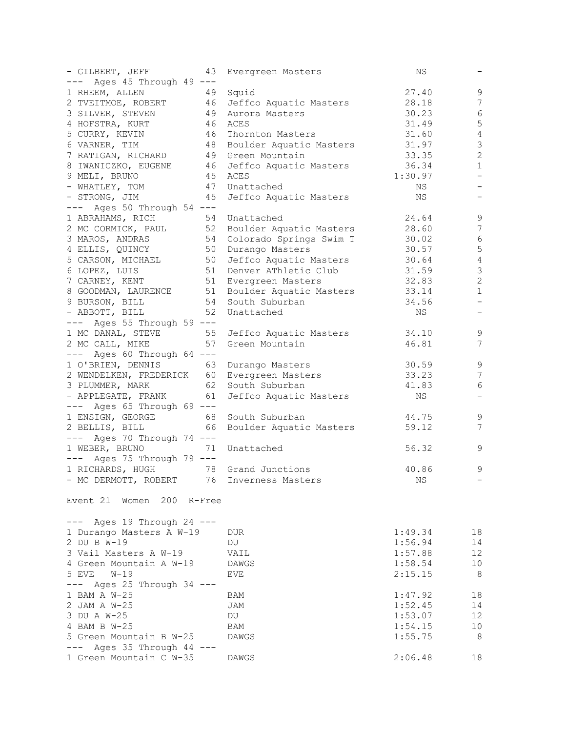| - GILBERT, JEFF<br>43                          | Evergreen Masters          | ΝS      |                          |
|------------------------------------------------|----------------------------|---------|--------------------------|
| --- Ages 45 Through 49 ---                     |                            |         |                          |
| 1 RHEEM, ALLEN<br>49                           | Squid                      | 27.40   | 9                        |
| 2 TVEITMOE, ROBERT 46 Jeffco Aquatic Masters   |                            | 28.18   | 7                        |
| 3 SILVER, STEVEN                               | 49   Aurora Masters        | 30.23   | $\epsilon$               |
| 4 HOFSTRA, KURT                                | 46 ACES                    | 31.49   | 5                        |
| 46                                             |                            | 31.60   | $\sqrt{4}$               |
| 5 CURRY, KEVIN                                 | Thornton Masters           |         |                          |
| 6 VARNER, TIM                                  | 48 Boulder Aquatic Masters | 31.97   | $\mathfrak{Z}$           |
| 7 RATIGAN, RICHARD                             | 49 Green Mountain          | 33.35   | $\sqrt{2}$               |
| 8 IWANICZKO, EUGENE                            | 46 Jeffco Aquatic Masters  | 36.34   | $\mathbf 1$              |
| 9 MELI, BRUNO                                  | 45 ACES                    | 1:30.97 | $\qquad \qquad -$        |
| - WHATLEY, TOM                                 | 47 Unattached              | NS      | $\qquad \qquad -$        |
| 45<br>- STRONG, JIM                            | Jeffco Aquatic Masters     | NS      |                          |
| --- Ages 50 Through 54 ---                     |                            |         |                          |
| 1 ABRAHAMS, RICH<br>54                         | Unattached                 | 24.64   | $\mathsf 9$              |
| 2 MC CORMICK, PAUL                             | 52 Boulder Aquatic Masters | 28.60   | $7\phantom{.0}$          |
| 3 MAROS, ANDRAS                                | 54 Colorado Springs Swim T | 30.02   | $\sqrt{6}$               |
| 4 ELLIS, QUINCY                                | 50 Durango Masters         | 30.57   | $\mathbf 5$              |
| 5 CARSON, MICHAEL                              | 50 Jeffco Aquatic Masters  | 30.64   | $\sqrt{4}$               |
|                                                | 51 Denver AThletic Club    |         | $\mathfrak{Z}$           |
| 6 LOPEZ, LUIS                                  |                            | 31.59   |                          |
| 7 CARNEY, KENT                                 | 51 Evergreen Masters       | 32.83   | $\sqrt{2}$               |
| 8 GOODMAN, LAURENCE 51 Boulder Aquatic Masters |                            | 33.14   | $\mathbf{1}$             |
| 9 BURSON, BILL                                 | 54 South Suburban          | 34.56   | $\overline{\phantom{m}}$ |
| 52<br>- ABBOTT, BILL                           | Unattached                 | NS      | -                        |
| --- Ages 55 Through 59 ---                     |                            |         |                          |
| 1 MC DANAL, STEVE                              | 55 Jeffco Aquatic Masters  | 34.10   | $\mathsf 9$              |
| 2 MC CALL, MIKE<br>57                          | Green Mountain             | 46.81   | $\overline{7}$           |
| --- Ages 60 Through 64 ---                     |                            |         |                          |
| 1 O'BRIEN, DENNIS                              | 63 Durango Masters         | 30.59   | $\mathsf 9$              |
| 2 WENDELKEN, FREDERICK 60 Evergreen Masters    |                            | 33.23   | 7                        |
|                                                | 62 South Suburban          |         | 6                        |
| 3 PLUMMER, MARK                                |                            | 41.83   |                          |
| - APPLEGATE, FRANK<br>61                       | Jeffco Aquatic Masters     | NS      | $\qquad \qquad -$        |
| --- Ages 65 Through 69 ---                     |                            |         |                          |
| 1 ENSIGN, GEORGE<br>68                         | South Suburban             | 44.75   | $\mathsf 9$              |
| 2 BELLIS, BILL<br>66                           | Boulder Aquatic Masters    | 59.12   | 7                        |
| --- Ages 70 Through 74 ---                     |                            |         |                          |
| 1 WEBER, BRUNO<br>71                           | Unattached                 | 56.32   | 9                        |
| $---$ Ages 75 Through 79 $---$                 |                            |         |                          |
| 78<br>1 RICHARDS, HUGH                         | Grand Junctions            | 40.86   | 9                        |
| - MC DERMOTT, ROBERT 76 Inverness Masters      |                            | NS      |                          |
|                                                |                            |         |                          |
| Event 21 Women 200 R-Free                      |                            |         |                          |
|                                                |                            |         |                          |
| $---$ Ages 19 Through 24 $---$                 |                            |         |                          |
| 1 Durango Masters A W-19                       | <b>DUR</b>                 | 1:49.34 | 18                       |
| 2 DU B W-19                                    | DU                         | 1:56.94 | 14                       |
| 3 Vail Masters A W-19                          | VAIL                       | 1:57.88 | 12                       |
| 4 Green Mountain A W-19                        | <b>DAWGS</b>               | 1:58.54 | 10                       |
| 5 EVE W-19                                     | EVE                        | 2:15.15 | - 8                      |
| $---$ Ages 25 Through 34 $---$                 |                            |         |                          |
| 1 BAM A W-25                                   | BAM                        | 1:47.92 | 18                       |
| 2 JAM A W-25                                   | JAM                        | 1:52.45 | 14                       |
| 3 DU A W-25                                    | DU                         | 1:53.07 | 12                       |
| 4 BAM B W-25                                   | <b>BAM</b>                 | 1:54.15 | 10                       |
|                                                |                            |         |                          |
| 5 Green Mountain B W-25                        | DAWGS                      | 1:55.75 | - 8                      |
| $---$ Ages 35 Through 44 $---$                 |                            |         |                          |
| 1 Green Mountain C W-35                        | DAWGS                      | 2:06.48 | 18                       |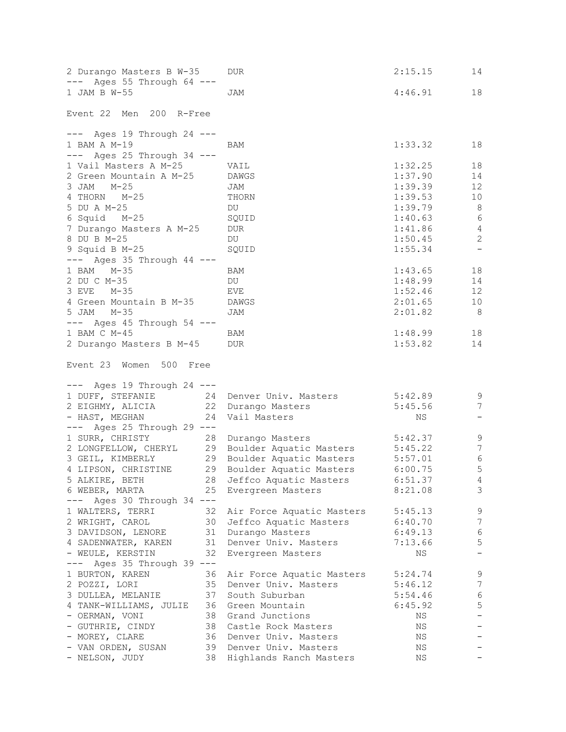| 2 Durango Masters B W-35<br>$---$ Ages 55 Through 64 $---$ | DUR.                            | 2:15.15 | 14                       |
|------------------------------------------------------------|---------------------------------|---------|--------------------------|
| 1 JAM B W-55                                               | JAM                             | 4:46.91 | 18                       |
| Event 22 Men 200 R-Free                                    |                                 |         |                          |
|                                                            |                                 |         |                          |
| $---$ Ages 19 Through 24 $---$                             |                                 |         |                          |
| 1 BAM A M-19<br>$---$ Ages 25 Through 34 $---$             | BAM                             | 1:33.32 | 18                       |
| 1 Vail Masters A M-25                                      | VAIL                            | 1:32.25 | 18                       |
| 2 Green Mountain A M-25                                    | DAWGS                           | 1:37.90 | 14                       |
| 3 JAM M-25                                                 | JAM                             | 1:39.39 | 12                       |
| 4 THORN M-25                                               | THORN                           | 1:39.53 | 10                       |
| 5 DU A M-25                                                | DU                              | 1:39.79 | 8                        |
| 6 Squid M-25                                               | SQUID                           | 1:40.63 | $6\overline{6}$          |
| 7 Durango Masters A M-25                                   | <b>DUR</b>                      | 1:41.86 | $\overline{4}$           |
| 8 DU B M-25                                                | DU                              | 1:50.45 | 2                        |
| 9 Squid B M-25                                             | SQUID                           | 1:55.34 | $\overline{\phantom{a}}$ |
| $---$ Ages 35 Through 44 $---$                             |                                 |         |                          |
| 1 BAM M-35                                                 | BAM                             | 1:43.65 | 18                       |
| 2 DU C M-35                                                | DU                              | 1:48.99 | 14                       |
| 3 EVE M-35                                                 | EVE                             | 1:52.46 | 12                       |
| 4 Green Mountain B M-35 DAWGS                              |                                 | 2:01.65 | 10                       |
| 5 JAM<br>M-35                                              | JAM                             | 2:01.82 | 8                        |
| $---$ Ages 45 Through 54 $---$                             |                                 |         |                          |
| 1 BAM C M-45                                               | BAM                             | 1:48.99 | 18                       |
| 2 Durango Masters B M-45 DUR                               |                                 | 1:53.82 | 14                       |
| Event 23 Women 500 Free                                    |                                 |         |                          |
|                                                            |                                 |         |                          |
| $---$ Ages 19 Through 24 $---$                             |                                 |         |                          |
| 1 DUFF, STEFANIE                                           | 24 Denver Univ. Masters 5:42.89 |         | 9                        |
| 2 EIGHMY, ALICIA 22                                        | Durango Masters                 | 5:45.56 | 7                        |
| - HAST, MEGHAN<br>24                                       | Vail Masters                    | NS      |                          |
| $---$ Ages 25 Through 29 $---$                             |                                 |         |                          |
| 1 SURR, CHRISTY<br>28                                      | Durango Masters                 | 5:42.37 | 9                        |
| 2 LONGFELLOW, CHERYL                                       | 29 Boulder Aquatic Masters      | 5:45.22 | $7\phantom{.0}$          |
| 3 GEIL, KIMBERLY                                           | 29 Boulder Aquatic Masters      | 5:57.01 | $\,$ 6 $\,$              |
| 4 LIPSON, CHRISTINE 29 Boulder Aquatic Masters             |                                 | 6:00.75 | 5                        |
| 5 ALKIRE, BETH                                             | 28 Jeffco Aquatic Masters       | 6:51.37 | $\overline{4}$           |
| 6 WEBER, MARTA<br>$---$ Ages 30 Through 34 $---$           | 25 Evergreen Masters            | 8:21.08 | 3                        |
| 1 WALTERS, TERRI<br>32                                     | Air Force Aquatic Masters       | 5:45.13 | 9                        |
| 30<br>2 WRIGHT, CAROL                                      | Jeffco Aquatic Masters          | 6:40.70 | $\overline{7}$           |
| 3 DAVIDSON, LENORE                                         | 31 Durango Masters              | 6:49.13 | $\sqrt{6}$               |
| 4 SADENWATER, KAREN                                        | 31 Denver Univ. Masters         | 7:13.66 | $\mathsf S$              |
| - WEULE, KERSTIN<br>32                                     | Evergreen Masters               | ΝS      | $\overline{\phantom{0}}$ |
| --- Ages 35 Through 39 ---                                 |                                 |         |                          |
| 1 BURTON, KAREN                                            | 36 Air Force Aquatic Masters    | 5:24.74 | 9                        |
| 2 POZZI, LORI                                              | 35 Denver Univ. Masters         | 5:46.12 | 7                        |
| 3 DULLEA, MELANIE                                          | 37 South Suburban               | 5:54.46 | $\sqrt{6}$               |
| 4 TANK-WILLIAMS, JULIE 36 Green Mountain                   |                                 | 6:45.92 | 5                        |
| - OERMAN, VONI                                             | 38 Grand Junctions              | ΝS      | $\qquad \qquad -$        |
| - GUTHRIE, CINDY                                           | 38 Castle Rock Masters          | ΝS      |                          |
| - MOREY, CLARE                                             | 36 Denver Univ. Masters         | ΝS      |                          |
| - VAN ORDEN, SUSAN                                         | 39 Denver Univ. Masters         | ΝS      |                          |
| - NELSON, JUDY                                             | 38 Highlands Ranch Masters      | ΝS      |                          |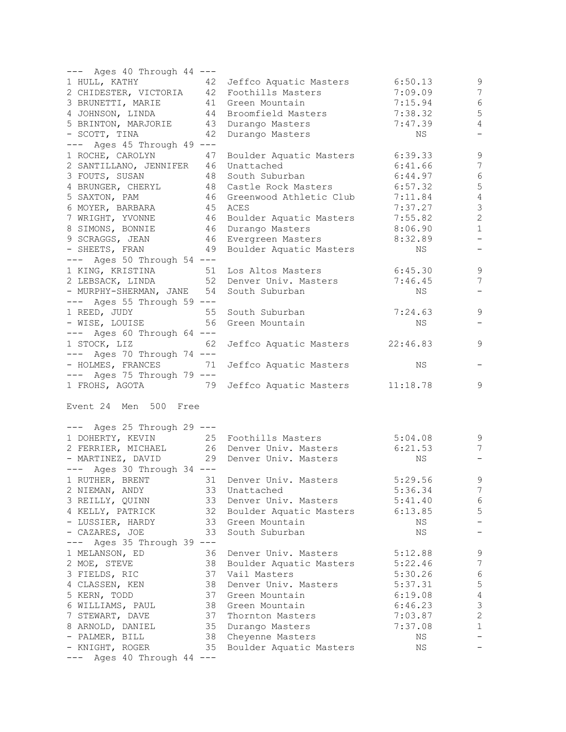| --- Ages 40 Through 44 ---                                                  |                                                     |         |                          |
|-----------------------------------------------------------------------------|-----------------------------------------------------|---------|--------------------------|
|                                                                             | 1 HULL, KATHY 42 Jeffco Aquatic Masters             | 6:50.13 | 9                        |
|                                                                             | 2 CHIDESTER, VICTORIA 42 Foothills Masters          | 7:09.09 | 7                        |
| 3 BRUNETTI, MARIE 41 Green Mountain                                         |                                                     | 7:15.94 | $6\,$                    |
|                                                                             | 4 JOHNSON, LINDA 44 Broomfield Masters              | 7:38.32 | 5                        |
| 5 BRINTON, MARJORIE 43 Durango Masters                                      |                                                     | 7:47.39 | $\overline{4}$           |
| 42<br>- SCOTT, TINA                                                         | Durango Masters                                     | NS      | $\qquad \qquad -$        |
| $---$ Ages 45 Through 49 $---$                                              |                                                     |         |                          |
|                                                                             |                                                     |         |                          |
|                                                                             | 1 ROCHE, CAROLYN 47 Boulder Aquatic Masters 6:39.33 |         | $\mathsf 9$              |
| 2 SANTILLANO, JENNIFER 46 Unattached                                        |                                                     | 6:41.66 | $\overline{7}$           |
| 3 FOUTS, SUSAN 48 South Suburban                                            |                                                     | 6:44.97 | $\epsilon$               |
|                                                                             | 4 BRUNGER, CHERYL 48 Castle Rock Masters            | 6:57.32 | $\mathsf S$              |
| 5 SAXTON, PAM                                                               | 46 Greenwood Athletic Club                          | 7:11.84 | $\sqrt{4}$               |
| 6 MOYER, BARBARA 45 ACES                                                    |                                                     | 7:37.27 | $\mathfrak{Z}$           |
|                                                                             | 7 WRIGHT, YVONNE 46 Boulder Aquatic Masters         | 7:55.82 | $\sqrt{2}$               |
|                                                                             |                                                     | 8:06.90 | $\mathbf 1$              |
| 8 SIMONS, BONNIE 46 Durango Masters<br>9 SCRAGGS, JEAN 46 Evergreen Masters |                                                     | 8:32.89 | $\overline{\phantom{0}}$ |
|                                                                             | - SHEETS, FRAN 49 Boulder Aquatic Masters           | NS      | $\overline{\phantom{m}}$ |
| $---$ Ages 50 Through 54 $---$                                              |                                                     |         |                          |
| 1 KING, KRISTINA 51 Los Altos Masters                                       |                                                     | 6:45.30 |                          |
|                                                                             |                                                     |         | 9                        |
|                                                                             | 2 LEBSACK, LINDA 52 Denver Univ. Masters            | 7:46.45 | 7                        |
| - MURPHY-SHERMAN, JANE 54 South Suburban                                    |                                                     | NS      | $\overline{\phantom{a}}$ |
| $---$ Ages 55 Through 59 $---$                                              |                                                     |         |                          |
| 1 REED, JUDY 55 South Suburban<br>- WISE, LOUISE 56 Green Mountain          |                                                     | 7:24.63 | $\mathsf 9$              |
|                                                                             |                                                     | NS      | $\overline{\phantom{0}}$ |
| $---$ Ages 60 Through 64 $---$                                              |                                                     |         |                          |
| 1 STOCK, LIZ 62                                                             | Jeffco Aquatic Masters 22:46.83                     |         | 9                        |
| $---$ Ages 70 Through 74 $---$                                              |                                                     |         |                          |
| - HOLMES, FRANCES 71 Jeffco Aquatic Masters                                 |                                                     | NS      |                          |
| $---$ Ages 75 Through 79 $---$                                              |                                                     |         |                          |
|                                                                             | 1 FROHS, AGOTA 79 Jeffco Aquatic Masters 11:18.78   |         | 9                        |
|                                                                             |                                                     |         |                          |
| Event 24 Men 500 Free                                                       |                                                     |         |                          |
|                                                                             |                                                     |         |                          |
| $---$ Ages 25 Through 29 $---$                                              |                                                     |         |                          |
|                                                                             | 1 DOHERTY, KEVIN 25 Foothills Masters               |         |                          |
|                                                                             | 2 FERRIER, MICHAEL 26 Denver Univ. Masters 6:21.53  | 5:04.08 | 9                        |
|                                                                             |                                                     |         | 7                        |
| - MARTINEZ, DAVID 29 Denver Univ. Masters                                   |                                                     | NS      |                          |
| $---$ Ages 30 Through 34 $---$                                              |                                                     |         |                          |
|                                                                             | 1 RUTHER, BRENT 31 Denver Univ. Masters             | 5:29.56 | $\overline{9}$           |
| 2 NIEMAN, ANDY                                                              | 33<br>Unattached                                    | 5:36.34 | 7                        |
| 3 REILLY, QUINN                                                             | 33<br>Denver Univ. Masters                          | 5:41.40 | 6                        |
| 4 KELLY, PATRICK                                                            | 32 Boulder Aquatic Masters                          | 6:13.85 | 5                        |
| - LUSSIER, HARDY                                                            | 33 Green Mountain                                   | ΝS      | $\qquad \qquad -$        |
| - CAZARES, JOE                                                              | 33<br>South Suburban                                | ΝS      |                          |
| --- Ages 35 Through 39 ---                                                  |                                                     |         |                          |
|                                                                             | 36<br>Denver Univ. Masters                          | 5:12.88 |                          |
| 1 MELANSON, ED                                                              |                                                     |         | 9                        |
| 2 MOE, STEVE                                                                | 38<br>Boulder Aquatic Masters                       | 5:22.46 | $\boldsymbol{7}$         |
| 3 FIELDS, RIC                                                               | 37<br>Vail Masters                                  | 5:30.26 | 6                        |
| 4 CLASSEN, KEN                                                              | 38<br>Denver Univ. Masters                          | 5:37.31 | $\mathbf 5$              |
| 5 KERN, TODD                                                                | 37<br>Green Mountain                                | 6:19.08 | $\sqrt{4}$               |
| 6 WILLIAMS, PAUL                                                            | 38<br>Green Mountain                                | 6:46.23 | $\mathfrak{Z}$           |
| 7 STEWART, DAVE                                                             | 37<br>Thornton Masters                              | 7:03.87 | $\sqrt{2}$               |
| 8 ARNOLD, DANIEL                                                            | 35<br>Durango Masters                               | 7:37.08 | $\mathbf{1}$             |
| - PALMER, BILL                                                              | 38<br>Cheyenne Masters                              | ΝS      |                          |
| - KNIGHT, ROGER                                                             | 35<br>Boulder Aquatic Masters                       | NS      |                          |
| Ages 40 Through 44 ---                                                      |                                                     |         |                          |
|                                                                             |                                                     |         |                          |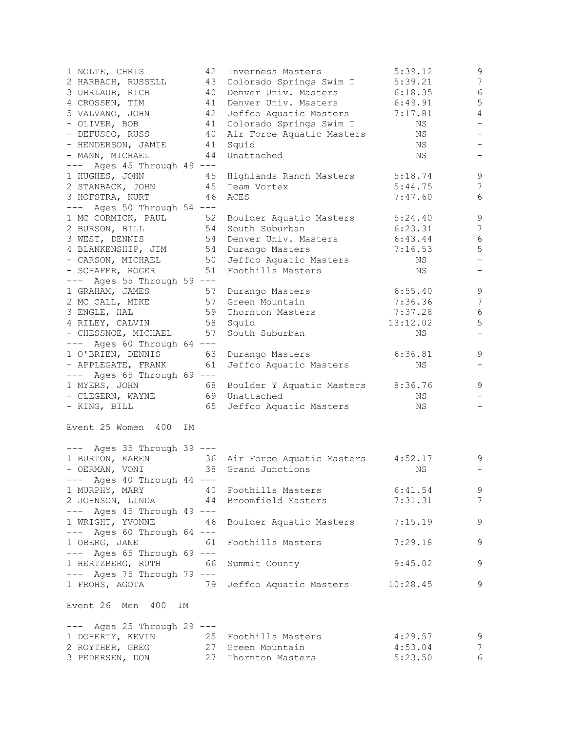| 1 NOLTE, CHRIS                        | 42 | Inverness Masters                                 | 5:39.12  | 9                        |
|---------------------------------------|----|---------------------------------------------------|----------|--------------------------|
| 2 HARBACH, RUSSELL                    | 43 | Colorado Springs Swim T                           | 5:39.21  | $\overline{7}$           |
| 3 UHRLAUB, RICH                       | 40 | Denver Univ. Masters                              | 6:18.35  | $\sqrt{6}$               |
| 4 CROSSEN, TIM                        |    | 41 Denver Univ. Masters                           | 6:49.91  | 5                        |
| 5 VALVANO, JOHN                       |    | 42 Jeffco Aquatic Masters                         | 7:17.81  | $\overline{4}$           |
| - OLIVER, BOB                         | 41 | Colorado Springs Swim T                           | ΝS       | $\qquad \qquad -$        |
| - DEFUSCO, RUSS                       | 40 | Air Force Aquatic Masters                         | NS       | $\overline{\phantom{a}}$ |
| - HENDERSON, JAMIE                    |    | 41 Squid                                          | NS       | $\qquad \qquad -$        |
| - MANN, MICHAEL                       |    | 44 Unattached                                     | NS       | $\overline{\phantom{0}}$ |
| $---$ Ages 45 Through 49 $---$        |    |                                                   |          |                          |
| 1 HUGHES, JOHN                        |    | 45 Highlands Ranch Masters                        | 5:18.74  | 9                        |
| 2 STANBACK, JOHN                      |    | 45 Team Vortex                                    | 5:44.75  | 7                        |
| 3 HOFSTRA, KURT                       |    | 46 ACES                                           | 7:47.60  | 6                        |
| $---$ Ages 50 Through 54 $---$        |    |                                                   |          |                          |
| 1 MC CORMICK, PAUL                    |    | 52 Boulder Aquatic Masters                        | 5:24.40  | 9                        |
| 2 BURSON, BILL                        |    | 54 South Suburban                                 | 6:23.31  | $\overline{7}$           |
|                                       |    | 54 Denver Univ. Masters                           |          | $\sqrt{6}$               |
| 3 WEST, DENNIS                        |    |                                                   | 6:43.44  | 5                        |
| 4 BLANKENSHIP, JIM                    |    | 54 Durango Masters                                | 7:16.53  | $\qquad \qquad -$        |
| - CARSON, MICHAEL                     |    | 50 Jeffco Aquatic Masters                         | ΝS       |                          |
| - SCHAFER, ROGER                      |    | 51 Foothills Masters                              | NS       |                          |
| $---$ Ages 55 Through 59 $---$        |    |                                                   |          |                          |
| 1 GRAHAM, JAMES                       | 57 | Durango Masters                                   | 6:55.40  | $\mathsf 9$              |
| 2 MC CALL, MIKE                       |    | 57 Green Mountain                                 | 7:36.36  | 7                        |
| 3 ENGLE, HAL                          |    | 59 Thornton Masters                               | 7:37.28  | 6                        |
| 4 RILEY, CALVIN                       |    | 58 Squid                                          | 13:12.02 | 5                        |
| - CHESSNOE, MICHAEL                   | 57 | South Suburban                                    | NS       | $\overline{\phantom{a}}$ |
| $---$ Ages 60 Through 64 $---$        |    |                                                   |          |                          |
| 1 O'BRIEN, DENNIS                     |    | 63 Durango Masters                                | 6:36.81  | $\mathsf 9$              |
| - APPLEGATE, FRANK                    |    | 61 Jeffco Aquatic Masters                         | NS       | $\overline{\phantom{0}}$ |
| $---$ Ages 65 Through 69 $---$        |    |                                                   |          |                          |
| 1 MYERS, JOHN                         |    | 68 Boulder Y Aquatic Masters                      | 8:36.76  | 9                        |
| - CLEGERN, WAYNE                      |    | 69 Unattached                                     | NS       |                          |
| - KING, BILL                          | 65 | Jeffco Aquatic Masters                            | NS       |                          |
|                                       |    |                                                   |          |                          |
| Event 25 Women 400<br>IM              |    |                                                   |          |                          |
|                                       |    |                                                   |          |                          |
| --- Ages 35 Through 39 ---            |    |                                                   |          |                          |
|                                       |    | 1 BURTON, KAREN 36 Air Force Aquatic Masters      | 4:52.17  | 9                        |
| - OERMAN, VONI                        |    | 38 Grand Junctions                                | NS       | $\overline{\phantom{a}}$ |
| --- Ages 40 Through 44 ---            |    |                                                   |          |                          |
|                                       |    | 1 MURPHY, MARY 40 Foothills Masters               | 6:41.54  | 9                        |
|                                       |    | 2 JOHNSON, LINDA 44 Broomfield Masters            | 7:31.31  | $7\phantom{.0}$          |
| $---$ Ages 45 Through 49 $---$        |    |                                                   |          |                          |
| 1 WRIGHT, YVONNE 46                   |    | Boulder Aquatic Masters                           | 7:15.19  | 9                        |
| $---$ Ages 60 Through 64 $---$        |    |                                                   |          |                          |
| 1 OBERG, JANE                         | 61 | Foothills Masters                                 | 7:29.18  | 9                        |
|                                       |    |                                                   |          |                          |
| $---$ Ages 65 Through 69 $---$        |    |                                                   |          |                          |
| 1 HERTZBERG, RUTH 66 Summit County    |    |                                                   | 9:45.02  | 9                        |
| $---$ Ages 75 Through 79 $---$        |    |                                                   |          |                          |
|                                       |    | 1 FROHS, AGOTA 79 Jeffco Aquatic Masters 10:28.45 |          | 9                        |
|                                       |    |                                                   |          |                          |
| Event 26 Men 400<br>IΜ                |    |                                                   |          |                          |
|                                       |    |                                                   |          |                          |
| $---$ Ages 25 Through 29 $---$        |    |                                                   |          |                          |
| 1 DOHERTY, KEVIN 25 Foothills Masters |    |                                                   | 4:29.57  | 9                        |
| 2 ROYTHER, GREG 27 Green Mountain     |    |                                                   | 4:53.04  | $\overline{7}$           |
| 3 PEDERSEN, DON 27 Thornton Masters   |    |                                                   | 5:23.50  | 6                        |
|                                       |    |                                                   |          |                          |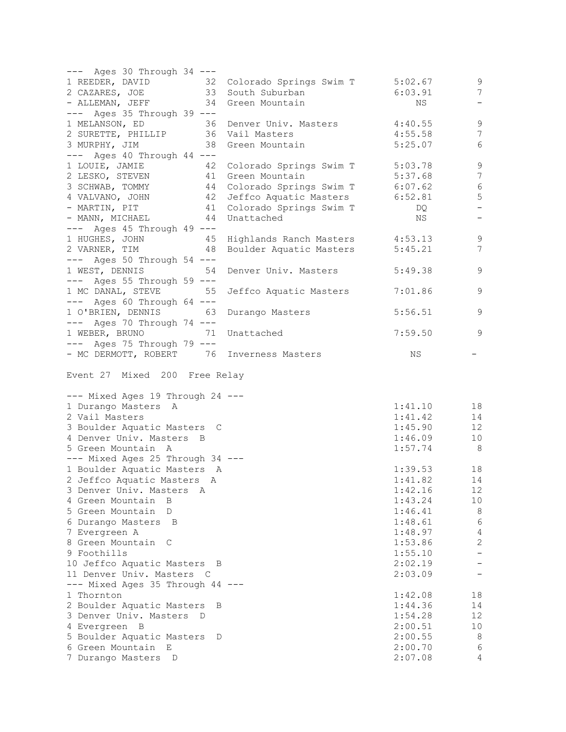| $---$ Ages 30 Through 34 $---$                                                                        |         |                          |
|-------------------------------------------------------------------------------------------------------|---------|--------------------------|
| 1 REEDER, DAVID 32 Colorado Springs Swim T 5:02.67                                                    |         | 9                        |
| 2 CAZARES, JOE 33 South Suburban                                                                      | 6:03.91 | $7\phantom{.0}$          |
| - ALLEMAN, JEFF 34 Green Mountain                                                                     | NS      | $\overline{\phantom{a}}$ |
| $---$ Ages 35 Through 39 $---$                                                                        |         |                          |
|                                                                                                       | 4:40.55 | 9                        |
| 1 MELANSON, ED 36 Denver Univ. Masters<br>2 SURETTE, PHILLIP 36 Vail Masters                          | 4:55.58 | $7\phantom{.0}$          |
|                                                                                                       |         | $6\,$                    |
| 3 MURPHY, JIM<br>38 Green Mountain                                                                    | 5:25.07 |                          |
| --- Ages 40 Through 44 ---                                                                            |         |                          |
| Colorado Springs Swim T 5:03.78<br>1 LOUIE, JAMIE 42                                                  |         | $\mathsf 9$              |
| 2 LESKO, STEVEN 41 Green Mountain                                                                     | 5:37.68 | $7\phantom{.0}$          |
| 3 SCHWAB, TOMMY 44 Colorado Springs Swim T 6:07.62                                                    |         | $\sqrt{6}$               |
| 4 VALVANO, JOHN 42 Jeffco Aquatic Masters 6:52.81                                                     |         | 5                        |
| - MARTIN, PIT 41 Colorado Springs Swim T                                                              | DQ.     | $\overline{\phantom{a}}$ |
| 44 Unattached<br>- MANN, MICHAEL                                                                      | NS      | $\overline{\phantom{a}}$ |
| $---$ Ages 45 Through 49 $---$                                                                        |         |                          |
|                                                                                                       |         | $\mathcal{G}$            |
| 1 HUGHES, JOHN 45 Highlands Ranch Masters 4:53.13<br>2 VARNER, TIM 48 Boulder Aquatic Masters 5:45.21 |         | 7                        |
| $---$ Ages 50 Through 54 $---$                                                                        |         |                          |
|                                                                                                       |         |                          |
| 1 WEST, DENNIS 54<br>Denver Univ. Masters                                                             | 5:49.38 | 9                        |
| $---$ Ages 55 Through 59 $---$                                                                        |         |                          |
| 1 MC DANAL, STEVE 55<br>Jeffco Aquatic Masters                                                        | 7:01.86 | 9                        |
| $---$ Ages 60 Through 64 $---$                                                                        |         |                          |
| 1 O'BRIEN, DENNIS 63<br>Durango Masters                                                               | 5:56.51 | 9                        |
| $---$ Ages 70 Through 74 $---$                                                                        |         |                          |
| 1 WEBER, BRUNO 71<br>Unattached                                                                       | 7:59.50 | $\overline{9}$           |
| $---$ Ages 75 Through 79 $---$                                                                        |         |                          |
| - MC DERMOTT, ROBERT 76 Inverness Masters                                                             | ΝS      |                          |
|                                                                                                       |         |                          |
| Event 27 Mixed 200 Free Relay                                                                         |         |                          |
|                                                                                                       |         |                          |
| --- Mixed Ages 19 Through 24 ---                                                                      |         |                          |
| 1 Durango Masters A                                                                                   | 1:41.10 | 18                       |
| 2 Vail Masters                                                                                        | 1:41.42 | 14                       |
|                                                                                                       | 1:45.90 | 12                       |
| 3 Boulder Aquatic Masters C                                                                           |         |                          |
| 4 Denver Univ. Masters B                                                                              | 1:46.09 | 10                       |
| 5 Green Mountain A                                                                                    | 1:57.74 | 8 <sup>8</sup>           |
| --- Mixed Ages 25 Through 34 ---                                                                      |         |                          |
| 1 Boulder Aquatic Masters A                                                                           | 1:39.53 | 18                       |
| 2 Jeffco Aquatic Masters A                                                                            | 1:41.82 | 14                       |
| 3 Denver Univ. Masters<br>Α                                                                           | 1:42.16 | 12                       |
| 4 Green Mountain<br>$\Box$                                                                            | 1:43.24 | 10 <sub>o</sub>          |
| 5 Green Mountain<br>D                                                                                 | 1:46.41 | 8                        |
| 6 Durango Masters<br>$\Box$                                                                           | 1:48.61 | 6                        |
| 7 Evergreen A                                                                                         | 1:48.97 | $\overline{4}$           |
| 8 Green Mountain C                                                                                    | 1:53.86 | $\mathbf{2}$             |
|                                                                                                       |         |                          |
| 9 Foothills                                                                                           | 1:55.10 |                          |
| 10 Jeffco Aquatic Masters B                                                                           | 2:02.19 |                          |
| 11 Denver Univ. Masters<br>$\mathbb C$                                                                | 2:03.09 |                          |
| --- Mixed Ages 35 Through 44 ---                                                                      |         |                          |
| 1 Thornton                                                                                            | 1:42.08 | 18                       |
| 2 Boulder Aquatic Masters<br>В                                                                        | 1:44.36 | 14                       |
| 3 Denver Univ. Masters<br>$\Box$                                                                      | 1:54.28 | 12                       |
| 4 Evergreen B                                                                                         | 2:00.51 | 10                       |
| 5 Boulder Aquatic Masters<br>D                                                                        | 2:00.55 | 8                        |
| 6 Green Mountain<br>Е                                                                                 | 2:00.70 | 6                        |
| 7 Durango Masters<br>D                                                                                | 2:07.08 | 4                        |
|                                                                                                       |         |                          |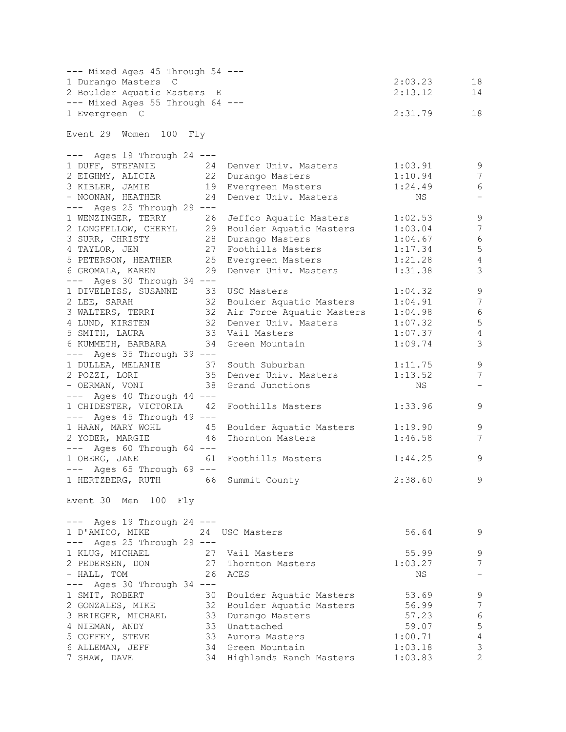| --- Mixed Ages 45 Through 54 ---                                                                                                                                 |                            |         |                           |
|------------------------------------------------------------------------------------------------------------------------------------------------------------------|----------------------------|---------|---------------------------|
| 1 Durango Masters C                                                                                                                                              |                            | 2:03.23 | 18                        |
| 2 Boulder Aquatic Masters E                                                                                                                                      |                            | 2:13.12 | 14                        |
| --- Mixed Ages 55 Through 64 ---                                                                                                                                 |                            |         |                           |
| 1 Evergreen C                                                                                                                                                    |                            | 2:31.79 | 18                        |
|                                                                                                                                                                  |                            |         |                           |
| Event 29 Women 100 Fly                                                                                                                                           |                            |         |                           |
|                                                                                                                                                                  |                            |         |                           |
| --- Ages 19 Through 24 ---                                                                                                                                       |                            |         |                           |
| 1 DUFF, STEFANIE 24 Denver Univ. Masters<br>2 EIGHMY, ALICIA 22 Durango Masters                                                                                  |                            | 1:03.91 | 9                         |
| 2 EIGHMY, ALICIA                                                                                                                                                 |                            | 1:10.94 | 7                         |
| 3 KIBLER, JAMIE 19 Evergreen Masters                                                                                                                             |                            | 1:24.49 | 6                         |
| - NOONAN, HEATHER 24 Denver Univ. Masters                                                                                                                        |                            | NS      | $\overline{\phantom{a}}$  |
| --- Ages 25 Through 29 ---                                                                                                                                       |                            |         |                           |
| 1 WENZINGER, TERRY 26 Jeffco Aquatic Masters                                                                                                                     |                            | 1:02.53 | 9                         |
| 2 LONGFELLOW, CHERYL 29 Boulder Aquatic Masters                                                                                                                  |                            | 1:03.04 | $7\phantom{.0}$           |
| 3 SURR, CHRISTY 28 Durango Masters                                                                                                                               |                            | 1:04.67 | $\sqrt{6}$                |
|                                                                                                                                                                  |                            | 1:17.34 | $\mathsf S$               |
|                                                                                                                                                                  |                            | 1:21.28 | $\sqrt{4}$                |
|                                                                                                                                                                  | 29 Denver Univ. Masters    | 1:31.38 | 3                         |
| COMMING CONTROLL OF THE STATE STATES ON THE STATE SUPERSON, HEATHER<br>S PETERSON, HEATHER<br>6 GROMALA, KAREN<br>-- Accession<br>$---$ Ages 30 Through 34 $---$ |                            |         |                           |
| 1 DIVELBISS, SUSANNE 33                                                                                                                                          | USC Masters                | 1:04.32 | $\mathsf 9$               |
| 2 LEE, SARAH 32 Boulder Aquatic Masters                                                                                                                          |                            | 1:04.91 | 7                         |
| 3 WALTERS, TERRI 32 Air Force Aquatic Masters                                                                                                                    |                            |         | $\sqrt{6}$                |
|                                                                                                                                                                  |                            | 1:04.98 |                           |
| 4 LUND, KIRSTEN 32 Denver Univ. Masters                                                                                                                          |                            | 1:07.32 | 5                         |
| 5 SMITH, LAURA                                                                                                                                                   | 33 Vail Masters            | 1:07.37 | $\sqrt{4}$                |
| 6 KUMMETH, BARBARA                                                                                                                                               | 34 Green Mountain          | 1:09.74 | $\mathcal{S}$             |
| $---$ Ages 35 Through 39 $---$                                                                                                                                   |                            |         |                           |
| 1 DULLEA, MELANIE 37 South Suburban                                                                                                                              |                            | 1:11.75 | $\mathcal{G}$             |
| 2 POZZI, LORI 35 Denver Univ. Masters                                                                                                                            |                            | 1:13.52 | $\sqrt{ }$                |
| - OERMAN, VONI 38                                                                                                                                                | Grand Junctions            | NS      | $\overline{\phantom{a}}$  |
| $---$ Ages 40 Through 44 $---$                                                                                                                                   |                            |         |                           |
| 1 CHIDESTER, VICTORIA 42                                                                                                                                         | Foothills Masters          | 1:33.96 | 9                         |
| $---$ Ages 45 Through 49 $---$                                                                                                                                   |                            |         |                           |
| 1 HAAN, MARY WOHL 45                                                                                                                                             | Boulder Aquatic Masters    | 1:19.90 | $\mathsf 9$               |
| 2 YODER, MARGIE<br>46                                                                                                                                            | Thornton Masters           | 1:46.58 | 7                         |
| --- Ages 60 Through 64 ---                                                                                                                                       |                            |         |                           |
| 1 OBERG, JANE 61                                                                                                                                                 | Foothills Masters          | 1:44.25 | 9                         |
| --- Ages 65 Through 69 ---                                                                                                                                       |                            |         |                           |
| 1 HERTZBERG, RUTH 66 Summit County                                                                                                                               |                            | 2:38.60 | 9                         |
|                                                                                                                                                                  |                            |         |                           |
| Event 30 Men 100 Fly                                                                                                                                             |                            |         |                           |
|                                                                                                                                                                  |                            |         |                           |
| $---$ Ages 19 Through 24 $---$                                                                                                                                   |                            |         |                           |
| 1 D'AMICO, MIKE                                                                                                                                                  | 24 USC Masters             | 56.64   | 9                         |
| $---$ Ages 25 Through 29 $---$                                                                                                                                   |                            |         |                           |
| 1 KLUG, MICHAEL                                                                                                                                                  | 27 Vail Masters            | 55.99   | 9                         |
| 27<br>2 PEDERSEN, DON                                                                                                                                            | Thornton Masters           | 1:03.27 | 7                         |
| - HALL, TOM<br>26                                                                                                                                                | ACES                       | ΝS      | -                         |
| Ages 30 Through 34 ---<br>$---$                                                                                                                                  |                            |         |                           |
| 1 SMIT, ROBERT<br>30                                                                                                                                             | Boulder Aquatic Masters    | 53.69   | 9                         |
| 32<br>2 GONZALES, MIKE                                                                                                                                           | Boulder Aquatic Masters    | 56.99   | $\overline{7}$            |
| 33<br>3 BRIEGER, MICHAEL                                                                                                                                         | Durango Masters            | 57.23   | $\sqrt{6}$                |
| 33                                                                                                                                                               |                            |         | $\mathbf 5$               |
| 4 NIEMAN, ANDY                                                                                                                                                   | Unattached                 | 59.07   |                           |
| 5 COFFEY, STEVE                                                                                                                                                  | 33 Aurora Masters          | 1:00.71 | $\sqrt{4}$                |
| 6 ALLEMAN, JEFF                                                                                                                                                  | 34 Green Mountain          | 1:03.18 | $\ensuremath{\mathsf{3}}$ |
| 7 SHAW, DAVE                                                                                                                                                     | 34 Highlands Ranch Masters | 1:03.83 | $\overline{2}$            |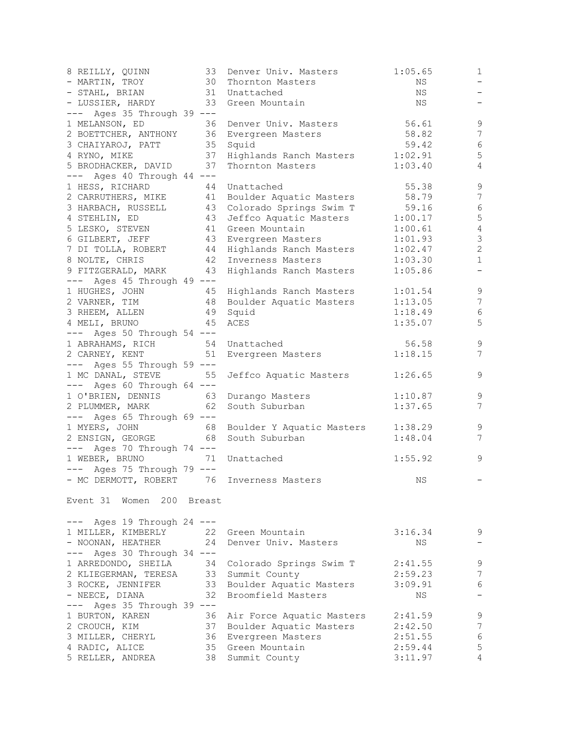| 8 REILLY, QUINN                       | 33 | Denver Univ. Masters                          | 1:05.65 | $\mathbf{1}$             |
|---------------------------------------|----|-----------------------------------------------|---------|--------------------------|
| - MARTIN, TROY                        | 30 | Thornton Masters                              | ΝS      | $\overline{\phantom{0}}$ |
| - STAHL, BRIAN                        |    | 31 Unattached                                 | NS      | $\overline{\phantom{a}}$ |
| - LUSSIER, HARDY 33 Green Mountain    |    |                                               | NS      | $\qquad \qquad -$        |
| --- Ages 35 Through 39 ---            |    |                                               |         |                          |
| 1 MELANSON, ED                        | 36 | Denver Univ. Masters                          | 56.61   | $\mathsf 9$              |
| 2 BOETTCHER, ANTHONY                  |    | 36 Evergreen Masters                          | 58.82   | $7\phantom{.0}$          |
| 3 CHAIYAROJ, PATT                     |    | 35 Squid                                      | 59.42   | $\epsilon$               |
| 4 RYNO, MIKE                          |    | 37 Highlands Ranch Masters                    | 1:02.91 | $\mathsf S$              |
| 5 BRODHACKER, DAVID                   | 37 | Thornton Masters                              | 1:03.40 | $\overline{4}$           |
| --- Ages 40 Through 44 ---            |    |                                               |         |                          |
| 1 HESS, RICHARD                       | 44 | Unattached                                    | 55.38   | $\overline{9}$           |
|                                       |    | 2 CARRUTHERS, MIKE 41 Boulder Aquatic Masters | 58.79   | 7                        |
|                                       |    | 3 HARBACH, RUSSELL 43 Colorado Springs Swim T | 59.16   | $\epsilon$               |
| 4 STEHLIN, ED                         |    | 43 Jeffco Aquatic Masters                     | 1:00.17 | 5                        |
|                                       |    | 41 Green Mountain                             |         | $\sqrt{4}$               |
| 5 LESKO, STEVEN                       |    |                                               | 1:00.61 | $\mathfrak{Z}$           |
| 6 GILBERT, JEFF                       |    | 43 Evergreen Masters                          | 1:01.93 |                          |
| 7 DI TOLLA, ROBERT                    |    | 44 Highlands Ranch Masters                    | 1:02.47 | $\sqrt{2}$               |
| 8 NOLTE, CHRIS                        |    | 42 Inverness Masters                          | 1:03.30 | $1\,$                    |
| 9 FITZGERALD, MARK                    |    | 43 Highlands Ranch Masters                    | 1:05.86 | $\overline{\phantom{a}}$ |
| $---$ Ages 45 Through 49 $---$        |    |                                               |         |                          |
| 1 HUGHES, JOHN                        |    | 45 Highlands Ranch Masters                    | 1:01.54 | 9                        |
| 2 VARNER, TIM                         |    | 48 Boulder Aquatic Masters                    | 1:13.05 | $\overline{7}$           |
| 3 RHEEM, ALLEN                        |    | 49 Squid                                      | 1:18.49 | $\sqrt{6}$               |
| 4 MELI, BRUNO                         | 45 | ACES                                          | 1:35.07 | 5                        |
| $---$ Ages 50 Through 54 $---$        |    |                                               |         |                          |
| 1 ABRAHAMS, RICH 54                   |    | Unattached                                    | 56.58   | $\mathsf 9$              |
| 2 CARNEY, KENT                        | 51 | Evergreen Masters                             | 1:18.15 | $\overline{7}$           |
| --- Ages 55 Through 59 ---            |    |                                               |         |                          |
| 1 MC DANAL, STEVE                     | 55 | Jeffco Aquatic Masters                        | 1:26.65 | $\mathsf 9$              |
| $---$ Ages 60 Through 64 $---$        |    |                                               |         |                          |
| 1 O'BRIEN, DENNIS 63 Durango Masters  |    |                                               | 1:10.87 | 9                        |
| 2 PLUMMER, MARK                       | 62 | South Suburban                                | 1:37.65 | $\overline{7}$           |
| $---$ Ages 65 Through 69 $---$        |    |                                               |         |                          |
| 1 MYERS, JOHN                         | 68 | Boulder Y Aquatic Masters                     | 1:38.29 | $\mathsf 9$              |
| 2 ENSIGN, GEORGE                      | 68 | South Suburban                                | 1:48.04 | 7                        |
| $---$ Ages 70 Through 74 $---$        |    |                                               |         |                          |
| 1 WEBER, BRUNO                        | 71 | Unattached                                    | 1:55.92 | $\mathsf 9$              |
|                                       |    |                                               |         |                          |
| $---$ Ages 75 Through 79 $---$        |    |                                               |         |                          |
|                                       |    | - MC DERMOTT, ROBERT 76 Inverness Masters     | ΝS      |                          |
|                                       |    |                                               |         |                          |
| Event 31 Women 200 Breast             |    |                                               |         |                          |
|                                       |    |                                               |         |                          |
| --- Ages 19 Through 24 ---            |    |                                               |         |                          |
| 1 MILLER, KIMBERLY                    |    | 22 Green Mountain                             | 3:16.34 | 9                        |
| - NOONAN, HEATHER                     | 24 | Denver Univ. Masters                          | NS      | $\overline{\phantom{0}}$ |
| $---$ Ages 30 Through 34 $---$        |    |                                               |         |                          |
| 1 ARREDONDO, SHEILA                   |    | 34 Colorado Springs Swim T                    | 2:41.55 | $\mathsf 9$              |
| 2 KLIEGERMAN, TERESA 33 Summit County |    |                                               | 2:59.23 | 7                        |
| 3 ROCKE, JENNIFER                     |    | 33 Boulder Aquatic Masters                    | 3:09.91 | 6                        |
| - NEECE, DIANA                        | 32 | Broomfield Masters                            | NS      | $\qquad \qquad -$        |
| $---$ Ages 35 Through 39 $---$        |    |                                               |         |                          |
| 1 BURTON, KAREN                       | 36 | Air Force Aquatic Masters                     | 2:41.59 | 9                        |
| 2 CROUCH, KIM                         | 37 | Boulder Aquatic Masters                       | 2:42.50 | $\boldsymbol{7}$         |
| 3 MILLER, CHERYL                      | 36 | Evergreen Masters                             | 2:51.55 | $\sqrt{6}$               |
| 4 RADIC, ALICE                        |    | 35 Green Mountain                             | 2:59.44 | $\mathsf S$              |
| 5 RELLER, ANDREA                      |    | 38 Summit County                              | 3:11.97 | 4                        |
|                                       |    |                                               |         |                          |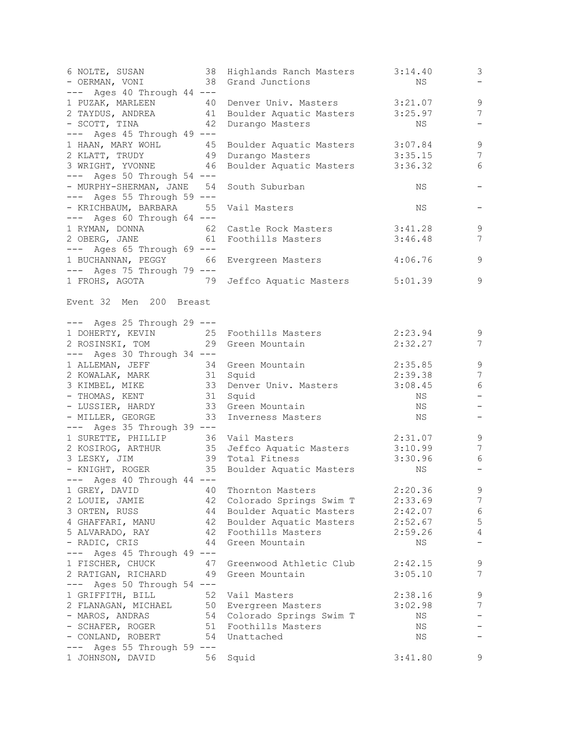| 6 NOLTE, SUSAN<br>- OERMAN, VONI<br>$---$ Ages 40 Through 44 $---$                                                                             | 38 Highlands Ranch Masters 3:14.40<br>38 Grand Junctions | NS      | 3<br>$\qquad \qquad -$          |
|------------------------------------------------------------------------------------------------------------------------------------------------|----------------------------------------------------------|---------|---------------------------------|
|                                                                                                                                                |                                                          |         | $\mathcal{G}$                   |
| 1 PUZAK, MARLEEN 40 Denver Univ. Masters 3:21.07<br>2 TAYDUS, ANDREA 41 Boulder Aquatic Masters 3:25.97<br>- SCOTT, TINA 42 Durango Masters NS |                                                          |         | $\overline{7}$                  |
| - SCOTT, TINA                                                                                                                                  |                                                          |         | $\overline{\phantom{a}}$        |
| --- Ages 45 Through 49 ---                                                                                                                     |                                                          |         |                                 |
| 1 HAAN, MARY WOHL 45 Boulder Aquatic Masters                                                                                                   |                                                          | 3:07.84 | $\mathcal{G}$                   |
| 2 KLATT, TRUDY 49 Durango Masters                                                                                                              |                                                          | 3:35.15 | 7                               |
| 3 WRIGHT, YVONNE 46 Boulder Aquatic Masters                                                                                                    |                                                          | 3:36.32 | 6                               |
| $---$ Ages 50 Through 54 $---$                                                                                                                 |                                                          |         |                                 |
| - MURPHY-SHERMAN, JANE 54                                                                                                                      | South Suburban                                           | ΝS      |                                 |
| $---$ Ages 55 Through 59 $---$                                                                                                                 |                                                          |         |                                 |
| - KRICHBAUM, BARBARA 55                                                                                                                        | Vail Masters                                             | ΝS      |                                 |
| --- Ages 60 Through 64 ---                                                                                                                     |                                                          |         |                                 |
| 1 RYMAN, DONNA 62                                                                                                                              | Castle Rock Masters 3:41.28                              |         | 9                               |
| 2 OBERG, JANE 61 Foothills Masters                                                                                                             |                                                          | 3:46.48 | 7                               |
| $---$ Ages 65 Through 69 $---$                                                                                                                 |                                                          |         |                                 |
| 1 BUCHANNAN, PEGGY 66 Evergreen Masters                                                                                                        |                                                          | 4:06.76 | 9                               |
| --- Ages 75 Through 79 ---                                                                                                                     |                                                          |         |                                 |
| 1 FROHS, AGOTA 79 Jeffco Aquatic Masters                                                                                                       |                                                          | 5:01.39 | $\mathsf 9$                     |
| Event 32 Men 200 Breast                                                                                                                        |                                                          |         |                                 |
| --- Ages 25 Through 29 ---                                                                                                                     |                                                          |         |                                 |
| 1 DOHERTY, KEVIN 25 Foothills Masters                                                                                                          |                                                          | 2:23.94 | 9                               |
| 2 ROSINSKI, TOM 29 Green Mountain                                                                                                              |                                                          | 2:32.27 | 7                               |
| $---$ Ages 30 Through 34 $---$                                                                                                                 |                                                          |         |                                 |
| 1 ALLEMAN, JEFF 34 Green Mountain                                                                                                              |                                                          | 2:35.85 | $\mathsf 9$                     |
| 2 KOWALAK, MARK 31 Squid                                                                                                                       |                                                          | 2:39.38 | $\sqrt{ }$                      |
| 3 KIMBEL, MIKE<br>- THOMAS, KENT                                                                                                               | 33 Denver Univ. Masters                                  | 3:08.45 | $\sqrt{6}$                      |
| - LUSSIER, HARDY 33 Green Mountain                                                                                                             | 31 Squid                                                 | NS      | $\qquad \qquad -$               |
|                                                                                                                                                |                                                          | NS      | $\overline{\phantom{m}}$        |
| - MILLER, GEORGE 33 Inverness Masters                                                                                                          |                                                          | NS      | $\overline{\phantom{a}}$        |
| $---$ Ages 35 Through 39 $---$                                                                                                                 |                                                          |         |                                 |
| 1 SURETTE, PHILLIP 36 Vail Masters                                                                                                             |                                                          | 2:31.07 | 9                               |
| 2 KOSIROG, ARTHUR 35 Jeffco Aquatic Masters                                                                                                    |                                                          | 3:10.99 | $7\phantom{.0}$                 |
| 39 Total Fitness<br>3 LESKY, JIM                                                                                                               |                                                          | 3:30.96 | 6                               |
| - KNIGHT, ROGER                                                                                                                                | 35 Boulder Aquatic Masters                               | NS      | $\overline{\phantom{m}}$        |
| --- Ages 40 Through 44 ---                                                                                                                     | Thornton Masters                                         |         |                                 |
| 1 GREY, DAVID<br>40<br>42                                                                                                                      |                                                          | 2:20.36 | $\mathsf 9$<br>$\boldsymbol{7}$ |
| 2 LOUIE, JAMIE                                                                                                                                 | Colorado Springs Swim T<br>Boulder Aquatic Masters       | 2:33.69 | $\sqrt{6}$                      |
| 3 ORTEN, RUSS<br>44<br>42                                                                                                                      |                                                          | 2:42.07 | $\mathsf S$                     |
| 4 GHAFFARI, MANU<br>42                                                                                                                         | Boulder Aquatic Masters<br>Foothills Masters             | 2:52.67 | 4                               |
| 5 ALVARADO, RAY<br>- RADIC, CRIS<br>44                                                                                                         | Green Mountain                                           | 2:59.26 | $\qquad \qquad -$               |
| $---$ Ages 45 Through 49 $---$                                                                                                                 |                                                          | ΝS      |                                 |
| 1 FISCHER, CHUCK<br>47                                                                                                                         | Greenwood Athletic Club                                  | 2:42.15 | 9                               |
| 2 RATIGAN, RICHARD<br>49                                                                                                                       | Green Mountain                                           | 3:05.10 | 7                               |
| --- Ages 50 Through 54 ---                                                                                                                     |                                                          |         |                                 |
| 1 GRIFFITH, BILL<br>52                                                                                                                         | Vail Masters                                             | 2:38.16 | $\mathsf 9$                     |
| 2 FLANAGAN, MICHAEL<br>50                                                                                                                      | Evergreen Masters                                        | 3:02.98 | $\overline{7}$                  |
| - MAROS, ANDRAS                                                                                                                                | 54 Colorado Springs Swim T                               | ΝS      | $\qquad \qquad -$               |
| - SCHAFER, ROGER<br>51                                                                                                                         | Foothills Masters                                        | ΝS      |                                 |
| - CONLAND, ROBERT<br>54                                                                                                                        | Unattached                                               | ΝS      |                                 |
| Ages 55 Through 59 ---                                                                                                                         |                                                          |         |                                 |
| 1 JOHNSON, DAVID<br>56                                                                                                                         | Squid                                                    | 3:41.80 | 9                               |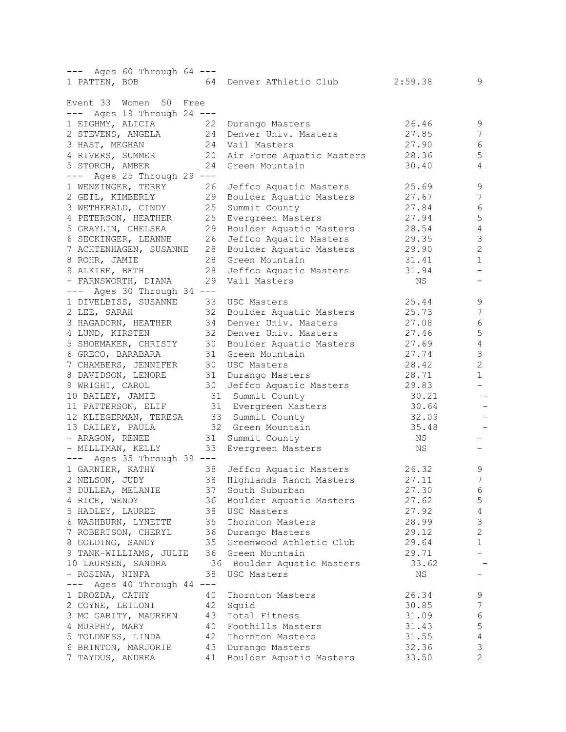| --- Ages 60 Through 64 ---        |    |                            |         |                          |
|-----------------------------------|----|----------------------------|---------|--------------------------|
| 1 PATTEN, BOB                     |    | 64 Denver AThletic Club    | 2:59.38 | 9                        |
|                                   |    |                            |         |                          |
| Event 33 Women<br>50<br>Free      |    |                            |         |                          |
| --- Ages 19 Through 24 ---        | 22 |                            | 26.46   | $\mathsf 9$              |
| 1 EIGHMY, ALICIA                  |    | Durango Masters            |         |                          |
| 2 STEVENS, ANGELA                 | 24 | Denver Univ. Masters       | 27.85   | 7                        |
| 3 HAST, MEGHAN                    | 24 | Vail Masters               | 27.90   | 6                        |
| 4 RIVERS, SUMMER                  | 20 | Air Force Aquatic Masters  | 28.36   | 5                        |
| 5 STORCH, AMBER                   | 24 | Green Mountain             | 30.40   | 4                        |
| Ages 25 Through 29 $---$<br>$---$ |    |                            |         |                          |
| 1 WENZINGER, TERRY                | 26 | Jeffco Aquatic Masters     | 25.69   | 9                        |
| 2 GEIL, KIMBERLY                  | 29 | Boulder Aquatic Masters    | 27.67   | 7                        |
| 3 WETHERALD, CINDY                | 25 | Summit County              | 27.84   | 6                        |
| 4 PETERSON, HEATHER               | 25 | Evergreen Masters          | 27.94   | 5                        |
| 5 GRAYLIN, CHELSEA                | 29 | Boulder Aquatic Masters    | 28.54   | $\sqrt{4}$               |
| 6 SECKINGER, LEANNE               | 26 | Jeffco Aquatic Masters     | 29.35   | $\mathfrak{Z}$           |
| 7 ACHTENHAGEN, SUSANNE            | 28 | Boulder Aquatic Masters    | 29.90   | $\mathbf{2}$             |
| 8 ROHR, JAMIE                     | 28 | Green Mountain             | 31.41   | $\mathbf{1}$             |
| 9 ALKIRE, BETH                    | 28 | Jeffco Aquatic Masters     | 31.94   |                          |
| - FARNSWORTH, DIANA               | 29 | Vail Masters               | ΝS      |                          |
| $---$ Ages 30 Through 34 $---$    |    |                            |         |                          |
| 1 DIVELBISS, SUSANNE              | 33 | USC Masters                | 25.44   | $\mathsf 9$              |
| 2 LEE, SARAH                      | 32 | Boulder Aquatic Masters    | 25.73   | 7                        |
| 3 HAGADORN, HEATHER               | 34 | Denver Univ. Masters       | 27.08   | $\epsilon$               |
| 4 LUND, KIRSTEN                   | 32 | Denver Univ. Masters       | 27.46   | $\mathsf S$              |
| 5 SHOEMAKER, CHRISTY              | 30 | Boulder Aquatic Masters    | 27.69   | $\overline{4}$           |
| 6 GRECO, BARABARA                 | 31 | Green Mountain             | 27.74   | 3                        |
| 7 CHAMBERS, JENNIFER              | 30 | USC Masters                | 28.42   | $\overline{c}$           |
| 8 DAVIDSON, LENORE                | 31 | Durango Masters            | 28.71   | $\mathbf{1}$             |
| 9 WRIGHT, CAROL                   | 30 | Jeffco Aquatic Masters     | 29.83   | $\overline{\phantom{0}}$ |
| 10 BAILEY, JAMIE                  |    | 31 Summit County           | 30.21   |                          |
| 11 PATTERSON, ELIF                |    | 31 Evergreen Masters       | 30.64   |                          |
| 12 KLIEGERMAN, TERESA             |    | 33 Summit County           | 32.09   |                          |
| 13 DAILEY, PAULA                  |    | 32 Green Mountain          | 35.48   |                          |
| - ARAGON, RENEE                   |    |                            | ΝS      |                          |
| - MILLIMAN, KELLY                 | 33 | 31 Summit County           | ΝS      | $-$                      |
|                                   |    | Evergreen Masters          |         |                          |
| --- Ages 35 Through 39 ---        |    |                            |         |                          |
| 1 GARNIER, KATHY                  | 38 | Jeffco Aquatic Masters     | 26.32   | 9<br>7                   |
| 2 NELSON, JUDY                    | 38 | Highlands Ranch Masters    | 27.11   |                          |
| 3 DULLEA, MELANIE                 | 37 | South Suburban             | 27.30   | 6                        |
| 4 RICE, WENDY                     | 36 | Boulder Aquatic Masters    | 27.62   | 5                        |
| 5 HADLEY, LAUREE                  | 38 | USC Masters                | 27.92   | $\overline{4}$           |
| 6 WASHBURN, LYNETTE               | 35 | Thornton Masters           | 28.99   | $\mathsf 3$              |
| 7 ROBERTSON, CHERYL               | 36 | Durango Masters            | 29.12   | $\sqrt{2}$               |
| 8 GOLDING, SANDY                  | 35 | Greenwood Athletic Club    | 29.64   | 1                        |
| 9 TANK-WILLIAMS, JULIE            | 36 | Green Mountain             | 29.71   |                          |
| 10 LAURSEN, SANDRA                |    | 36 Boulder Aquatic Masters | 33.62   |                          |
| - ROSINA, NINFA                   | 38 | USC Masters                | ΝS      |                          |
| Ages 40 Through 44 ---            |    |                            |         |                          |
| 1 DROZDA, CATHY                   | 40 | Thornton Masters           | 26.34   | 9                        |
| 2 COYNE, LEILONI                  | 42 | Squid                      | 30.85   | $\boldsymbol{7}$         |
| 3 MC GARITY, MAUREEN              | 43 | Total Fitness              | 31.09   | 6                        |
| 4 MURPHY, MARY                    | 40 | Foothills Masters          | 31.43   | 5                        |
| 5 TOLDNESS, LINDA                 | 42 | Thornton Masters           | 31.55   | $\overline{4}$           |
| 6 BRINTON, MARJORIE               | 43 | Durango Masters            | 32.36   | 3                        |
| 7 TAYDUS, ANDREA                  | 41 | Boulder Aquatic Masters    | 33.50   | 2                        |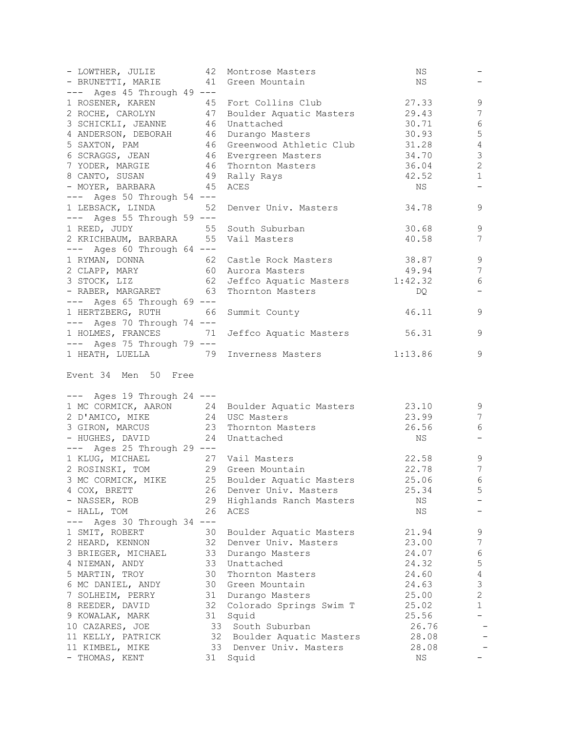| - LOWTHER, JULIE                                                     | 42 | Montrose Masters                              | NS    |                          |
|----------------------------------------------------------------------|----|-----------------------------------------------|-------|--------------------------|
| - BRUNETTI, MARIE 41                                                 |    | Green Mountain                                | ΝS    |                          |
| $---$ Ages 45 Through 49 $---$                                       |    |                                               |       |                          |
| 1 ROSENER, KAREN 45                                                  |    | Fort Collins Club                             | 27.33 | 9                        |
| 2 ROCHE, CAROLYN 47                                                  |    | Boulder Aquatic Masters 29.43                 |       | 7                        |
| 3 SCHICKLI, JEANNE 46                                                |    | Unattached                                    | 30.71 | 6                        |
| 4 ANDERSON, DEBORAH 46                                               |    | Durango Masters                               | 30.93 | $\mathsf S$              |
| 5 SAXTON, PAM 46                                                     |    | Greenwood Athletic Club 31.28                 |       | $\overline{4}$           |
| 6 SCRAGGS, JEAN 46                                                   |    | Evergreen Masters                             | 34.70 | $\mathfrak{Z}$           |
| 7 YODER, MARGIE                                                      | 46 | Thornton Masters                              | 36.04 | $\sqrt{2}$               |
| 8 CANTO, SUSAN                                                       | 49 | Rally Rays                                    | 42.52 | $1\,$                    |
| - MOYER, BARBARA 45                                                  |    |                                               |       | $\overline{\phantom{a}}$ |
|                                                                      |    | ACES                                          | NS    |                          |
| $---$ Ages 50 Through 54 $---$                                       |    |                                               |       |                          |
| 1 LEBSACK, LINDA                                                     | 52 | Denver Univ. Masters                          | 34.78 | 9                        |
| $---$ Ages 55 Through 59 $---$                                       |    |                                               |       |                          |
| 1 REED, JUDY 55 South Suburban                                       |    |                                               | 30.68 | 9                        |
| 2 KRICHBAUM, BARBARA 55 Vail Masters                                 |    |                                               | 40.58 | 7                        |
| $---$ Ages 60 Through 64 $---$                                       |    |                                               |       |                          |
| 1 RYMAN, DONNA 62<br>2 CLAPP, MARY 60<br>3 STOCK, LIZ 62             |    | Castle Rock Masters                           | 38.87 | 9                        |
|                                                                      |    | Aurora Masters                                | 49.94 | $\overline{7}$           |
|                                                                      |    | 62 Jeffco Aquatic Masters 1:42.32             |       | 6                        |
| - RABER, MARGARET 63                                                 |    | Thornton Masters                              | DQ    | $\overline{\phantom{m}}$ |
| $---$ Ages 65 Through 69 $---$                                       |    |                                               |       |                          |
| 1 HERTZBERG, RUTH 66                                                 |    | Summit County                                 | 46.11 | 9                        |
| $---$ Ages 70 Through 74 $---$                                       |    |                                               |       |                          |
| 1 HOLMES, FRANCES 71                                                 |    | Jeffco Aquatic Masters 56.31                  |       | 9                        |
| $---$ Ages 75 Through 79 $---$                                       |    |                                               |       |                          |
|                                                                      |    | 1 HEATH, LUELLA 79 Inverness Masters 1:13.86  |       | 9                        |
|                                                                      |    |                                               |       |                          |
| Event 34 Men 50 Free<br>$---$ Ages 19 Through 24 $---$               |    |                                               |       |                          |
| 1 MC CORMICK, AARON 24                                               |    | Boulder Aquatic Masters 23.10                 |       | 9                        |
| 2 D'AMICO, MIKE 24                                                   |    | USC Masters                                   | 23.99 | 7                        |
|                                                                      |    | Thornton Masters                              |       | 6                        |
| 3 GIRON, MARCUS 23<br>- HUGHES, DAVID                                | 24 | Unattached                                    | 26.56 | $\qquad \qquad -$        |
|                                                                      |    |                                               | NS    |                          |
| --- Ages 25 Through 29 ---                                           |    |                                               |       |                          |
|                                                                      |    |                                               | 22.58 | 9                        |
| 1 KLUG, MICHAEL 27 Vail Masters<br>2 ROSINSKI, TOM 29 Green Mountain |    |                                               | 22.78 | $\overline{7}$           |
|                                                                      |    | 3 MC CORMICK, MIKE 25 Boulder Aquatic Masters | 25.06 | 6                        |
| 4 COX, BRETT                                                         | 26 | Denver Univ. Masters                          | 25.34 | 5                        |
| - NASSER, ROB                                                        | 29 | Highlands Ranch Masters                       | ΝS    |                          |
| - HALL, TOM                                                          | 26 | ACES                                          | ΝS    |                          |
| --- Ages 30 Through 34 ---                                           |    |                                               |       |                          |
| 1 SMIT, ROBERT                                                       | 30 | Boulder Aquatic Masters                       | 21.94 | 9                        |
| 2 HEARD, KENNON                                                      | 32 | Denver Univ. Masters                          | 23.00 | $\overline{7}$           |
| 3 BRIEGER, MICHAEL                                                   | 33 | Durango Masters                               | 24.07 | 6                        |
| 4 NIEMAN, ANDY                                                       | 33 | Unattached                                    | 24.32 | 5                        |
| 5 MARTIN, TROY                                                       | 30 | Thornton Masters                              | 24.60 | 4                        |
| 6 MC DANIEL, ANDY                                                    | 30 | Green Mountain                                | 24.63 | 3                        |
| 7 SOLHEIM, PERRY                                                     | 31 | Durango Masters                               | 25.00 | 2                        |
| 8 REEDER, DAVID                                                      | 32 | Colorado Springs Swim T                       | 25.02 | $\mathbf 1$              |
| 9 KOWALAK, MARK                                                      | 31 | Squid                                         | 25.56 |                          |
| 10 CAZARES, JOE                                                      |    | 33 South Suburban                             | 26.76 |                          |
| 11 KELLY, PATRICK                                                    |    | 32 Boulder Aquatic Masters                    | 28.08 |                          |
| 11 KIMBEL, MIKE<br>- THOMAS, KENT                                    |    | 33 Denver Univ. Masters<br>Squid              | 28.08 |                          |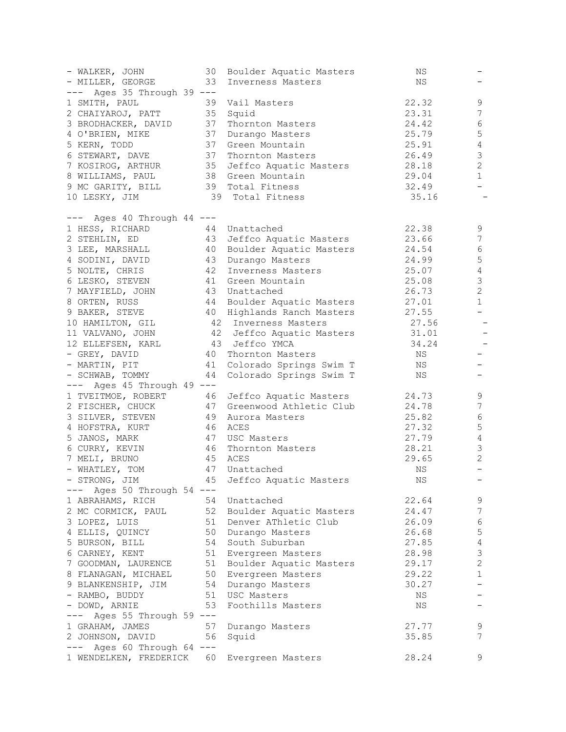| - WALKER, JOHN                              | 30 | Boulder Aquatic Masters                              | ΝS    |                           |
|---------------------------------------------|----|------------------------------------------------------|-------|---------------------------|
| - MILLER, GEORGE                            | 33 | Inverness Masters                                    | ΝS    |                           |
| --- Ages 35 Through 39 ---                  |    |                                                      |       |                           |
| 1 SMITH, PAUL                               |    | 39 Vail Masters                                      | 22.32 | 9                         |
| 2 CHAIYAROJ, PATT                           |    | 35 Squid                                             | 23.31 | 7                         |
| 3 BRODHACKER, DAVID                         |    | 37 Thornton Masters                                  | 24.42 | 6                         |
| 4 O'BRIEN, MIKE                             |    | 37 Durango Masters                                   | 25.79 | 5                         |
| 5 KERN, TODD                                |    | 37 Green Mountain                                    | 25.91 | $\sqrt{4}$                |
| 6 STEWART, DAVE                             |    | 37 Thornton Masters                                  | 26.49 | $\mathsf 3$               |
| 7 KOSIROG, ARTHUR                           |    | 35 Jeffco Aquatic Masters                            | 28.18 | $\mathbf{2}$              |
| 8 WILLIAMS, PAUL                            |    | 38 Green Mountain                                    | 29.04 | $\mathbf 1$               |
| 9 MC GARITY, BILL                           |    | 39 Total Fitness                                     | 32.49 | $\overline{\phantom{0}}$  |
| 10 LESKY, JIM                               |    | 39 Total Fitness                                     | 35.16 | $\qquad \qquad -$         |
|                                             |    |                                                      |       |                           |
| --- Ages 40 Through 44 ---                  |    |                                                      |       |                           |
| 1 HESS, RICHARD                             |    | 44 Unattached                                        | 22.38 | 9                         |
| 2 STEHLIN, ED                               |    | 43 Jeffco Aquatic Masters                            | 23.66 | 7                         |
| 3 LEE, MARSHALL                             |    | 40 Boulder Aquatic Masters                           | 24.54 | 6                         |
| 4 SODINI, DAVID                             |    | 43 Durango Masters                                   | 24.99 | $\mathsf S$               |
| 5 NOLTE, CHRIS                              |    | 42 Inverness Masters                                 | 25.07 | $\sqrt{4}$                |
| 6 LESKO, STEVEN                             |    | 41 Green Mountain                                    | 25.08 | $\mathsf 3$               |
| 7 MAYFIELD, JOHN                            |    | 43 Unattached                                        | 26.73 | $\overline{c}$            |
| 8 ORTEN, RUSS                               |    | 44 Boulder Aquatic Masters                           | 27.01 | $\mathbf 1$               |
|                                             |    | 9 BAKER, STEVE 40 Highlands Ranch Masters            | 27.55 | $\qquad \qquad -$         |
| 10 HAMILTON, GIL                            |    | 42 Inverness Masters                                 | 27.56 | $\overline{\phantom{a}}$  |
| 11 VALVANO, JOHN                            |    | 42 Jeffco Aquatic Masters                            | 31.01 | $\qquad \qquad -$         |
| 12 ELLEFSEN, KARL                           |    | 43 Jeffco YMCA                                       | 34.24 | $\qquad \qquad -$         |
| - GREY, DAVID                               |    | 40 Thornton Masters                                  | NS    |                           |
| - MARTIN, PIT                               |    | 41 Colorado Springs Swim T                           | NS    | $\overline{\phantom{0}}$  |
| - SCHWAB, TOMMY                             |    | 44 Colorado Springs Swim T                           | NS    | $\qquad \qquad -$         |
| $---$ Ages 45 Through 49 $---$              |    |                                                      |       |                           |
| 1 TVEITMOE, ROBERT                          |    | 46 Jeffco Aquatic Masters                            | 24.73 | 9                         |
| 2 FISCHER, CHUCK                            |    | 47 Greenwood Athletic Club                           | 24.78 | 7                         |
| 3 SILVER, STEVEN                            |    | 49 Aurora Masters                                    | 25.82 | 6                         |
| 4 HOFSTRA, KURT                             |    | 46 ACES                                              | 27.32 | 5                         |
| 5 JANOS, MARK                               |    | 47 USC Masters                                       | 27.79 | $\sqrt{4}$                |
| 6 CURRY, KEVIN                              |    | 46 Thornton Masters                                  | 28.21 | 3                         |
| 7 MELI, BRUNO                               |    | 45 ACES                                              | 29.65 | $\sqrt{2}$                |
| - WHATLEY, TOM                              |    | 47 Unattached                                        | ΝS    | $\qquad \qquad -$         |
|                                             |    | - STRONG, JIM <a> 45<br/> Jeffco Aquatic Masters</a> | ΝS    | $\overline{\phantom{m}}$  |
| $---$ Ages 50 Through 54 $---$              |    |                                                      |       |                           |
| 1 ABRAHAMS, RICH                            |    | 54 Unattached                                        | 22.64 | 9                         |
|                                             |    | 2 MC CORMICK, PAUL 52 Boulder Aquatic Masters        | 24.47 | 7                         |
| 3 LOPEZ, LUIS                               |    | 51 Denver AThletic Club                              | 26.09 | 6                         |
| 4 ELLIS, QUINCY                             |    | 50 Durango Masters                                   | 26.68 | 5                         |
| 5 BURSON, BILL                              |    | 54 South Suburban                                    | 27.85 | $\sqrt{4}$                |
| 6 CARNEY, KENT                              |    | 51 Evergreen Masters                                 | 28.98 | $\ensuremath{\mathsf{3}}$ |
| 7 GOODMAN, LAURENCE                         |    | 51 Boulder Aquatic Masters                           | 29.17 | $\overline{c}$            |
| 8 FLANAGAN, MICHAEL                         |    | 50 Evergreen Masters                                 | 29.22 | 1                         |
| 9 BLANKENSHIP, JIM 54 Durango Masters       |    |                                                      | 30.27 | $\qquad \qquad -$         |
| - RAMBO, BUDDY 51 USC Masters               |    |                                                      | NS    |                           |
| - DOWD, ARNIE                               | 53 | Foothills Masters                                    | NS    |                           |
| Ages 55 Through 59 ---<br>$---$             |    |                                                      |       |                           |
| 1 GRAHAM, JAMES                             |    | 57 Durango Masters                                   | 27.77 | 9                         |
| 2 JOHNSON, DAVID                            |    | 56 Squid                                             | 35.85 | $\overline{7}$            |
| $---$ Ages 60 Through 64 $---$              |    |                                                      |       |                           |
| 1 WENDELKEN, FREDERICK 60 Evergreen Masters |    |                                                      | 28.24 | 9                         |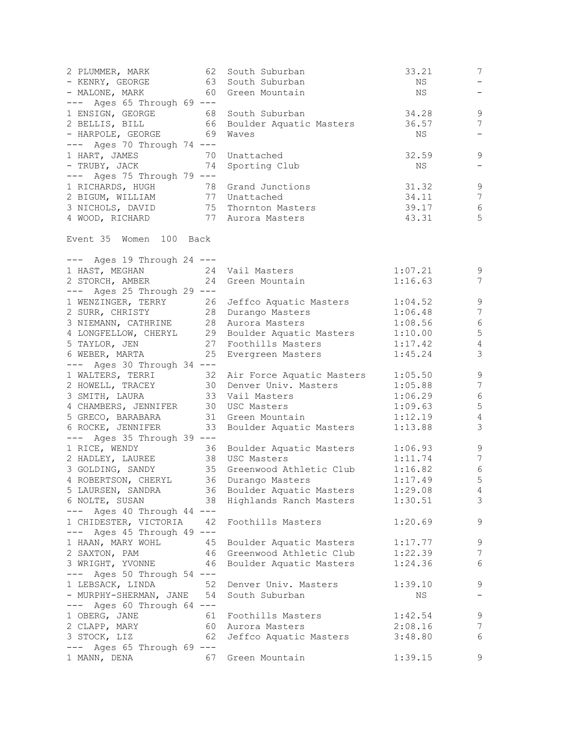| 2 PLUMMER, MARK 62<br>- KENRY, GEORGE 63 South Suburban<br>- MALONE, MARK                                   | South Suburban<br>60 Green Mountain                                                | 33.21<br>NS<br>NS  | $7\phantom{.}$<br>$\qquad \qquad -$<br>$\qquad \qquad -$ |
|-------------------------------------------------------------------------------------------------------------|------------------------------------------------------------------------------------|--------------------|----------------------------------------------------------|
| $---$ Ages 65 Through 69 $---$                                                                              | 1 ENSIGN, GEORGE 68 South Suburban<br>2 BELLIS, BILL 66 Boulder Aquatic Masters    | 34.28<br>36.57     | $\,9$<br>$\overline{7}$                                  |
| - HARPOLE, GEORGE 69<br>--- Ages 70 Through 74 ---                                                          | Waves                                                                              | NS                 | $\overline{\phantom{a}}$                                 |
| 1 HART, JAMES 70<br>- TRUBY, JACK 74                                                                        | Unattached<br>Sporting Club                                                        | 32.59<br>NS        | 9<br>$\overline{\phantom{a}}$                            |
| --- Ages 75 Through 79 ---<br>1 RICHARDS, HUGH 78 Grand Junctions                                           |                                                                                    | 31.32              | $\,9$                                                    |
|                                                                                                             |                                                                                    | 34.11              | $7\phantom{.0}$                                          |
|                                                                                                             |                                                                                    | 39.17              | $\sqrt{6}$                                               |
| 2 BIGUM, WILLIAM 77 Unattached<br>3 NICHOLS, DAVID 75 Thornton Masters<br>4 WOOD, RICHARD 77 Aurora Masters |                                                                                    | 43.31              | 5                                                        |
| Event 35 Women 100 Back                                                                                     |                                                                                    |                    |                                                          |
| $---$ Ages 19 Through 24 $---$                                                                              |                                                                                    |                    |                                                          |
| 1 HAST, MEGHAN 24 Vail Masters                                                                              |                                                                                    | 1:07.21            | 9                                                        |
| 2 STORCH, AMBER<br>$---$ Ages 25 Through 29 $---$                                                           | 24 Green Mountain                                                                  | 1:16.63            | $7\phantom{.0}$                                          |
|                                                                                                             |                                                                                    | 1:04.52            | $\mathcal{G}$                                            |
|                                                                                                             | 1 WENZINGER, TERRY 26 Jeffco Aquatic Masters<br>2 SURR, CHRISTY 28 Durango Masters | 1:06.48            | $\overline{7}$                                           |
| 3 NIEMANN, CATHRINE 28 Aurora Masters                                                                       |                                                                                    | 1:08.56            | $\sqrt{6}$                                               |
|                                                                                                             | 4 LONGFELLOW, CHERYL 29 Boulder Aquatic Masters                                    | 1:10.00            | 5                                                        |
|                                                                                                             |                                                                                    | 1:17.42            | $\sqrt{4}$                                               |
| 25<br>6 WEBER, MARTA                                                                                        | Evergreen Masters                                                                  | 1:45.24            | 3                                                        |
| --- Ages 30 Through 34 ---                                                                                  |                                                                                    |                    |                                                          |
|                                                                                                             | 1 WALTERS, TERRI 32 Air Force Aquatic Masters                                      | 1:05.50            | $\mathsf 9$                                              |
| 2 HOWELL, TRACEY<br>3 SMITH, LAURA                                                                          | 30 Denver Univ. Masters                                                            | 1:05.88            | $7\phantom{.0}$                                          |
|                                                                                                             | 33 Vail Masters                                                                    | 1:06.29            | $\sqrt{6}$                                               |
| 4 CHAMBERS, JENNIFER 30 USC Masters                                                                         |                                                                                    | 1:09.63            | $\mathsf S$                                              |
| 5 GRECO, BARABARA 31 Green Mountain                                                                         |                                                                                    | 1:12.19            | $\overline{4}$                                           |
|                                                                                                             | 6 ROCKE, JENNIFER 33 Boulder Aquatic Masters                                       | 1:13.88            | $\mathcal{S}$                                            |
| $---$ Ages 35 Through 39 $---$                                                                              |                                                                                    |                    |                                                          |
| 1 RICE, WENDY                                                                                               | 36 Boulder Aquatic Masters                                                         | 1:06.93            | 9                                                        |
| 2 HADLEY, LAUREE                                                                                            | 38 USC Masters                                                                     | 1:11.74            | $7\phantom{.0}$                                          |
| 3 GOLDING, SANDY<br>4 ROBERTSON, CHERYL 36 Durango Masters                                                  | 35 Greenwood Athletic Club                                                         | 1:16.82            | $6\,$                                                    |
| 5 LAURSEN, SANDRA                                                                                           | 36 Boulder Aquatic Masters                                                         | 1:17.49<br>1:29.08 | $5\overline{)}$<br>$\overline{4}$                        |
| 6 NOLTE, SUSAN                                                                                              | 38 Highlands Ranch Masters                                                         | 1:30.51            | 3                                                        |
| --- Ages 40 Through 44 ---                                                                                  |                                                                                    |                    |                                                          |
| 1 CHIDESTER, VICTORIA<br>42                                                                                 | Foothills Masters                                                                  | 1:20.69            | 9                                                        |
| $---$ Ages 45 Through 49 $---$                                                                              |                                                                                    |                    |                                                          |
| 1 HAAN, MARY WOHL<br>45                                                                                     | Boulder Aquatic Masters                                                            | 1:17.77            | 9                                                        |
| 2 SAXTON, PAM                                                                                               | 46 Greenwood Athletic Club                                                         | 1:22.39            | 7                                                        |
| 3 WRIGHT, YVONNE<br>46                                                                                      | Boulder Aquatic Masters                                                            | 1:24.36            | 6                                                        |
| $---$ Ages 50 Through 54 $---$                                                                              |                                                                                    |                    |                                                          |
| 1 LEBSACK, LINDA<br>52                                                                                      | Denver Univ. Masters                                                               | 1:39.10            | 9                                                        |
| - MURPHY-SHERMAN, JANE 54                                                                                   | South Suburban                                                                     | NS                 | $-$                                                      |
| --- Ages 60 Through 64 ---                                                                                  |                                                                                    |                    |                                                          |
| 1 OBERG, JANE<br>61                                                                                         | Foothills Masters                                                                  | 1:42.54            | 9                                                        |
| 2 CLAPP, MARY<br>60                                                                                         | Aurora Masters                                                                     | 2:08.16            | 7                                                        |
| 3 STOCK, LIZ<br>62                                                                                          | Jeffco Aquatic Masters                                                             | 3:48.80            | 6                                                        |
| --- Ages 65 Through 69 ---                                                                                  |                                                                                    |                    |                                                          |
| 1 MANN, DENA<br>67                                                                                          | Green Mountain                                                                     | 1:39.15            | 9                                                        |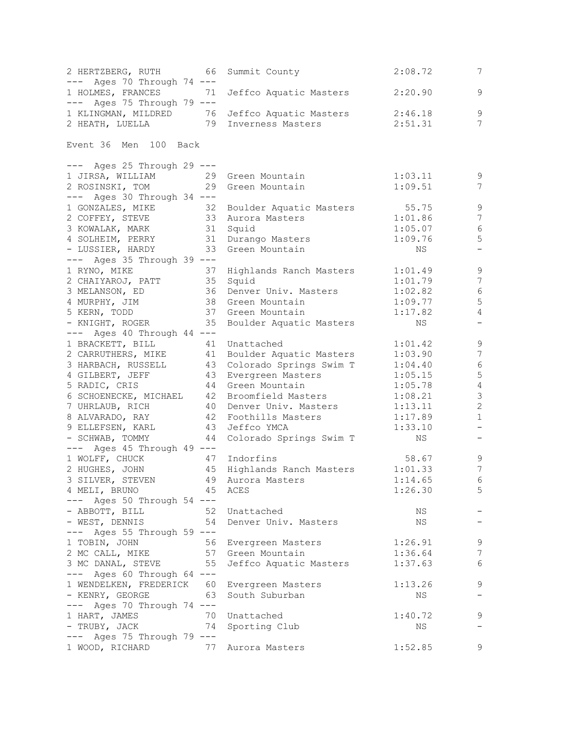| 2 HERTZBERG, RUTH<br>- 66                                                   | Summit County              | 2:08.72            | 7                        |
|-----------------------------------------------------------------------------|----------------------------|--------------------|--------------------------|
| $---$ Ages 70 Through 74 $---$                                              |                            |                    |                          |
| 1 HOLMES, FRANCES<br>71                                                     | Jeffco Aquatic Masters     | 2:20.90            | 9                        |
| --- Ages 75 Through 79 ---<br>1 KLINGMAN, MILDRED 76 Jeffco Aquatic Masters |                            |                    | $\mathsf 9$              |
| 2 HEATH, LUELLA 79 Inverness Masters                                        |                            | 2:46.18<br>2:51.31 | 7                        |
|                                                                             |                            |                    |                          |
| Event 36 Men 100 Back                                                       |                            |                    |                          |
| --- Ages 25 Through 29 ---                                                  |                            |                    |                          |
| 1 JIRSA, WILLIAM                                                            | 29 Green Mountain          | 1:03.11            | 9                        |
| 2 ROSINSKI, TOM                                                             | 29 Green Mountain          | 1:09.51            | 7                        |
| $---$ Ages 30 Through 34 $---$                                              |                            |                    |                          |
| 1 GONZALES, MIKE<br>32                                                      | Boulder Aquatic Masters    | 55.75              | $\mathsf 9$              |
| 2 COFFEY, STEVE                                                             | 33 Aurora Masters          | 1:01.86            | 7                        |
| 3 KOWALAK, MARK                                                             | 31 Squid                   | 1:05.07            | 6                        |
| 4 SOLHEIM, PERRY 31 Durango Masters                                         |                            | 1:09.76            | 5                        |
| - LUSSIER, HARDY                                                            | 33 Green Mountain          | NS                 | $\overline{\phantom{0}}$ |
| $---$ Ages 35 Through 39 $---$                                              |                            |                    |                          |
| 1 RYNO, MIKE                                                                | 37 Highlands Ranch Masters | 1:01.49            | $\mathsf 9$              |
| 2 CHAIYAROJ, PATT                                                           | 35 Squid                   | 1:01.79            | $\overline{7}$           |
| 3 MELANSON, ED                                                              | 36 Denver Univ. Masters    | 1:02.82            | $6\,$                    |
| 4 MURPHY, JIM                                                               | 38 Green Mountain          | 1:09.77            | 5                        |
| 5 KERN, TODD                                                                | 37 Green Mountain          | 1:17.82            | $\overline{4}$           |
| 35<br>- KNIGHT, ROGER                                                       | Boulder Aquatic Masters    | NS                 |                          |
| $---$ Ages 40 Through 44 $---$                                              |                            |                    |                          |
| 1 BRACKETT, BILL<br>41                                                      | Unattached                 | 1:01.42            | $\mathsf 9$              |
| 2 CARRUTHERS, MIKE                                                          | 41 Boulder Aquatic Masters | 1:03.90            | $\overline{7}$           |
| 3 HARBACH, RUSSELL                                                          | 43 Colorado Springs Swim T | 1:04.40            | $\sqrt{6}$               |
| 43<br>4 GILBERT, JEFF                                                       | Evergreen Masters          | 1:05.15            | $\mathbf 5$              |
| 5 RADIC, CRIS                                                               | 44 Green Mountain          | 1:05.78            | $\overline{4}$           |
| 6 SCHOENECKE, MICHAEL                                                       | 42 Broomfield Masters      | 1:08.21            | $\mathfrak{Z}$           |
| 7 UHRLAUB, RICH                                                             | 40 Denver Univ. Masters    | 1:13.11            | $\sqrt{2}$               |
| 8 ALVARADO, RAY                                                             | 42 Foothills Masters       | 1:17.89            | $\mathbf{1}$             |
| 9 ELLEFSEN, KARL                                                            | 43 Jeffco YMCA             | 1:33.10            | $\overline{\phantom{0}}$ |
| - SCHWAB, TOMMY                                                             | 44 Colorado Springs Swim T | NS                 | $\overline{\phantom{a}}$ |
| --- Ages 45 Through 49 ---                                                  |                            |                    |                          |
| 1 WOLFF, CHUCK                                                              | 47 Indorfins               | 58.67              | $\,9$                    |
| 2 HUGHES, JOHN                                                              | 45 Highlands Ranch Masters | 1:01.33            | $\overline{7}$           |
| 3 SILVER, STEVEN 49 Aurora Masters                                          |                            | 1:14.65            | 6                        |
| 4 MELI, BRUNO                                                               | 45 ACES                    | 1:26.30            | 5                        |
| $---$ Ages 50 Through 54 $---$                                              |                            |                    |                          |
| - ABBOTT, BILL<br>52                                                        | Unattached                 | NS                 |                          |
| - WEST, DENNIS<br>54                                                        | Denver Univ. Masters       | NS                 |                          |
| $---$ Ages 55 Through 59 $---$                                              |                            |                    |                          |
| 1 TOBIN, JOHN                                                               | 56 Evergreen Masters       | 1:26.91            | 9                        |
| 2 MC CALL, MIKE                                                             | 57 Green Mountain          | 1:36.64            | $\overline{7}$           |
| 3 MC DANAL, STEVE<br>55                                                     | Jeffco Aquatic Masters     | 1:37.63            | 6                        |
| --- Ages 60 Through 64 ---                                                  |                            |                    |                          |
| 1 WENDELKEN, FREDERICK 60 Evergreen Masters                                 |                            | 1:13.26            | 9                        |
| - KENRY, GEORGE<br>63                                                       | South Suburban             | NS                 | $\overline{\phantom{a}}$ |
| --- Ages 70 Through 74 ---                                                  |                            |                    |                          |
| 1 HART, JAMES<br>70                                                         | Unattached                 | 1:40.72            | 9                        |
| - TRUBY, JACK<br>74                                                         | Sporting Club              | NS                 | $\overline{\phantom{m}}$ |
| $---$ Ages 75 Through 79 $---$                                              |                            |                    |                          |
| 1 WOOD, RICHARD<br>77                                                       | Aurora Masters             | 1:52.85            | 9                        |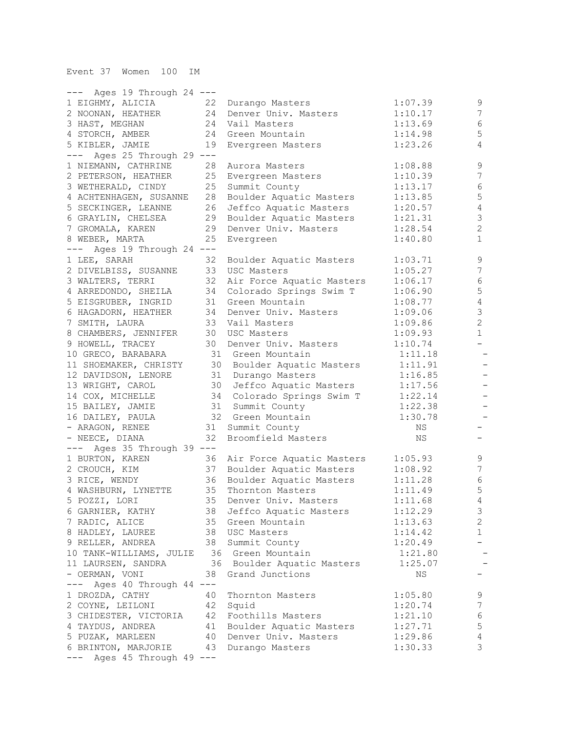| $---$ Ages 19 Through 24 $---$    |    |                                                      |                    |                          |
|-----------------------------------|----|------------------------------------------------------|--------------------|--------------------------|
| 1 EIGHMY, ALICIA                  | 22 | Durango Masters                                      | 1:07.39            | $\mathsf 9$              |
| 2 NOONAN, HEATHER                 | 24 | Denver Univ. Masters                                 | 1:10.17            | 7                        |
| 3 HAST, MEGHAN                    | 24 | Vail Masters                                         | 1:13.69            | 6                        |
| 4 STORCH, AMBER                   | 24 | Green Mountain                                       | 1:14.98            | 5                        |
| 5 KIBLER, JAMIE                   | 19 | Evergreen Masters                                    | 1:23.26            | 4                        |
| --- Ages 25 Through 29 ---        |    |                                                      |                    |                          |
| 1 NIEMANN, CATHRINE               | 28 | Aurora Masters                                       | 1:08.88            | $\mathsf 9$              |
| 2 PETERSON, HEATHER               | 25 | Evergreen Masters                                    | 1:10.39            | $\boldsymbol{7}$         |
| 3 WETHERALD, CINDY                | 25 | Summit County                                        | 1:13.17            | $\epsilon$               |
| 4 ACHTENHAGEN, SUSANNE            | 28 | Boulder Aquatic Masters                              | 1:13.85            | 5                        |
| 5 SECKINGER, LEANNE               | 26 | Jeffco Aquatic Masters                               | 1:20.57            | 4                        |
| 6 GRAYLIN, CHELSEA                | 29 | Boulder Aquatic Masters                              | 1:21.31            | 3                        |
| 7 GROMALA, KAREN                  | 29 | Denver Univ. Masters                                 | 1:28.54            | $\overline{c}$           |
| 8 WEBER, MARTA                    | 25 | Evergreen                                            | 1:40.80            | $\mathbf 1$              |
| --- Ages 19 Through 24 ---        |    |                                                      |                    |                          |
| 1 LEE, SARAH                      | 32 | Boulder Aquatic Masters                              | 1:03.71            | $\mathsf 9$              |
| 2 DIVELBISS, SUSANNE              | 33 | USC Masters                                          | 1:05.27            | $\boldsymbol{7}$         |
| 3 WALTERS, TERRI                  | 32 | Air Force Aquatic Masters                            | 1:06.17            | $\epsilon$               |
| 4 ARREDONDO, SHEILA               | 34 | Colorado Springs Swim T                              | 1:06.90            | 5                        |
| 5 EISGRUBER, INGRID               | 31 | Green Mountain                                       | 1:08.77            | $\sqrt{4}$               |
| 6 HAGADORN, HEATHER               | 34 | Denver Univ. Masters                                 | 1:09.06            | $\mathcal{S}$            |
| 7 SMITH, LAURA                    | 33 | Vail Masters                                         | 1:09.86            | $\overline{c}$           |
| 8 CHAMBERS, JENNIFER              | 30 | USC Masters                                          | 1:09.93            | $\mathbf{1}$             |
| 9 HOWELL, TRACEY                  | 30 | Denver Univ. Masters                                 | 1:10.74            | $-$                      |
| 10 GRECO, BARABARA                |    | 31 Green Mountain                                    | 1:11.18            | $\qquad \qquad -$        |
| 11 SHOEMAKER, CHRISTY             |    | 30 Boulder Aquatic Masters                           | 1:11.91            | $\overline{\phantom{m}}$ |
| 12 DAVIDSON, LENORE               |    | 31 Durango Masters                                   | 1:16.85            |                          |
| 13 WRIGHT, CAROL                  |    | 30 Jeffco Aquatic Masters                            | 1:17.56            | $\overline{\phantom{a}}$ |
| 14 COX, MICHELLE                  |    | 34 Colorado Springs Swim T                           | 1:22.14            | -                        |
| 15 BAILEY, JAMIE                  |    | 31 Summit County                                     | 1:22.38            | $\qquad \qquad -$        |
| 16 DAILEY, PAULA                  |    | 32 Green Mountain                                    | 1:30.78            |                          |
| - ARAGON, RENEE                   | 31 | Summit County                                        | ΝS                 |                          |
| - NEECE, DIANA                    | 32 | Broomfield Masters                                   | ΝS                 |                          |
| --- Ages 35 Through 39 ---        |    |                                                      |                    |                          |
| 1 BURTON, KAREN                   | 36 |                                                      | 1:05.93            | 9                        |
| 2 CROUCH, KIM                     | 37 | Air Force Aquatic Masters<br>Boulder Aquatic Masters | 1:08.92            | $\boldsymbol{7}$         |
|                                   | 36 |                                                      | 1:11.28            | $\sqrt{6}$               |
| 3 RICE, WENDY                     | 35 | Boulder Aquatic Masters<br>Thornton Masters          | 1:11.49            | 5                        |
| 4 WASHBURN, LYNETTE               |    | 35 Denver Univ. Masters                              |                    | 4                        |
| 5 POZZI, LORI<br>6 GARNIER, KATHY | 38 |                                                      | 1:11.68<br>1:12.29 | 3                        |
|                                   |    | Jeffco Aquatic Masters<br>35 Green Mountain          |                    | $\overline{2}$           |
| 7 RADIC, ALICE                    |    |                                                      | 1:13.63            |                          |
| 8 HADLEY, LAUREE                  |    | 38 USC Masters                                       | 1:14.42            | $\mathbf{1}$             |
| 9 RELLER, ANDREA                  |    | 38 Summit County                                     | 1:20.49            |                          |
| 10 TANK-WILLIAMS, JULIE           |    | 36 Green Mountain                                    | 1:21.80            |                          |
| 11 LAURSEN, SANDRA                |    | 36 Boulder Aquatic Masters                           | 1:25.07            |                          |
| - OERMAN, VONI                    | 38 | Grand Junctions                                      | NS                 |                          |
| --- Ages 40 Through 44 ---        |    |                                                      |                    |                          |
| 1 DROZDA, CATHY                   | 40 | Thornton Masters                                     | 1:05.80            | 9                        |
| 2 COYNE, LEILONI                  | 42 | Squid                                                | 1:20.74            | 7                        |
| 3 CHIDESTER, VICTORIA 42          |    | Foothills Masters                                    | 1:21.10            | 6                        |
| 4 TAYDUS, ANDREA                  | 41 | Boulder Aquatic Masters                              | 1:27.71            | 5                        |
| 5 PUZAK, MARLEEN                  | 40 | Denver Univ. Masters                                 | 1:29.86            | $\sqrt{4}$               |
| 6 BRINTON, MARJORIE 43            |    | Durango Masters                                      | 1:30.33            | $\mathcal{S}$            |
| $---$ Ages 45 Through 49 $---$    |    |                                                      |                    |                          |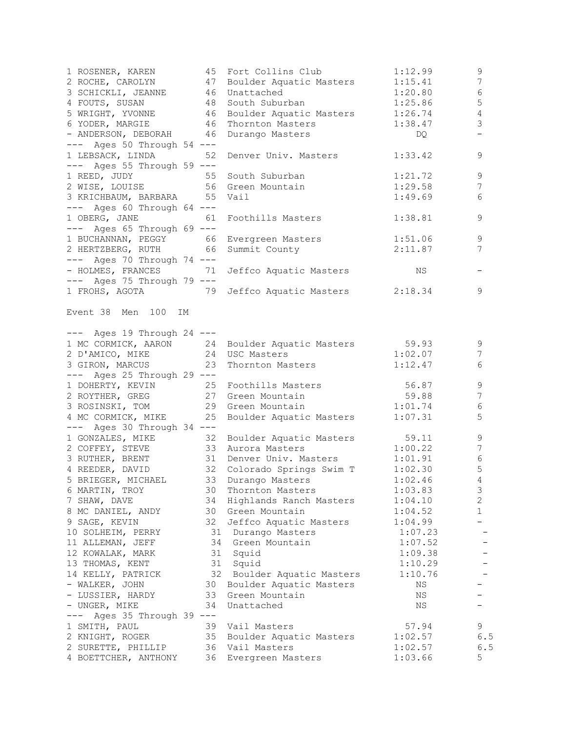| 1 ROSENER, KAREN 45<br>2 ROCHE, CAROLYN 47                     |          | Fort Collins Club<br>Boulder Aquatic Masters 1:15.41                   | 1:12.99                         | 9<br>$\overline{7}$ |
|----------------------------------------------------------------|----------|------------------------------------------------------------------------|---------------------------------|---------------------|
| 3 SCHICKLI, JEANNE 46                                          |          | Unattached                                                             | $1:20.80$<br>$1:25.86$          | $\sqrt{6}$          |
|                                                                |          | South Suburban                                                         |                                 | 5                   |
|                                                                |          | Boulder Aquatic Masters 1:26.74                                        |                                 | $\sqrt{4}$          |
| 4 FOUTS, SUSAN 48<br>5 WRIGHT, YVONNE 46<br>6 YODER, MARGIE 46 |          | Thornton Masters                                                       | $1:38.47$ DQ                    | 3                   |
| - ANDERSON, DEBORAH 46                                         |          | Durango Masters                                                        |                                 |                     |
| $---$ Ages 50 Through 54 $---$                                 |          |                                                                        |                                 |                     |
| 1 LEBSACK, LINDA 52                                            |          | Denver Univ. Masters 1:33.42                                           |                                 | 9                   |
| $---$ Ages 55 Through 59 $---$                                 |          |                                                                        |                                 |                     |
| 1 REED, JUDY                                                   |          | 55 South Suburban                                                      | 1:21.72                         | 9                   |
| 2 WISE, LOUISE 56 Green Mountain                               |          |                                                                        | 1:29.58                         | $\overline{7}$      |
| 3 KRICHBAUM, BARBARA 55                                        |          | Vail                                                                   | 1:49.69                         | 6                   |
| $---$ Ages 60 Through 64 $---$                                 |          |                                                                        |                                 |                     |
| 1 OBERG, JANE 61                                               |          | Foothills Masters                                                      | 1:38.81                         | 9                   |
| $---$ Ages 65 Through 69 $---$                                 |          |                                                                        |                                 |                     |
| 1 BUCHANNAN, PEGGY 66                                          |          |                                                                        |                                 | 9                   |
| 2 HERTZBERG, RUTH 66                                           |          | Evergreen Masters 1:51.06<br>Summit County 2:11.87                     |                                 | 7                   |
| $---$ Ages 70 Through 74 $---$                                 |          |                                                                        |                                 |                     |
| - HOLMES, FRANCES                                              | 71       | Jeffco Aquatic Masters                                                 | <b>Example 2018</b>             |                     |
| $---$ Ages 75 Through 79 $---$                                 |          |                                                                        |                                 |                     |
| 1 FROHS, AGOTA 79                                              |          | Jeffco Aquatic Masters 2:18.34                                         |                                 | 9                   |
|                                                                |          |                                                                        |                                 |                     |
| Event 38 Men 100 IM                                            |          |                                                                        |                                 |                     |
| $---$ Ages 19 Through 24 $---$                                 |          |                                                                        |                                 |                     |
|                                                                |          | 1 MC CORMICK, AARON 24 Boulder Aquatic Masters 59.93                   |                                 | 9                   |
| 2 D'AMICO, MIKE 24 USC Masters                                 |          |                                                                        | 1:02.07                         | 7                   |
| 3 GIRON, MARCUS                                                | 23       | Thornton Masters                                                       | 1:12.47                         | 6                   |
| $---$ Ages 25 Through 29 $---$                                 |          |                                                                        |                                 |                     |
| 1 DOHERTY, KEVIN 25 Foothills Masters                          |          |                                                                        | $56.87$<br>$59.88$<br>$1:01.74$ | $\mathcal{G}$       |
|                                                                |          | 2 ROYTHER, GREG 27 Green Mountain<br>3 ROSINSKI, TOM 29 Green Mountain |                                 | $\sqrt{}$           |
|                                                                |          |                                                                        |                                 | $\epsilon$          |
| 4 MC CORMICK, MIKE 25                                          |          | Boulder Aquatic Masters 1:07.31                                        |                                 | 5                   |
| $---$ Ages 30 Through 34 $---$                                 |          |                                                                        |                                 |                     |
| 1 GONZALES, MIKE 32                                            |          | Boulder Aquatic Masters 59.11                                          |                                 | 9                   |
| 2 COFFEY, STEVE 33                                             |          | Aurora Masters                                                         | 1:00.22                         | 7                   |
|                                                                |          | 3 RUTHER, BRENT 31 Denver Univ. Masters 1:01.91                        |                                 | $\epsilon$          |
| 4 REEDER, DAVID                                                |          | 32<br>Colorado Springs Swim T                                          | 1:02.30                         | 5                   |
| 5 BRIEGER, MICHAEL                                             |          | 33 Durango Masters                                                     | 1:02.46                         | $\overline{4}$      |
| 6 MARTIN, TROY                                                 | 30       | Thornton Masters                                                       | 1:03.83                         | 3                   |
| 7 SHAW, DAVE                                                   | 34       | Highlands Ranch Masters                                                | 1:04.10                         | $\overline{c}$      |
| 8 MC DANIEL, ANDY                                              | 30       | Green Mountain                                                         | 1:04.52                         | $\mathbf 1$         |
| 9 SAGE, KEVIN                                                  | 32       | Jeffco Aquatic Masters                                                 | 1:04.99                         |                     |
| 10 SOLHEIM, PERRY                                              |          | 31<br>Durango Masters                                                  | 1:07.23                         |                     |
| 11 ALLEMAN, JEFF                                               |          | 34 Green Mountain                                                      | 1:07.52                         |                     |
| 12 KOWALAK, MARK                                               |          | 31 Squid                                                               | 1:09.38                         |                     |
| 13 THOMAS, KENT                                                |          | 31 Squid                                                               | 1:10.29                         |                     |
| 14 KELLY, PATRICK                                              |          | 32<br>Boulder Aquatic Masters                                          | 1:10.76                         |                     |
| - WALKER, JOHN                                                 | 30       | Boulder Aquatic Masters                                                | ΝS                              |                     |
| - LUSSIER, HARDY                                               | 33       | Green Mountain                                                         | ΝS                              |                     |
| - UNGER, MIKE                                                  | 34       | Unattached                                                             | ΝS                              |                     |
|                                                                | $- -$    |                                                                        |                                 |                     |
| Ages 35 Through 39                                             |          |                                                                        |                                 | 9                   |
| 1 SMITH, PAUL<br>2 KNIGHT, ROGER                               | 39<br>35 | Vail Masters                                                           | 57.94                           | 6.5                 |
|                                                                | 36       | Boulder Aquatic Masters<br>Vail Masters                                | 1:02.57                         | 6.5                 |
| 2 SURETTE, PHILLIP                                             | 36       |                                                                        | 1:02.57                         | 5                   |
| 4 BOETTCHER, ANTHONY                                           |          | Evergreen Masters                                                      | 1:03.66                         |                     |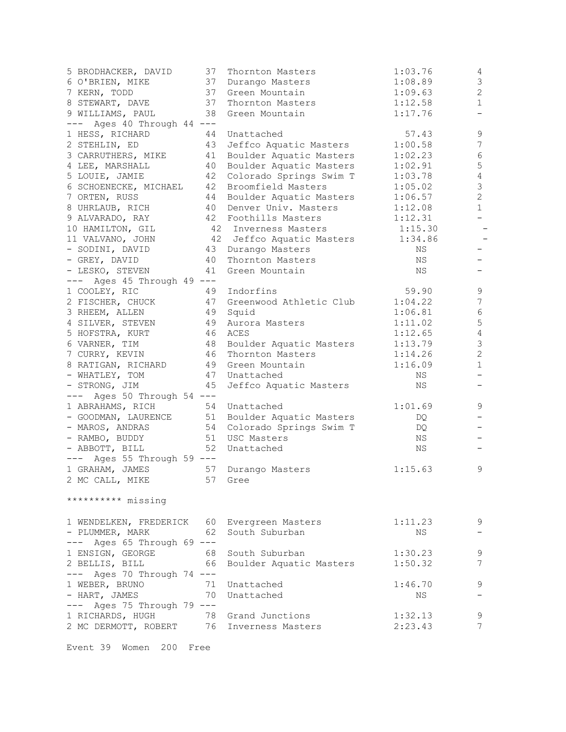| 5 BRODHACKER, DAVID                       | 37 | Thornton Masters          | 1:03.76 | 4                |
|-------------------------------------------|----|---------------------------|---------|------------------|
| 6 O'BRIEN, MIKE                           | 37 | Durango Masters           | 1:08.89 | 3                |
| 7 KERN, TODD                              | 37 | Green Mountain            | 1:09.63 | $\overline{2}$   |
| 8 STEWART, DAVE                           | 37 | Thornton Masters          | 1:12.58 | $\mathbf 1$      |
| 9 WILLIAMS, PAUL                          | 38 | Green Mountain            | 1:17.76 | -                |
| Ages 40 Through 44 ---                    |    |                           |         |                  |
| 1 HESS, RICHARD                           | 44 | Unattached                | 57.43   | 9                |
| 2 STEHLIN, ED                             | 43 | Jeffco Aquatic Masters    | 1:00.58 | $\boldsymbol{7}$ |
|                                           |    |                           |         |                  |
| 3 CARRUTHERS, MIKE                        | 41 | Boulder Aquatic Masters   | 1:02.23 | 6                |
| 4 LEE, MARSHALL                           | 40 | Boulder Aquatic Masters   | 1:02.91 | $\mathsf S$      |
| 5 LOUIE, JAMIE                            | 42 | Colorado Springs Swim T   | 1:03.78 | $\overline{4}$   |
| 6 SCHOENECKE, MICHAEL                     | 42 | Broomfield Masters        | 1:05.02 | $\mathfrak{Z}$   |
| 7 ORTEN, RUSS                             | 44 | Boulder Aquatic Masters   | 1:06.57 | $\overline{c}$   |
| 8 UHRLAUB, RICH                           | 40 | Denver Univ. Masters      | 1:12.08 | $\mathbf{1}$     |
| 9 ALVARADO, RAY                           |    | 42 Foothills Masters      | 1:12.31 |                  |
| 10 HAMILTON, GIL                          |    | 42 Inverness Masters      | 1:15.30 |                  |
| 11 VALVANO, JOHN                          |    | 42 Jeffco Aquatic Masters | 1:34.86 |                  |
| - SODINI, DAVID                           | 43 | Durango Masters           | ΝS      |                  |
| - GREY, DAVID                             | 40 | Thornton Masters          | ΝS      |                  |
| - LESKO, STEVEN                           | 41 | Green Mountain            | NS      |                  |
|                                           |    |                           |         |                  |
| $---$ Ages 45 Through 49 $---$            |    |                           |         |                  |
| 1 COOLEY, RIC                             | 49 | Indorfins                 | 59.90   | 9                |
| 2 FISCHER, CHUCK                          | 47 | Greenwood Athletic Club   | 1:04.22 | $\boldsymbol{7}$ |
| 3 RHEEM, ALLEN                            | 49 | Squid                     | 1:06.81 | 6                |
| 4 SILVER, STEVEN                          | 49 | Aurora Masters            | 1:11.02 | 5                |
| 5 HOFSTRA, KURT                           | 46 | ACES                      | 1:12.65 | $\overline{4}$   |
| 6 VARNER, TIM                             | 48 | Boulder Aquatic Masters   | 1:13.79 | $\mathsf 3$      |
| 7 CURRY, KEVIN                            | 46 | Thornton Masters          | 1:14.26 | $\mathbf{2}$     |
| 8 RATIGAN, RICHARD                        | 49 | Green Mountain            | 1:16.09 | $\mathbf 1$      |
| - WHATLEY, TOM                            | 47 | Unattached                | NS      |                  |
| - STRONG, JIM                             | 45 | Jeffco Aquatic Masters    | NS      |                  |
| --- Ages 50 Through 54 ---                |    |                           |         |                  |
|                                           | 54 | Unattached                | 1:01.69 | 9                |
| 1 ABRAHAMS, RICH                          |    |                           |         |                  |
| - GOODMAN, LAURENCE                       | 51 | Boulder Aquatic Masters   | DQ      |                  |
| - MAROS, ANDRAS                           | 54 | Colorado Springs Swim T   | DQ      |                  |
| - RAMBO, BUDDY                            | 51 | USC Masters               | NS      |                  |
| - ABBOTT, BILL                            | 52 | Unattached                | ΝS      |                  |
| --- Ages 55 Through 59 ---                |    |                           |         |                  |
| 1 GRAHAM, JAMES                           | 57 | Durango Masters           | 1:15.63 | 9                |
| 2 MC CALL, MIKE                           | 57 | Gree                      |         |                  |
|                                           |    |                           |         |                  |
| ********** missing                        |    |                           |         |                  |
|                                           |    |                           |         |                  |
| 1 WENDELKEN, FREDERICK 60                 |    | Evergreen Masters         | 1:11.23 | 9                |
| - PLUMMER, MARK                           | 62 | South Suburban            | NS      |                  |
| $---$ Ages 65 Through 69 $---$            |    |                           |         |                  |
| 1 ENSIGN, GEORGE                          | 68 | South Suburban            | 1:30.23 | 9                |
|                                           |    |                           |         | 7                |
| 2 BELLIS, BILL                            | 66 | Boulder Aquatic Masters   | 1:50.32 |                  |
| $---$ Ages 70 Through 74 $---$            |    |                           |         |                  |
| 1 WEBER, BRUNO                            | 71 | Unattached                | 1:46.70 | 9                |
| - HART, JAMES                             | 70 | Unattached                | NS      |                  |
| $---$ Ages 75 Through 79 $---$            |    |                           |         |                  |
| 1 RICHARDS, HUGH                          | 78 | Grand Junctions           | 1:32.13 | 9                |
| 2 MC DERMOTT, ROBERT 76 Inverness Masters |    |                           | 2:23.43 | 7                |
|                                           |    |                           |         |                  |

Event 39 Women 200 Free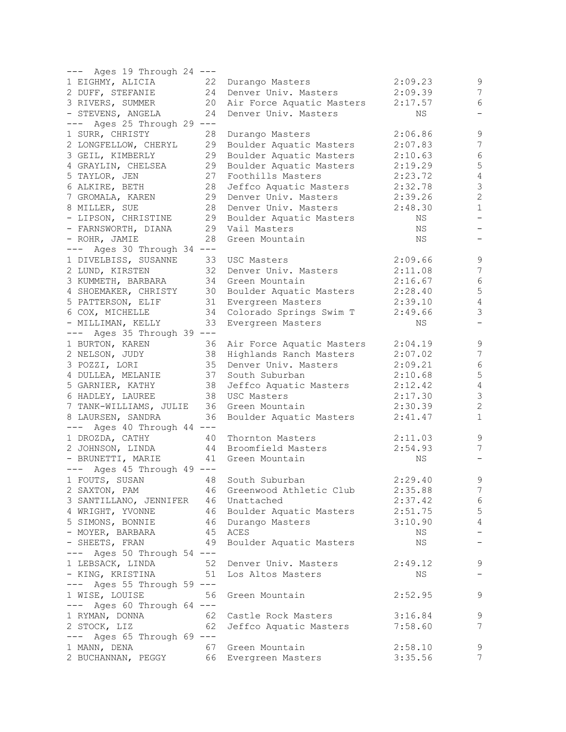| --- Ages 19 Through 24 ---     |    |                            |         |                          |
|--------------------------------|----|----------------------------|---------|--------------------------|
| 1 EIGHMY, ALICIA               | 22 | Durango Masters            | 2:09.23 | 9                        |
| 2 DUFF, STEFANIE               | 24 | Denver Univ. Masters       | 2:09.39 | 7                        |
| 3 RIVERS, SUMMER               | 20 | Air Force Aquatic Masters  | 2:17.57 | 6                        |
| - STEVENS, ANGELA              | 24 | Denver Univ. Masters       | ΝS      | $\qquad \qquad -$        |
| Ages 25 Through 29 ---         |    |                            |         |                          |
| 1 SURR, CHRISTY                | 28 | Durango Masters            | 2:06.86 | $\mathsf 9$              |
| 2 LONGFELLOW, CHERYL           | 29 | Boulder Aquatic Masters    | 2:07.83 | $\boldsymbol{7}$         |
| 3 GEIL, KIMBERLY               | 29 |                            | 2:10.63 | $\epsilon$               |
|                                |    | Boulder Aquatic Masters    |         |                          |
| 4 GRAYLIN, CHELSEA             | 29 | Boulder Aquatic Masters    | 2:19.29 | 5                        |
| 5 TAYLOR, JEN                  | 27 | Foothills Masters          | 2:23.72 | $\sqrt{4}$               |
| 6 ALKIRE, BETH                 | 28 | Jeffco Aquatic Masters     | 2:32.78 | $\mathsf 3$              |
| 7 GROMALA, KAREN               | 29 | Denver Univ. Masters       | 2:39.26 | $\overline{2}$           |
| 8 MILLER, SUE                  | 28 | Denver Univ. Masters       | 2:48.30 | $\mathbf{1}$             |
| - LIPSON, CHRISTINE            | 29 | Boulder Aquatic Masters    | ΝS      | $\qquad \qquad -$        |
| - FARNSWORTH, DIANA            |    | 29 Vail Masters            | ΝS      |                          |
| - ROHR, JAMIE                  | 28 | Green Mountain             | ΝS      |                          |
| --- Ages 30 Through 34 ---     |    |                            |         |                          |
| 1 DIVELBISS, SUSANNE           | 33 | USC Masters                | 2:09.66 | $\overline{9}$           |
| 2 LUND, KIRSTEN                | 32 | Denver Univ. Masters       | 2:11.08 | 7                        |
| 3 KUMMETH, BARBARA             | 34 | Green Mountain             | 2:16.67 | $\epsilon$               |
|                                |    |                            |         |                          |
| 4 SHOEMAKER, CHRISTY           | 30 | Boulder Aquatic Masters    | 2:28.40 | 5                        |
| 5 PATTERSON, ELIF              | 31 | Evergreen Masters          | 2:39.10 | $\sqrt{4}$               |
| 6 COX, MICHELLE                | 34 | Colorado Springs Swim T    | 2:49.66 | $\mathcal{S}$            |
| - MILLIMAN, KELLY              | 33 | Evergreen Masters          | ΝS      |                          |
| --- Ages 35 Through 39 ---     |    |                            |         |                          |
| 1 BURTON, KAREN                | 36 | Air Force Aquatic Masters  | 2:04.19 | $\mathsf 9$              |
| 2 NELSON, JUDY                 | 38 | Highlands Ranch Masters    | 2:07.02 | 7                        |
| 3 POZZI, LORI                  | 35 | Denver Univ. Masters       | 2:09.21 | $\epsilon$               |
| 4 DULLEA, MELANIE              | 37 | South Suburban             | 2:10.68 | 5                        |
| 5 GARNIER, KATHY               | 38 | Jeffco Aquatic Masters     | 2:12.42 | $\sqrt{4}$               |
| 6 HADLEY, LAUREE               | 38 | USC Masters                | 2:17.30 | $\mathfrak{Z}$           |
|                                | 36 | Green Mountain             |         | $\overline{c}$           |
| 7 TANK-WILLIAMS, JULIE         |    |                            | 2:30.39 |                          |
| 8 LAURSEN, SANDRA              | 36 | Boulder Aquatic Masters    | 2:41.47 | $\mathbf{1}$             |
| $---$ Ages 40 Through 44 $---$ |    |                            |         |                          |
| 1 DROZDA, CATHY                | 40 | Thornton Masters           | 2:11.03 | $\mathsf 9$              |
| 2 JOHNSON, LINDA               |    | 44 Broomfield Masters      | 2:54.93 | 7                        |
| - BRUNETTI, MARIE              |    | 41 Green Mountain          | ΝS      |                          |
| $---$ Ages 45 Through 49 $---$ |    |                            |         |                          |
| 1 FOUTS, SUSAN                 | 48 | South Suburban             | 2:29.40 | $\mathsf 9$              |
| 2 SAXTON, PAM                  |    | 46 Greenwood Athletic Club | 2:35.88 | 7                        |
| 3 SANTILLANO, JENNIFER         |    | 46 Unattached              | 2:37.42 | $\sqrt{6}$               |
| 4 WRIGHT, YVONNE               |    | 46 Boulder Aquatic Masters | 2:51.75 | $\mathsf S$              |
| 5 SIMONS, BONNIE               |    | 46 Durango Masters         | 3:10.90 | $\overline{4}$           |
| - MOYER, BARBARA               |    | 45 ACES                    | NS      | $\overline{\phantom{0}}$ |
| - SHEETS, FRAN                 | 49 | Boulder Aquatic Masters    | NS      | $\qquad \qquad -$        |
| $---$ Ages 50 Through 54 $---$ |    |                            |         |                          |
|                                |    |                            |         |                          |
| 1 LEBSACK, LINDA               | 52 | Denver Univ. Masters       | 2:49.12 | 9                        |
| - KING, KRISTINA<br>51         |    | Los Altos Masters          | NS      | $\overline{\phantom{m}}$ |
| --- Ages 55 Through 59 ---     |    |                            |         |                          |
| 1 WISE, LOUISE                 | 56 | Green Mountain             | 2:52.95 | 9                        |
| $---$ Ages 60 Through 64 $---$ |    |                            |         |                          |
| 1 RYMAN, DONNA                 | 62 | Castle Rock Masters        | 3:16.84 | 9                        |
| 2 STOCK, LIZ                   | 62 | Jeffco Aquatic Masters     | 7:58.60 | 7                        |
| $---$ Ages 65 Through 69 $---$ |    |                            |         |                          |
| 1 MANN, DENA                   | 67 | Green Mountain             | 2:58.10 | 9                        |
| 2 BUCHANNAN, PEGGY             |    | 66 Evergreen Masters       | 3:35.56 | 7                        |
|                                |    |                            |         |                          |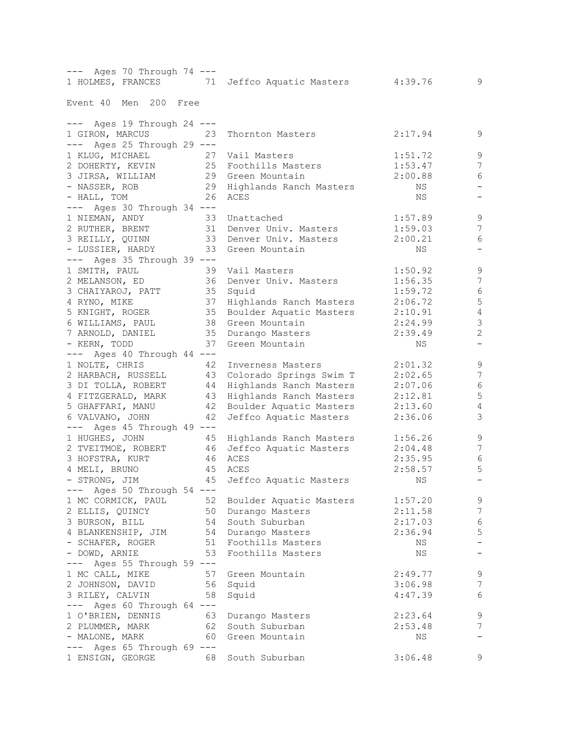| --- Ages 70 Through 74 ---     |                                             |         |                          |
|--------------------------------|---------------------------------------------|---------|--------------------------|
|                                | 1 HOLMES, FRANCES 71 Jeffco Aquatic Masters | 4:39.76 | 9                        |
| Event 40 Men 200 Free          |                                             |         |                          |
|                                |                                             |         |                          |
| $---$ Ages 19 Through 24 $---$ |                                             |         |                          |
| 1 GIRON, MARCUS                | 23<br>Thornton Masters                      | 2:17.94 | 9                        |
| $---$ Ages 25 Through 29 $---$ |                                             |         |                          |
| 1 KLUG, MICHAEL                | 27<br>Vail Masters                          | 1:51.72 | $\mathsf 9$              |
| 2 DOHERTY, KEVIN               | 25 Foothills Masters                        | 1:53.47 | 7                        |
| 3 JIRSA, WILLIAM               | 29 Green Mountain                           | 2:00.88 | 6                        |
| - NASSER, ROB                  | 29 Highlands Ranch Masters                  | NS      |                          |
| - HALL, TOM                    | 26<br>ACES                                  | ΝS      | $\overline{\phantom{m}}$ |
| --- Ages 30 Through 34 ---     |                                             |         |                          |
| 1 NIEMAN, ANDY                 | 33 Unattached                               | 1:57.89 | $\mathsf 9$              |
| 2 RUTHER, BRENT                | 31 Denver Univ. Masters                     | 1:59.03 | $\overline{7}$           |
| 3 REILLY, QUINN                | 33 Denver Univ. Masters                     | 2:00.21 | $6\,$                    |
| - LUSSIER, HARDY               | 33 Green Mountain                           | NS.     | $\overline{\phantom{0}}$ |
| --- Ages 35 Through 39 ---     |                                             |         |                          |
| 1 SMITH, PAUL                  | 39<br>Vail Masters                          | 1:50.92 | 9                        |
| 2 MELANSON, ED                 | 36 Denver Univ. Masters                     | 1:56.35 | 7                        |
| 3 CHAIYAROJ, PATT              | 35 Squid                                    | 1:59.72 | $\epsilon$               |
| 4 RYNO, MIKE                   | 37 Highlands Ranch Masters                  | 2:06.72 | 5                        |
| 5 KNIGHT, ROGER                | 35 Boulder Aquatic Masters                  | 2:10.91 | $\sqrt{4}$               |
| 6 WILLIAMS, PAUL               | 38 Green Mountain                           | 2:24.99 | $\mathfrak{Z}$           |
| 7 ARNOLD, DANIEL               | 35 Durango Masters                          | 2:39.49 | $\sqrt{2}$               |
| - KERN, TODD                   | 37<br>Green Mountain                        | NS      | $\overline{\phantom{0}}$ |
| --- Ages 40 Through 44 ---     |                                             |         |                          |
| 1 NOLTE, CHRIS                 | 42<br>Inverness Masters                     | 2:01.32 | 9                        |
| 2 HARBACH, RUSSELL             | 43 Colorado Springs Swim T                  | 2:02.65 | 7                        |
| 3 DI TOLLA, ROBERT             | 44 Highlands Ranch Masters                  | 2:07.06 | 6                        |
| 4 FITZGERALD, MARK             | 43<br>Highlands Ranch Masters               | 2:12.81 | 5                        |
| 5 GHAFFARI, MANU               | 42<br>Boulder Aquatic Masters               | 2:13.60 | $\sqrt{4}$               |
| 6 VALVANO, JOHN                | 42<br>Jeffco Aquatic Masters                | 2:36.06 | $\mathcal{S}$            |
| $---$ Ages 45 Through 49 $---$ |                                             |         |                          |
| 1 HUGHES, JOHN                 | 45 Highlands Ranch Masters                  | 1:56.26 | $\mathsf 9$              |
| 2 TVEITMOE, ROBERT             | 46 Jeffco Aquatic Masters                   | 2:04.48 | 7                        |
| 3 HOFSTRA, KURT                | 46 ACES                                     | 2:35.95 | 6                        |
| 45<br>4 MELI, BRUNO            | ACES                                        | 2:58.57 | 5                        |
| - STRONG, JIM                  | 45<br>Jeffco Aquatic Masters                | ΝS      |                          |
| $---$ Ages 50 Through 54 $---$ |                                             |         |                          |
| 1 MC CORMICK, PAUL             | 52 Boulder Aquatic Masters                  | 1:57.20 | 9                        |
| 2 ELLIS, QUINCY                | 50 Durango Masters                          | 2:11.58 | $\overline{7}$           |
| 3 BURSON, BILL                 | 54 South Suburban                           | 2:17.03 | $\sqrt{6}$               |
| 4 BLANKENSHIP, JIM             | 54 Durango Masters                          | 2:36.94 | $\mathsf S$              |
| - SCHAFER, ROGER               | 51 Foothills Masters                        | ΝS      | $\qquad \qquad -$        |
| - DOWD, ARNIE                  | 53<br>Foothills Masters                     | ΝS      | $\qquad \qquad -$        |
| $---$ Ages 55 Through 59 $---$ |                                             |         |                          |
| 1 MC CALL, MIKE                | 57<br>Green Mountain                        | 2:49.77 | 9                        |
| 2 JOHNSON, DAVID<br>56         | Squid                                       | 3:06.98 | $\boldsymbol{7}$         |
| 3 RILEY, CALVIN                | 58<br>Squid                                 | 4:47.39 | 6                        |
| $---$ Ages 60 Through 64 $---$ |                                             |         |                          |
| 1 O'BRIEN, DENNIS              | 63<br>Durango Masters                       | 2:23.64 | $\mathsf 9$              |
| 2 PLUMMER, MARK                | 62 South Suburban                           | 2:53.48 | $\overline{7}$           |
| - MALONE, MARK                 | 60 Green Mountain                           | NS      | $\qquad \qquad -$        |
| $---$ Ages 65 Through 69 $---$ |                                             |         |                          |
|                                |                                             |         | 9                        |
| 1 ENSIGN, GEORGE               | 68 South Suburban                           | 3:06.48 |                          |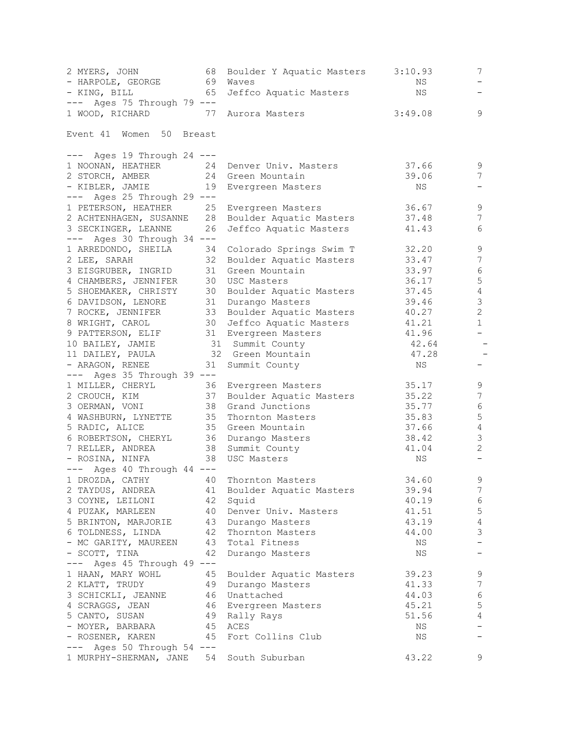| 2 MYERS, JOHN<br>- HARPOLE, GEORGE                 | 68<br>69 | Boulder Y Aquatic Masters<br>Waves           | 3:10.93<br>NS | 7              |
|----------------------------------------------------|----------|----------------------------------------------|---------------|----------------|
| - KING, BILL                                       | 65       | Jeffco Aquatic Masters                       | NS            |                |
| --- Ages 75 Through 79 ---                         |          |                                              |               |                |
| 1 WOOD, RICHARD<br>77                              |          | Aurora Masters                               | 3:49.08       | 9              |
| 50<br>Event 41<br>Women                            | Breast   |                                              |               |                |
| --- Ages 19 Through 24 ---                         |          |                                              |               |                |
| 1 NOONAN, HEATHER                                  | 24       | Denver Univ. Masters                         | 37.66         | 9              |
| 2 STORCH, AMBER                                    | 24       | Green Mountain                               | 39.06         | $\overline{7}$ |
| - KIBLER, JAMIE                                    | 19       | Evergreen Masters                            | ΝS            |                |
| --- Ages 25 Through 29 ---                         |          |                                              |               |                |
| 1 PETERSON, HEATHER                                | 25       | Evergreen Masters                            | 36.67         | 9              |
| 2 ACHTENHAGEN, SUSANNE 28                          |          | Boulder Aquatic Masters                      | 37.48         | 7              |
| 3 SECKINGER, LEANNE                                | 26       | Jeffco Aquatic Masters                       | 41.43         | 6              |
| $---$ Ages 30 Through 34 $---$                     |          |                                              |               |                |
| 1 ARREDONDO, SHEILA                                | 34       | Colorado Springs Swim T                      | 32.20         | $\mathsf 9$    |
| 2 LEE, SARAH                                       | 32       | Boulder Aquatic Masters                      | 33.47         | $\overline{7}$ |
| 3 EISGRUBER, INGRID                                | 31       | Green Mountain                               | 33.97         | $\sqrt{6}$     |
| 4 CHAMBERS, JENNIFER                               | 30       | USC Masters                                  | 36.17         | $\mathsf S$    |
| 5 SHOEMAKER, CHRISTY                               | 30       | Boulder Aquatic Masters                      | 37.45         | $\overline{4}$ |
| 6 DAVIDSON, LENORE                                 | 31       | Durango Masters                              | 39.46         | 3              |
| 7 ROCKE, JENNIFER                                  | 33       | Boulder Aquatic Masters                      | 40.27         | $\mathbf{2}$   |
| 8 WRIGHT, CAROL                                    | 30       | Jeffco Aquatic Masters                       | 41.21         | $\mathbf{1}$   |
| 9 PATTERSON, ELIF                                  |          | 31 Evergreen Masters                         | 41.96         | $-$            |
| 10 BAILEY, JAMIE                                   |          | 31 Summit County                             | 42.64         |                |
| 11 DAILEY, PAULA                                   |          | 32 Green Mountain                            | 47.28         |                |
| - ARAGON, RENEE                                    | 31       | Summit County                                | ΝS            |                |
| $---$ Ages 35 Through 39 $---$<br>1 MILLER, CHERYL |          |                                              | 35.17         | 9              |
| 2 CROUCH, KIM                                      | 36<br>37 | Evergreen Masters<br>Boulder Aquatic Masters | 35.22         | 7              |
| 3 OERMAN, VONI                                     | 38       | Grand Junctions                              | 35.77         | 6              |
| 4 WASHBURN, LYNETTE                                | 35       | Thornton Masters                             | 35.83         | $\mathsf S$    |
| 5 RADIC, ALICE                                     | 35       | Green Mountain                               | 37.66         | $\overline{4}$ |
| 6 ROBERTSON, CHERYL                                | 36       | Durango Masters                              | 38.42         | $\mathfrak{Z}$ |
| 7 RELLER, ANDREA                                   | 38       | Summit County                                | 41.04         | $\mathbf{2}$   |
| - ROSINA, NINFA                                    | 38       | USC Masters                                  | ΝS            |                |
| $---$ Ages 40 Through 44 $---$                     |          |                                              |               |                |
| 1 DROZDA, CATHY 40                                 |          | Thornton Masters                             | 34.60         | 9              |
| 2 TAYDUS, ANDREA                                   | 41       | Boulder Aquatic Masters                      | 39.94         | 7              |
| 3 COYNE, LEILONI                                   | 42       | Squid                                        | 40.19         | 6              |
| 4 PUZAK, MARLEEN                                   | 40       | Denver Univ. Masters                         | 41.51         | 5              |
| 5 BRINTON, MARJORIE                                | 43       | Durango Masters                              | 43.19         | 4              |
| 6 TOLDNESS, LINDA                                  | 42       | Thornton Masters                             | 44.00         | 3              |
| - MC GARITY, MAUREEN                               | 43       | Total Fitness                                | NS            |                |
| - SCOTT, TINA                                      | 42       | Durango Masters                              | NS            |                |
| --- Ages 45 Through 49 ---                         |          |                                              |               |                |
| 1 HAAN, MARY WOHL                                  | 45       | Boulder Aquatic Masters                      | 39.23         | 9              |
| 2 KLATT, TRUDY                                     | 49       | Durango Masters                              | 41.33         | 7              |
| 3 SCHICKLI, JEANNE                                 | 46       | Unattached                                   | 44.03         | 6              |
| 4 SCRAGGS, JEAN                                    | 46       | Evergreen Masters                            | 45.21         | 5              |
| 5 CANTO, SUSAN                                     | 49       | Rally Rays                                   | 51.56         | 4              |
| - MOYER, BARBARA                                   | 45       | ACES                                         | NS            |                |
| - ROSENER, KAREN                                   | 45       | Fort Collins Club                            | ΝS            |                |
| $---$ Ages 50 Through 54 $---$                     |          |                                              |               |                |
| 1 MURPHY-SHERMAN, JANE 54 South Suburban           |          |                                              | 43.22         | 9              |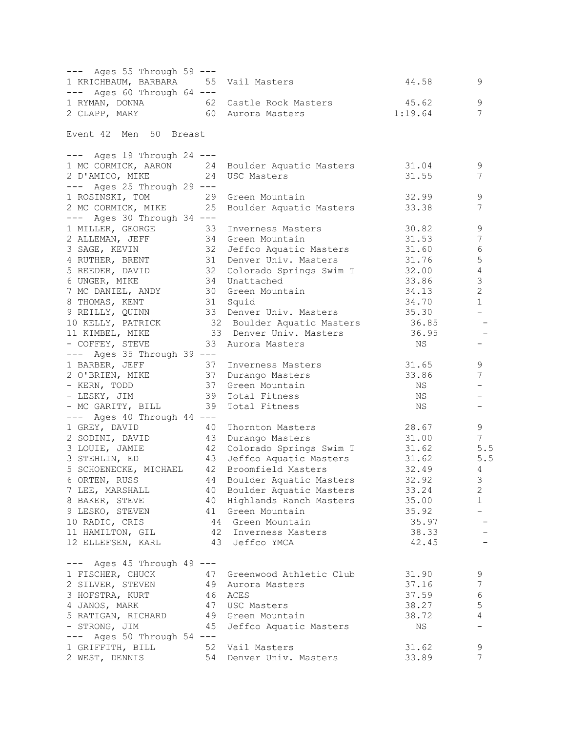| --- Ages 55 Through 59 ---            |          |                                                   |                |                          |
|---------------------------------------|----------|---------------------------------------------------|----------------|--------------------------|
| 1 KRICHBAUM, BARBARA 55 Vail Masters  |          |                                                   | 44.58          | 9                        |
| $---$ Ages 60 Through 64 $---$        |          |                                                   |                |                          |
| 1 RYMAN, DONNA 62 Castle Rock Masters |          |                                                   | 45.62          | 9                        |
| 2 CLAPP, MARY 60 Aurora Masters       |          |                                                   | 1:19.64        | 7                        |
|                                       |          |                                                   |                |                          |
| Event 42 Men 50 Breast                |          |                                                   |                |                          |
|                                       |          |                                                   |                |                          |
| $---$ Ages 19 Through 24 $---$        |          |                                                   |                |                          |
| 1 MC CORMICK, AARON 24                |          | Boulder Aquatic Masters                           | 31.04          | 9                        |
| 24<br>2 D'AMICO, MIKE                 |          | USC Masters                                       | 31.55          | 7                        |
| $---$ Ages 25 Through 29 $---$        |          |                                                   |                |                          |
| 1 ROSINSKI, TOM                       | 29       | Green Mountain                                    | 32.99          | 9                        |
| 2 MC CORMICK, MIKE                    | 25       | Boulder Aquatic Masters 33.38                     |                | 7                        |
| --- Ages 30 Through 34 ---            |          |                                                   |                |                          |
| 1 MILLER, GEORGE                      | 33       | Inverness Masters                                 | 30.82          | 9                        |
| 2 ALLEMAN, JEFF                       | 34       | Green Mountain                                    | 31.53          | $\boldsymbol{7}$         |
| 3 SAGE, KEVIN                         | 34<br>32 | Jeffco Aquatic Masters                            | 31.60          | 6                        |
| 4 RUTHER, BRENT                       | 31       | Denver Univ. Masters                              | 31.76          | 5                        |
| 5 REEDER, DAVID 32                    |          | Colorado Springs Swim T                           | 32.00          | 4                        |
| 6 UNGER, MIKE                         | 34       | Unattached                                        | 33.86          | 3                        |
| 7 MC DANIEL, ANDY                     | 30       | Green Mountain                                    | 34.13          | $\overline{2}$           |
| 8 THOMAS, KENT                        |          | 31 Squid                                          | 34.70          | $\mathbf{1}$             |
| 9 REILLY, QUINN                       |          | 33 Denver Univ. Masters                           | 35.30          | $\overline{\phantom{0}}$ |
|                                       |          | 10 KELLY, PATRICK 32 Boulder Aquatic Masters      | 36.85          |                          |
| 11 KIMBEL, MIKE                       |          | 33 Denver Univ. Masters                           | 36.95          | $\overline{\phantom{a}}$ |
| - COFFEY, STEVE                       |          | 33 Aurora Masters                                 | NS             |                          |
| $---$ Ages 35 Through 39 $---$        |          |                                                   |                |                          |
| 1 BARBER, JEFF                        | 37       | Inverness Masters                                 | 31.65          | 9                        |
| 2 O'BRIEN, MIKE                       | 37       | Durango Masters                                   | 33.86          | 7                        |
| – KERN, TODD                          | 37       | Green Mountain                                    | NS             |                          |
| - LESKY, JIM                          | 39       | Total Fitness                                     | NS             |                          |
| - MC GARITY, BILL                     | 39       | Total Fitness                                     | ΝS             | -                        |
| $---$ Ages 40 Through 44 $---$        |          |                                                   |                |                          |
| 1 GREY, DAVID                         |          |                                                   | 28.67          | 9                        |
|                                       | 40       | Thornton Masters                                  |                | 7                        |
| 2 SODINI, DAVID                       | 43       | Durango Masters                                   | 31.00          | $5.5$                    |
| 3 LOUIE, JAMIE<br>3 STEHLIN, ED       | 42       | Colorado Springs Swim T<br>Jeffco Aquatic Masters | 31.62<br>31.62 |                          |
|                                       | 43       |                                                   |                | 5.5<br>$\overline{4}$    |
| 5 SCHOENECKE, MICHAEL 42              |          | Broomfield Masters                                | 32.49          |                          |
| 6 ORTEN, RUSS                         |          | 44 Boulder Aquatic Masters                        | 32.92          | 3                        |
| 7 LEE, MARSHALL                       | 40       | Boulder Aquatic Masters                           | 33.24          | $\mathbf{2}$             |
| 8 BAKER, STEVE                        | 40       | Highlands Ranch Masters                           | 35.00          | $\mathbf 1$              |
| 9 LESKO, STEVEN                       | 41       | Green Mountain                                    | 35.92          |                          |
| 10 RADIC, CRIS                        |          | 44 Green Mountain                                 | 35.97          |                          |
| 11 HAMILTON, GIL                      |          | 42 Inverness Masters                              | 38.33          |                          |
| 12 ELLEFSEN, KARL                     |          | 43 Jeffco YMCA                                    | 42.45          |                          |
|                                       |          |                                                   |                |                          |
| $---$ Ages 45 Through 49 $---$        |          |                                                   | 31.90          |                          |
| 1 FISCHER, CHUCK                      | 47       | Greenwood Athletic Club                           |                | 9                        |
| 2 SILVER, STEVEN                      | 49       | Aurora Masters                                    | 37.16          | 7                        |
| 3 HOFSTRA, KURT                       | 46       | ACES                                              | 37.59          | 6                        |
| 4 JANOS, MARK                         | 47       | USC Masters                                       | 38.27          | 5                        |
| 5 RATIGAN, RICHARD                    | 49       | Green Mountain                                    | 38.72          | 4                        |
| - STRONG, JIM                         | 45       | Jeffco Aquatic Masters                            | ΝS             |                          |
| $---$ Ages 50 Through 54 $---$        |          |                                                   |                |                          |
| 1 GRIFFITH, BILL                      | 52       | Vail Masters                                      | 31.62          | 9                        |
| 2 WEST, DENNIS                        | 54       | Denver Univ. Masters                              | 33.89          | 7                        |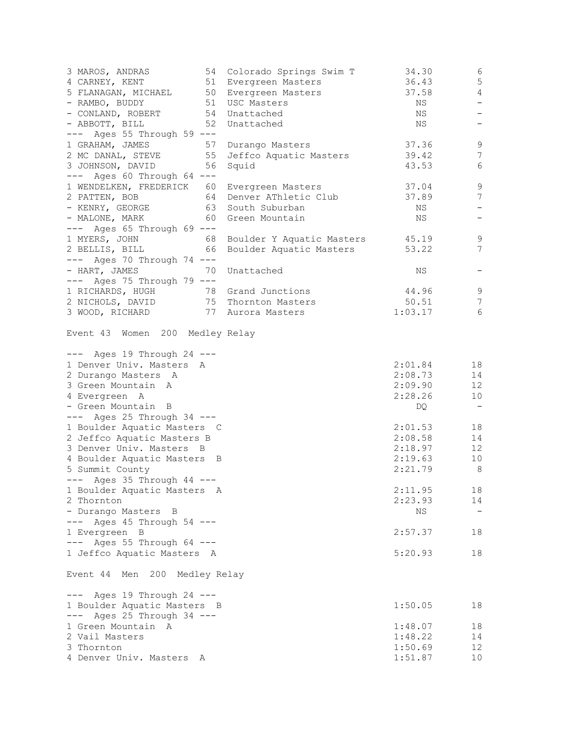| 3 MAROS, ANDRAS<br>4 CARNEY, KENT                                                                  | 54 | Colorado Springs Swim T<br>51 Evergreen Masters | 34.30<br>36.43 | 6<br>$\overline{5}$      |
|----------------------------------------------------------------------------------------------------|----|-------------------------------------------------|----------------|--------------------------|
| 4 CANNER, NEWSTAND 50<br>5 FLANAGAN, MICHAEL 50 Evergreen Masters<br>- RAMBO, BUDDY 51 USC Masters |    |                                                 | 37.58          | 4                        |
|                                                                                                    |    |                                                 | ΝS             | $\overline{\phantom{0}}$ |
| - CONLAND, ROBERT                                                                                  |    | 54 Unattached                                   | NS             | $\overline{\phantom{a}}$ |
| - ABBOTT, BILL<br>$---$ Ages 55 Through 59 $---$                                                   | 52 | Unattached                                      | NS             | $\qquad \qquad -$        |
| 1 GRAHAM, JAMES                                                                                    |    |                                                 | 37.36          | 9                        |
|                                                                                                    |    | 57 Durango Masters                              |                | $7\phantom{.0}$          |
| 2 MC DANAL, STEVE                                                                                  | 55 | Jeffco Aquatic Masters                          | 39.42          |                          |
| 3 JOHNSON, DAVID                                                                                   | 56 | Squid                                           | 43.53          | 6                        |
| --- Ages 60 Through 64 ---                                                                         |    |                                                 |                |                          |
| 1 WENDELKEN, FREDERICK 60                                                                          |    | Evergreen Masters                               | 37.04          | $\mathcal{G}$            |
| 2 PATTEN, BOB                                                                                      |    | 64 Denver AThletic Club                         | 37.89          | $\boldsymbol{7}$         |
| - KENRY, GEORGE 63 South Suburban                                                                  |    |                                                 | NS             | $\overline{\phantom{a}}$ |
| - MALONE, MARK                                                                                     |    | 60 Green Mountain                               | NS             | $\qquad \qquad -$        |
| $---$ Ages 65 Through 69 $---$                                                                     |    |                                                 |                |                          |
| 1 MYERS, JOHN                                                                                      | 68 | Boulder Y Aquatic Masters                       | 45.19          | 9                        |
| 2 BELLIS, BILL                                                                                     | 66 | Boulder Aquatic Masters                         | 53.22          | $\overline{7}$           |
| $---$ Ages 70 Through 74 $---$                                                                     |    |                                                 |                |                          |
| - HART, JAMES                                                                                      | 70 | Unattached                                      | ΝS             |                          |
| $---$ Ages 75 Through 79 $---$                                                                     |    |                                                 |                |                          |
| 1 RICHARDS, HUGH 78 Grand Junctions                                                                |    |                                                 | 44.96          | $\,9$                    |
| 2 NICHOLS, DAVID                                                                                   |    | 75 Thornton Masters                             | 50.51          | 7                        |
| 3 WOOD, RICHARD 77 Aurora Masters                                                                  |    |                                                 | 1:03.17        | 6                        |
| Event 43 Women 200 Medley Relay<br>$---$ Ages 19 Through 24 $---$                                  |    |                                                 |                |                          |
| 1 Denver Univ. Masters A                                                                           |    |                                                 | 2:01.84        | 18                       |
| 2 Durango Masters A                                                                                |    |                                                 | 2:08.73        | 14                       |
| 3 Green Mountain A                                                                                 |    |                                                 | 2:09.90        | $12 \overline{ }$        |
| 4 Evergreen A                                                                                      |    |                                                 | 2:28.26        | 10                       |
| - Green Mountain B                                                                                 |    |                                                 | DQ             | $\sim$ $-$               |
| $---$ Ages 25 Through 34 $---$                                                                     |    |                                                 |                |                          |
| 1 Boulder Aquatic Masters C                                                                        |    |                                                 | 2:01.53        | 18                       |
| 2 Jeffco Aquatic Masters B                                                                         |    |                                                 | 2:08.58        | 14                       |
| 3 Denver Univ. Masters B                                                                           |    |                                                 | 2:18.97        | $12 \overline{ }$        |
| 4 Boulder Aquatic Masters B                                                                        |    |                                                 | 2:19.63        | 10                       |
|                                                                                                    |    |                                                 |                |                          |
| 5 Summit County                                                                                    |    |                                                 | 2:21.79        | 8                        |
| $---$ Ages 35 Through 44 $---$                                                                     |    |                                                 |                |                          |
| 1 Boulder Aquatic Masters A                                                                        |    |                                                 | 2:11.95        | 18                       |
| 2 Thornton                                                                                         |    |                                                 | 2:23.93        | 14                       |
| - Durango Masters B                                                                                |    |                                                 | NS             |                          |
| --- Ages 45 Through 54 ---                                                                         |    |                                                 |                |                          |
| 1 Evergreen B                                                                                      |    |                                                 | 2:57.37        | 18                       |
| --- Ages 55 Through 64 ---                                                                         |    |                                                 |                |                          |
| 1 Jeffco Aquatic Masters A                                                                         |    |                                                 | 5:20.93        | 18                       |
| Event 44 Men 200 Medley Relay                                                                      |    |                                                 |                |                          |
| $---$ Ages 19 Through 24 $---$                                                                     |    |                                                 |                |                          |
| 1 Boulder Aquatic Masters B                                                                        |    |                                                 | 1:50.05        | 18                       |
| $---$ Ages 25 Through 34 $---$                                                                     |    |                                                 |                |                          |
| 1 Green Mountain A                                                                                 |    |                                                 | 1:48.07        | 18                       |
| 2 Vail Masters                                                                                     |    |                                                 | 1:48.22        | 14                       |
|                                                                                                    |    |                                                 |                |                          |
| 3 Thornton                                                                                         |    |                                                 | 1:50.69        | 12                       |
| 4 Denver Univ. Masters A                                                                           |    |                                                 | 1:51.87        | 10                       |